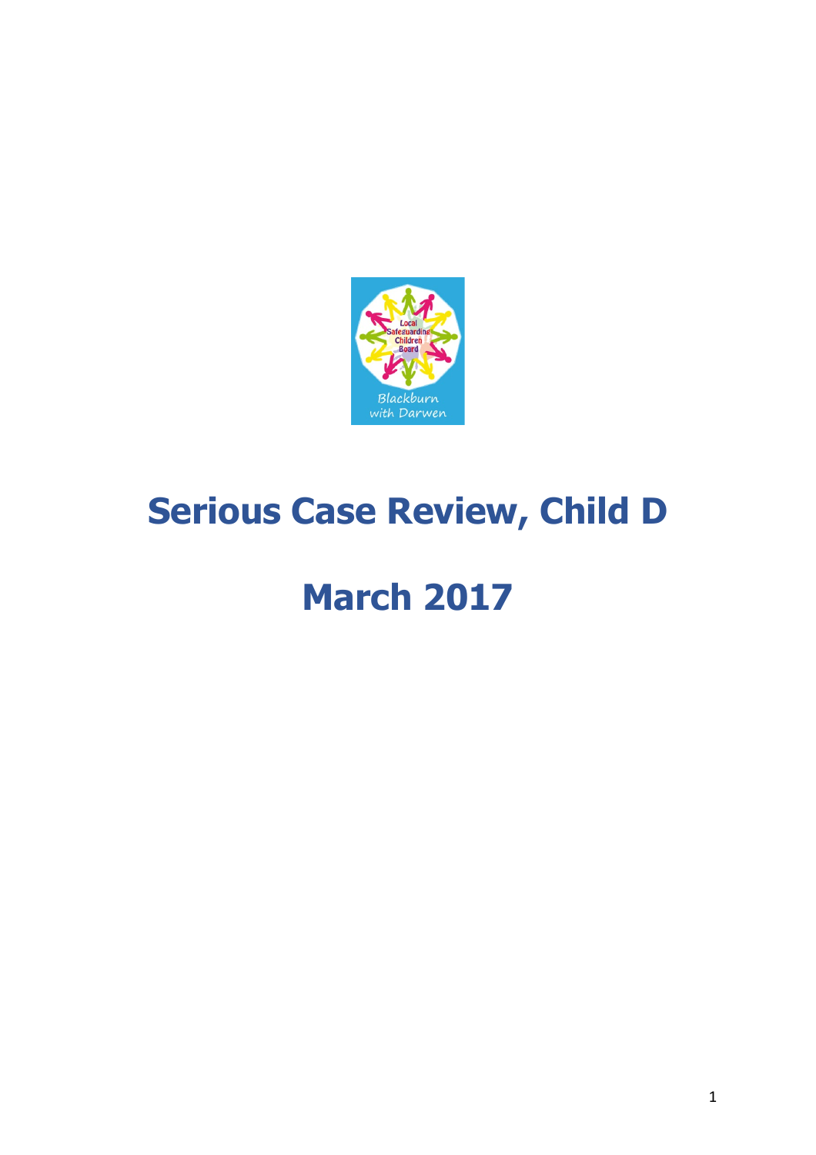

# **Serious Case Review, Child D**

# **March 2017**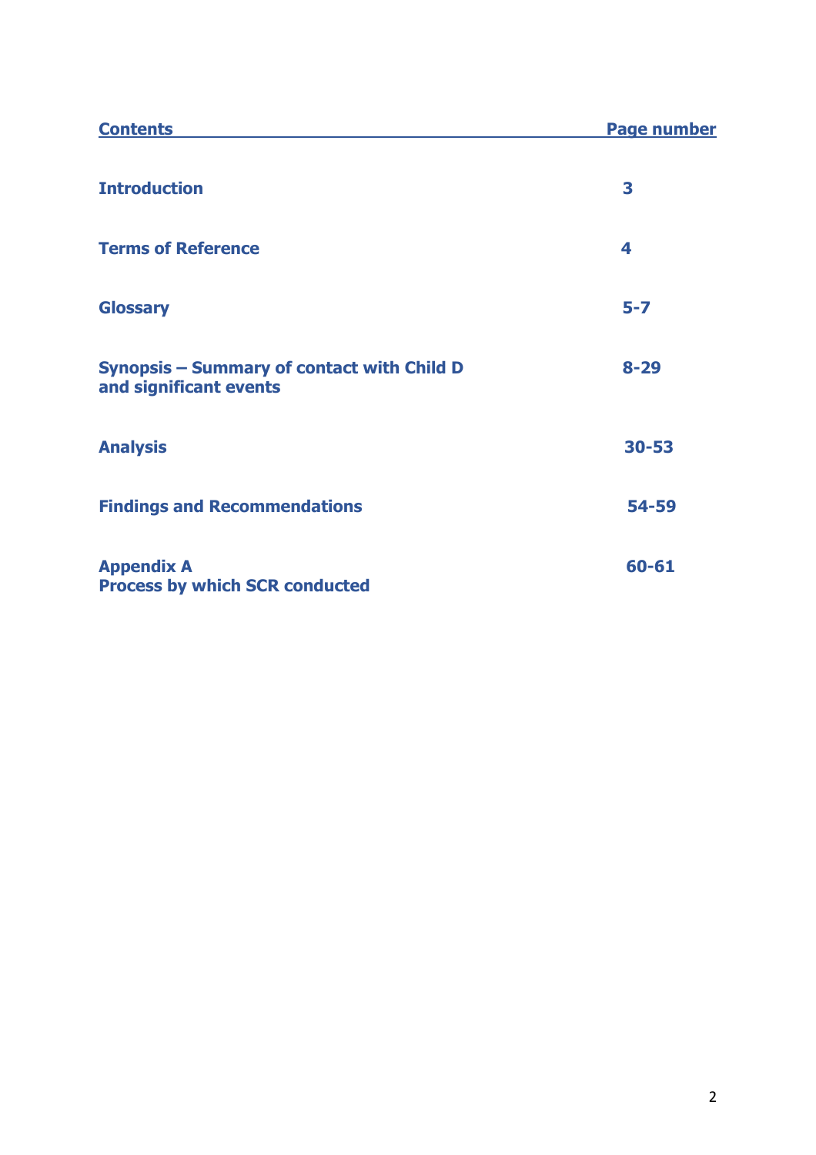| <b>Contents</b>                                                      | <b>Page number</b> |
|----------------------------------------------------------------------|--------------------|
| <b>Introduction</b>                                                  | 3                  |
| <b>Terms of Reference</b>                                            | 4                  |
| <b>Glossary</b>                                                      | $5 - 7$            |
| Synopsis - Summary of contact with Child D<br>and significant events | $8 - 29$           |
| <b>Analysis</b>                                                      | $30 - 53$          |
| <b>Findings and Recommendations</b>                                  | 54-59              |
| <b>Appendix A</b><br><b>Process by which SCR conducted</b>           | 60-61              |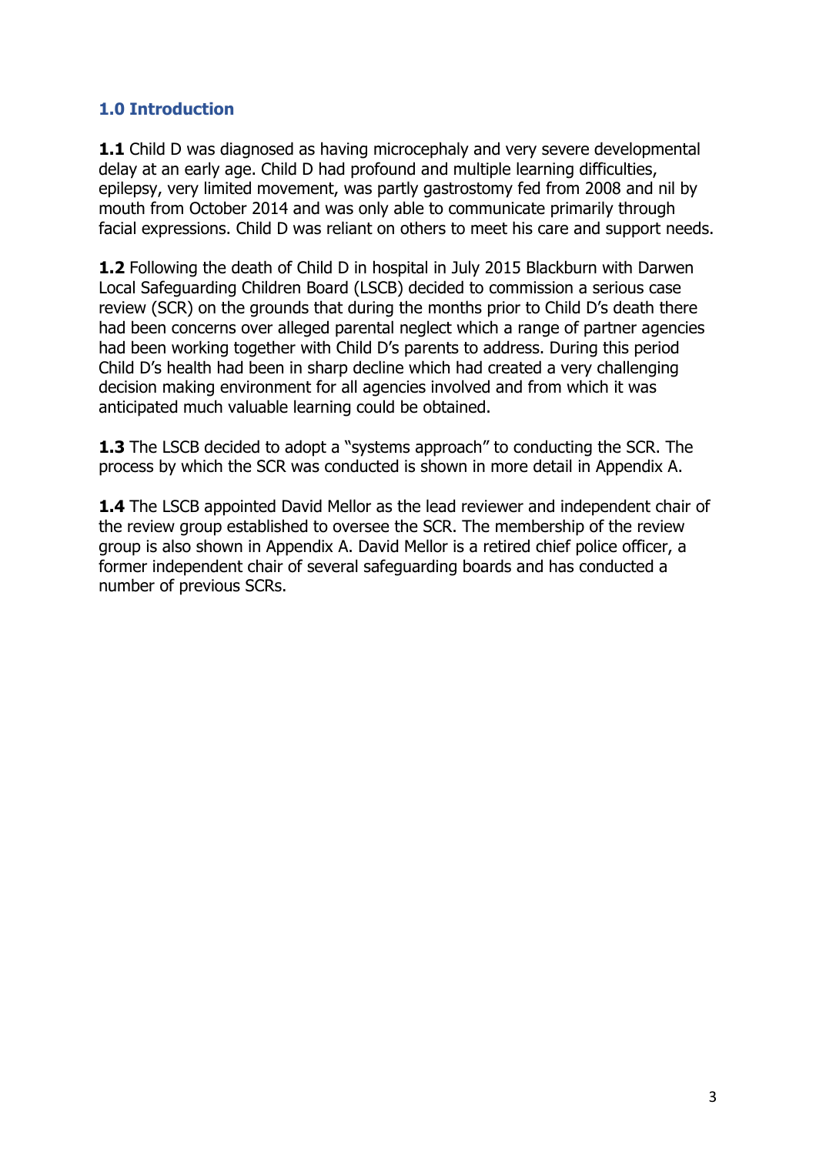## **1.0 Introduction**

**1.1** Child D was diagnosed as having microcephaly and very severe developmental delay at an early age. Child D had profound and multiple learning difficulties, epilepsy, very limited movement, was partly gastrostomy fed from 2008 and nil by mouth from October 2014 and was only able to communicate primarily through facial expressions. Child D was reliant on others to meet his care and support needs.

**1.2** Following the death of Child D in hospital in July 2015 Blackburn with Darwen Local Safeguarding Children Board (LSCB) decided to commission a serious case review (SCR) on the grounds that during the months prior to Child D's death there had been concerns over alleged parental neglect which a range of partner agencies had been working together with Child D's parents to address. During this period Child D's health had been in sharp decline which had created a very challenging decision making environment for all agencies involved and from which it was anticipated much valuable learning could be obtained.

**1.3** The LSCB decided to adopt a "systems approach" to conducting the SCR. The process by which the SCR was conducted is shown in more detail in Appendix A.

**1.4** The LSCB appointed David Mellor as the lead reviewer and independent chair of the review group established to oversee the SCR. The membership of the review group is also shown in Appendix A. David Mellor is a retired chief police officer, a former independent chair of several safeguarding boards and has conducted a number of previous SCRs.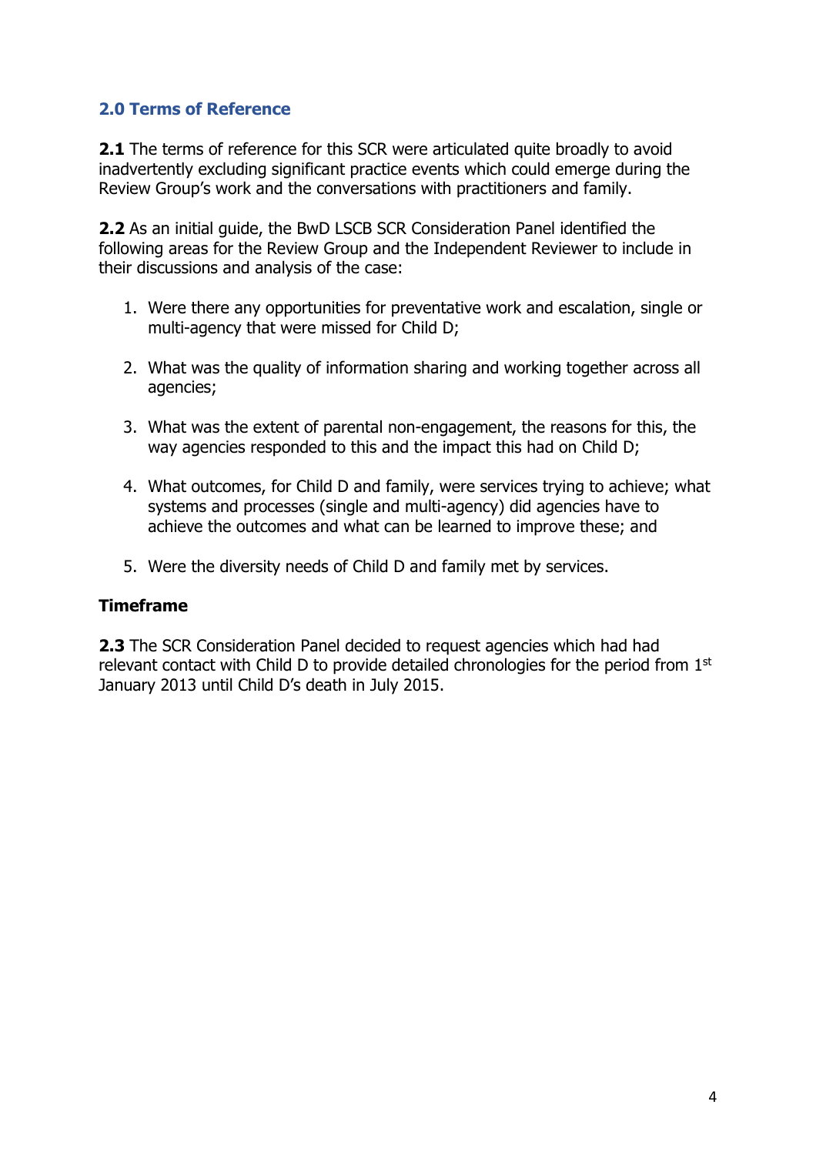## **2.0 Terms of Reference**

**2.1** The terms of reference for this SCR were articulated quite broadly to avoid inadvertently excluding significant practice events which could emerge during the Review Group's work and the conversations with practitioners and family.

**2.2** As an initial guide, the BwD LSCB SCR Consideration Panel identified the following areas for the Review Group and the Independent Reviewer to include in their discussions and analysis of the case:

- 1. Were there any opportunities for preventative work and escalation, single or multi-agency that were missed for Child D;
- 2. What was the quality of information sharing and working together across all agencies;
- 3. What was the extent of parental non-engagement, the reasons for this, the way agencies responded to this and the impact this had on Child D;
- 4. What outcomes, for Child D and family, were services trying to achieve; what systems and processes (single and multi-agency) did agencies have to achieve the outcomes and what can be learned to improve these; and
- 5. Were the diversity needs of Child D and family met by services.

#### **Timeframe**

**2.3** The SCR Consideration Panel decided to request agencies which had had relevant contact with Child D to provide detailed chronologies for the period from 1<sup>st</sup> January 2013 until Child D's death in July 2015.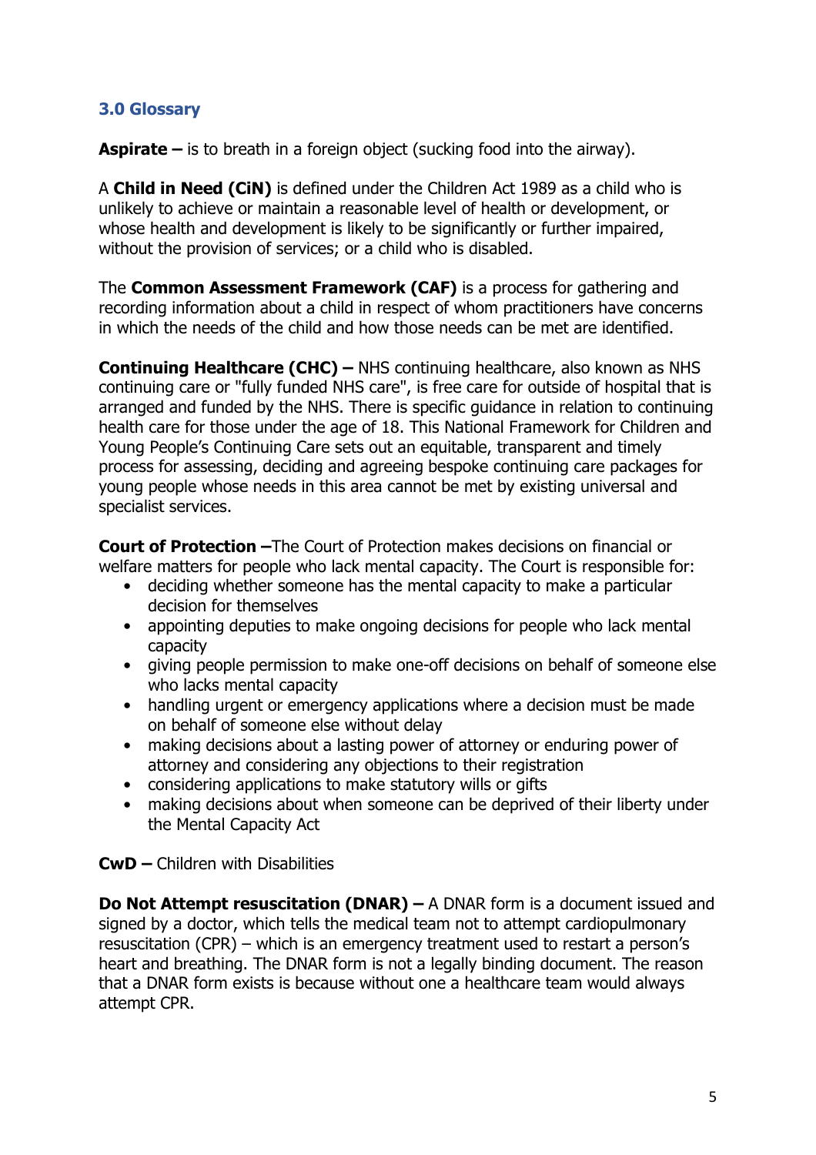## **3.0 Glossary**

**Aspirate** – is to breath in a foreign object (sucking food into the airway).

A **Child in Need (CiN)** is defined under the Children Act 1989 as a child who is unlikely to achieve or maintain a reasonable level of health or development, or whose health and development is likely to be significantly or further impaired, without the provision of services; or a child who is disabled.

The **Common Assessment Framework (CAF)** is a process for gathering and recording information about a child in respect of whom practitioners have concerns in which the needs of the child and how those needs can be met are identified.

**Continuing Healthcare (CHC) –** NHS continuing healthcare, also known as NHS continuing care or "fully funded NHS care", is free care for outside of hospital that is arranged and funded by the NHS. There is specific guidance in relation to continuing health care for those under the age of 18. This National Framework for Children and Young People's Continuing Care sets out an equitable, transparent and timely process for assessing, deciding and agreeing bespoke continuing care packages for young people whose needs in this area cannot be met by existing universal and specialist services.

**Court of Protection –**The Court of Protection makes decisions on financial or welfare matters for people who lack mental capacity. The Court is responsible for:

- deciding whether someone has the mental capacity to make a particular decision for themselves
- appointing deputies to make ongoing decisions for people who lack mental capacity
- giving people permission to make one-off decisions on behalf of someone else who lacks mental capacity
- handling urgent or emergency applications where a decision must be made on behalf of someone else without delay
- making decisions about a lasting power of attorney or enduring power of attorney and considering any objections to their registration
- considering applications to make statutory wills or gifts
- making decisions about when someone can be deprived of their liberty under the Mental Capacity Act

**CwD –** Children with Disabilities

**Do Not Attempt resuscitation (DNAR) –** A DNAR form is a document issued and signed by a doctor, which tells the medical team not to attempt cardiopulmonary resuscitation (CPR) – which is an emergency treatment used to restart a person's heart and breathing. The DNAR form is not a legally binding document. The reason that a DNAR form exists is because without one a healthcare team would always attempt CPR.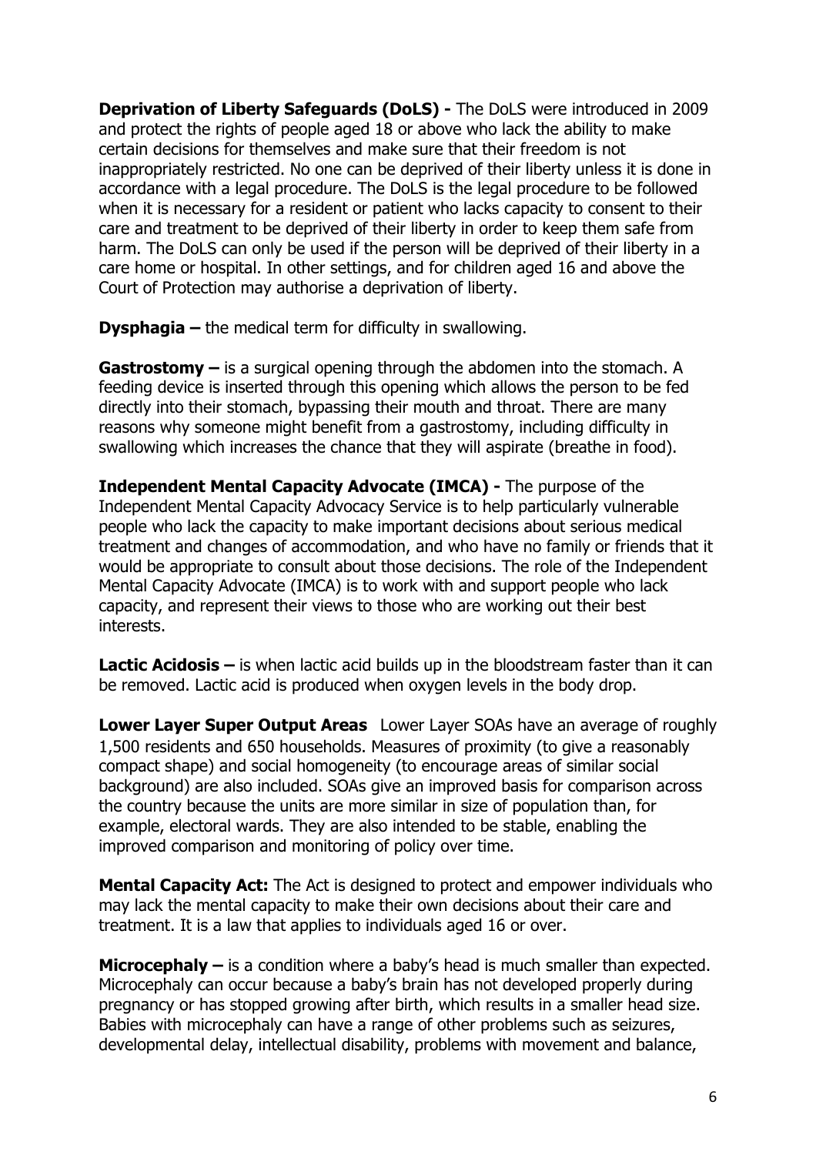**Deprivation of Liberty Safeguards (DoLS) -** The DoLS were introduced in 2009 and protect the rights of people aged 18 or above who lack the ability to make certain decisions for themselves and make sure that their freedom is not inappropriately restricted. No one can be deprived of their liberty unless it is done in accordance with a legal procedure. The DoLS is the legal procedure to be followed when it is necessary for a resident or patient who lacks capacity to consent to their care and treatment to be deprived of their liberty in order to keep them safe from harm. The DoLS can only be used if the person will be deprived of their liberty in a care home or hospital. In other settings, and for children aged 16 and above the Court of Protection may authorise a deprivation of liberty.

**Dysphagia –** the medical term for difficulty in swallowing.

**Gastrostomy –** is a surgical opening through the abdomen into the stomach. A feeding device is inserted through this opening which allows the person to be fed directly into their stomach, bypassing their mouth and throat. There are many reasons why someone might benefit from a gastrostomy, including difficulty in swallowing which increases the chance that they will aspirate (breathe in food).

**Independent Mental Capacity Advocate (IMCA) -** The purpose of the Independent Mental Capacity Advocacy Service is to help particularly vulnerable people who lack the capacity to make important decisions about serious medical treatment and changes of accommodation, and who have no family or friends that it would be appropriate to consult about those decisions. The role of the Independent Mental Capacity Advocate (IMCA) is to work with and support people who lack capacity, and represent their views to those who are working out their best interests.

**Lactic Acidosis –** is when lactic acid builds up in the bloodstream faster than it can be removed. Lactic acid is produced when oxygen levels in the body drop.

**Lower Layer Super Output Areas**  Lower Layer SOAs have an average of roughly 1,500 residents and 650 households. Measures of proximity (to give a reasonably compact shape) and social homogeneity (to encourage areas of similar social background) are also included. SOAs give an improved basis for comparison across the country because the units are more similar in size of population than, for example, electoral wards. They are also intended to be stable, enabling the improved comparison and monitoring of policy over time.

**Mental Capacity Act:** The Act is designed to protect and empower individuals who may lack the mental capacity to make their own decisions about their care and treatment. It is a law that applies to individuals aged 16 or over.

**Microcephaly –** is a condition where a baby's head is much smaller than expected. Microcephaly can occur because a baby's brain has not developed properly during pregnancy or has stopped growing after birth, which results in a smaller head size. Babies with microcephaly can have a range of other problems such as seizures, developmental delay, intellectual disability, problems with movement and balance,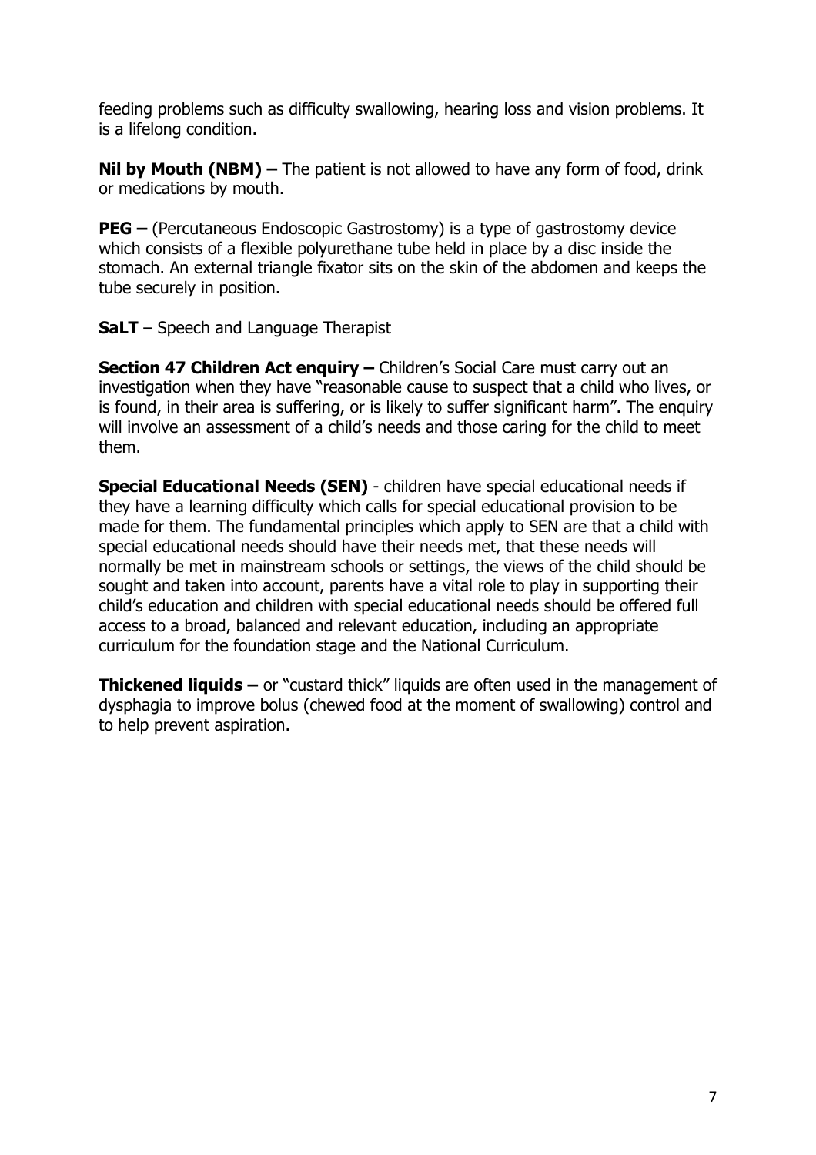feeding problems such as difficulty swallowing, hearing loss and vision problems. It is a lifelong condition.

**Nil by Mouth (NBM) –** The patient is not allowed to have any form of food, drink or medications by mouth.

**PEG –** (Percutaneous Endoscopic Gastrostomy) is a type of gastrostomy device which consists of a flexible polyurethane tube held in place by a disc inside the stomach. An external triangle fixator sits on the skin of the abdomen and keeps the tube securely in position.

**SaLT** – Speech and Language Therapist

**Section 47 Children Act enquiry –** Children's Social Care must carry out an investigation when they have "reasonable cause to suspect that a child who lives, or is found, in their area is suffering, or is likely to suffer significant harm". The enquiry will involve an assessment of a child's needs and those caring for the child to meet them.

**Special Educational Needs (SEN)** - children have special educational needs if they have a learning difficulty which calls for special educational provision to be made for them. The fundamental principles which apply to SEN are that a child with special educational needs should have their needs met, that these needs will normally be met in mainstream schools or settings, the views of the child should be sought and taken into account, parents have a vital role to play in supporting their child's education and children with special educational needs should be offered full access to a broad, balanced and relevant education, including an appropriate curriculum for the foundation stage and the National Curriculum.

**Thickened liquids –** or "custard thick" liquids are often used in the management of dysphagia to improve bolus (chewed food at the moment of swallowing) control and to help prevent aspiration.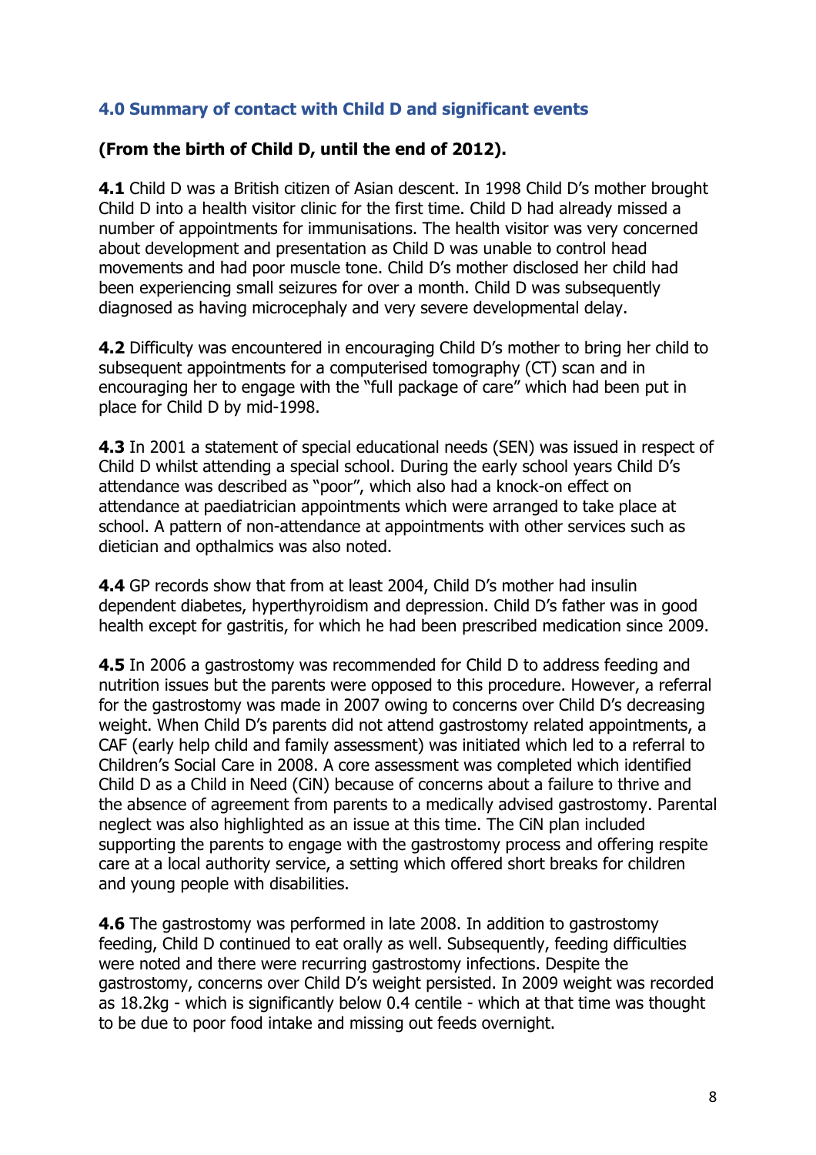## **4.0 Summary of contact with Child D and significant events**

#### **(From the birth of Child D, until the end of 2012).**

**4.1** Child D was a British citizen of Asian descent. In 1998 Child D's mother brought Child D into a health visitor clinic for the first time. Child D had already missed a number of appointments for immunisations. The health visitor was very concerned about development and presentation as Child D was unable to control head movements and had poor muscle tone. Child D's mother disclosed her child had been experiencing small seizures for over a month. Child D was subsequently diagnosed as having microcephaly and very severe developmental delay.

**4.2** Difficulty was encountered in encouraging Child D's mother to bring her child to subsequent appointments for a computerised tomography (CT) scan and in encouraging her to engage with the "full package of care" which had been put in place for Child D by mid-1998.

**4.3** In 2001 a statement of special educational needs (SEN) was issued in respect of Child D whilst attending a special school. During the early school years Child D's attendance was described as "poor", which also had a knock-on effect on attendance at paediatrician appointments which were arranged to take place at school. A pattern of non-attendance at appointments with other services such as dietician and opthalmics was also noted.

**4.4** GP records show that from at least 2004, Child D's mother had insulin dependent diabetes, hyperthyroidism and depression. Child D's father was in good health except for gastritis, for which he had been prescribed medication since 2009.

**4.5** In 2006 a gastrostomy was recommended for Child D to address feeding and nutrition issues but the parents were opposed to this procedure. However, a referral for the gastrostomy was made in 2007 owing to concerns over Child D's decreasing weight. When Child D's parents did not attend gastrostomy related appointments, a CAF (early help child and family assessment) was initiated which led to a referral to Children's Social Care in 2008. A core assessment was completed which identified Child D as a Child in Need (CiN) because of concerns about a failure to thrive and the absence of agreement from parents to a medically advised gastrostomy. Parental neglect was also highlighted as an issue at this time. The CiN plan included supporting the parents to engage with the gastrostomy process and offering respite care at a local authority service, a setting which offered short breaks for children and young people with disabilities.

**4.6** The gastrostomy was performed in late 2008. In addition to gastrostomy feeding, Child D continued to eat orally as well. Subsequently, feeding difficulties were noted and there were recurring gastrostomy infections. Despite the gastrostomy, concerns over Child D's weight persisted. In 2009 weight was recorded as 18.2kg - which is significantly below 0.4 centile - which at that time was thought to be due to poor food intake and missing out feeds overnight.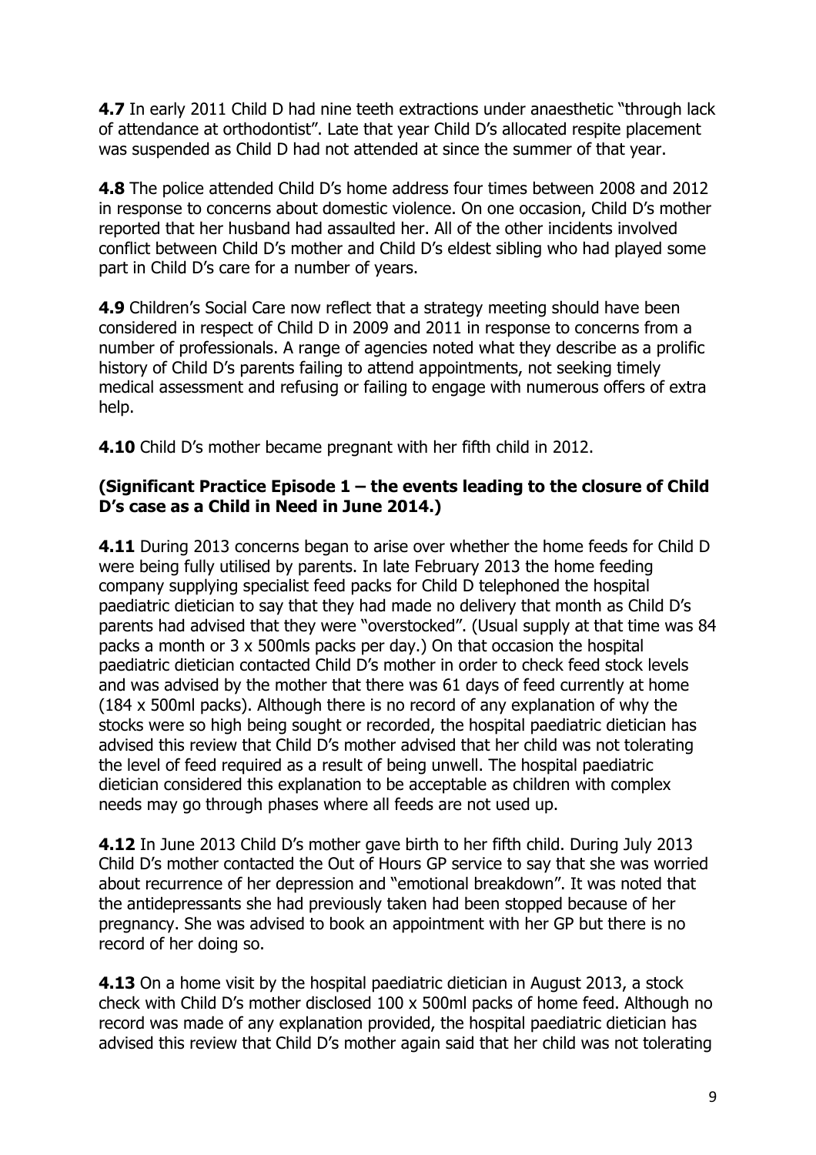**4.7** In early 2011 Child D had nine teeth extractions under anaesthetic "through lack of attendance at orthodontist". Late that year Child D's allocated respite placement was suspended as Child D had not attended at since the summer of that year.

**4.8** The police attended Child D's home address four times between 2008 and 2012 in response to concerns about domestic violence. On one occasion, Child D's mother reported that her husband had assaulted her. All of the other incidents involved conflict between Child D's mother and Child D's eldest sibling who had played some part in Child D's care for a number of years.

**4.9** Children's Social Care now reflect that a strategy meeting should have been considered in respect of Child D in 2009 and 2011 in response to concerns from a number of professionals. A range of agencies noted what they describe as a prolific history of Child D's parents failing to attend appointments, not seeking timely medical assessment and refusing or failing to engage with numerous offers of extra help.

**4.10** Child D's mother became pregnant with her fifth child in 2012.

#### **(Significant Practice Episode 1 – the events leading to the closure of Child D's case as a Child in Need in June 2014.)**

**4.11** During 2013 concerns began to arise over whether the home feeds for Child D were being fully utilised by parents. In late February 2013 the home feeding company supplying specialist feed packs for Child D telephoned the hospital paediatric dietician to say that they had made no delivery that month as Child D's parents had advised that they were "overstocked". (Usual supply at that time was 84 packs a month or 3 x 500mls packs per day.) On that occasion the hospital paediatric dietician contacted Child D's mother in order to check feed stock levels and was advised by the mother that there was 61 days of feed currently at home (184 x 500ml packs). Although there is no record of any explanation of why the stocks were so high being sought or recorded, the hospital paediatric dietician has advised this review that Child D's mother advised that her child was not tolerating the level of feed required as a result of being unwell. The hospital paediatric dietician considered this explanation to be acceptable as children with complex needs may go through phases where all feeds are not used up.

**4.12** In June 2013 Child D's mother gave birth to her fifth child. During July 2013 Child D's mother contacted the Out of Hours GP service to say that she was worried about recurrence of her depression and "emotional breakdown". It was noted that the antidepressants she had previously taken had been stopped because of her pregnancy. She was advised to book an appointment with her GP but there is no record of her doing so.

**4.13** On a home visit by the hospital paediatric dietician in August 2013, a stock check with Child D's mother disclosed 100 x 500ml packs of home feed. Although no record was made of any explanation provided, the hospital paediatric dietician has advised this review that Child D's mother again said that her child was not tolerating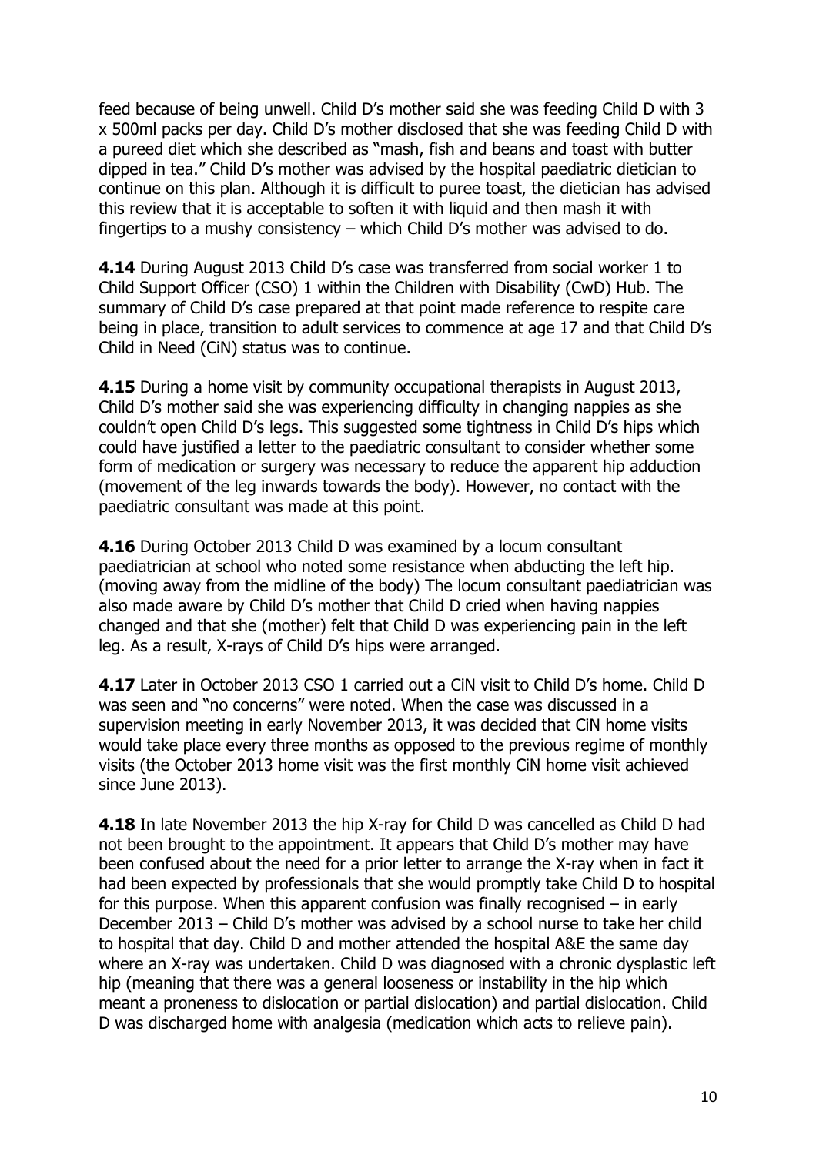feed because of being unwell. Child D's mother said she was feeding Child D with 3 x 500ml packs per day. Child D's mother disclosed that she was feeding Child D with a pureed diet which she described as "mash, fish and beans and toast with butter dipped in tea." Child D's mother was advised by the hospital paediatric dietician to continue on this plan. Although it is difficult to puree toast, the dietician has advised this review that it is acceptable to soften it with liquid and then mash it with fingertips to a mushy consistency – which Child D's mother was advised to do.

**4.14** During August 2013 Child D's case was transferred from social worker 1 to Child Support Officer (CSO) 1 within the Children with Disability (CwD) Hub. The summary of Child D's case prepared at that point made reference to respite care being in place, transition to adult services to commence at age 17 and that Child D's Child in Need (CiN) status was to continue.

**4.15** During a home visit by community occupational therapists in August 2013, Child D's mother said she was experiencing difficulty in changing nappies as she couldn't open Child D's legs. This suggested some tightness in Child D's hips which could have justified a letter to the paediatric consultant to consider whether some form of medication or surgery was necessary to reduce the apparent hip adduction (movement of the leg inwards towards the body). However, no contact with the paediatric consultant was made at this point.

**4.16** During October 2013 Child D was examined by a locum consultant paediatrician at school who noted some resistance when abducting the left hip. (moving away from the midline of the body) The locum consultant paediatrician was also made aware by Child D's mother that Child D cried when having nappies changed and that she (mother) felt that Child D was experiencing pain in the left leg. As a result, X-rays of Child D's hips were arranged.

**4.17** Later in October 2013 CSO 1 carried out a CiN visit to Child D's home. Child D was seen and "no concerns" were noted. When the case was discussed in a supervision meeting in early November 2013, it was decided that CiN home visits would take place every three months as opposed to the previous regime of monthly visits (the October 2013 home visit was the first monthly CiN home visit achieved since June 2013).

**4.18** In late November 2013 the hip X-ray for Child D was cancelled as Child D had not been brought to the appointment. It appears that Child D's mother may have been confused about the need for a prior letter to arrange the X-ray when in fact it had been expected by professionals that she would promptly take Child D to hospital for this purpose. When this apparent confusion was finally recognised – in early December 2013 – Child D's mother was advised by a school nurse to take her child to hospital that day. Child D and mother attended the hospital A&E the same day where an X-ray was undertaken. Child D was diagnosed with a chronic dysplastic left hip (meaning that there was a general looseness or instability in the hip which meant a proneness to dislocation or partial dislocation) and partial dislocation. Child D was discharged home with analgesia (medication which acts to relieve pain).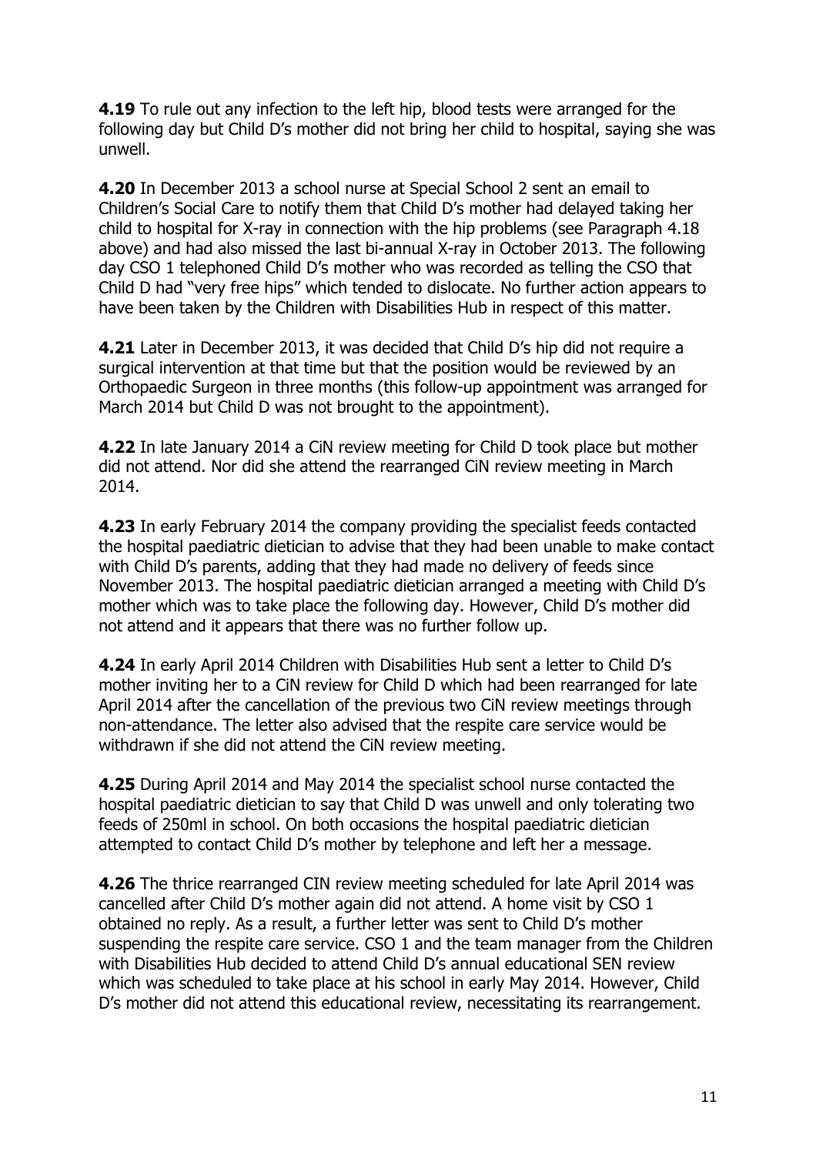**4.19** To rule out any infection to the left hip, blood tests were arranged for the following day but Child D's mother did not bring her child to hospital, saying she was unwell.

**4.20** In December 2013 a school nurse at Special School 2 sent an email to Children's Social Care to notify them that Child D's mother had delayed taking her child to hospital for X-ray in connection with the hip problems (see Paragraph 4.18 above) and had also missed the last bi-annual X-ray in October 2013. The following day CSO 1 telephoned Child D's mother who was recorded as telling the CSO that Child D had "very free hips" which tended to dislocate. No further action appears to have been taken by the Children with Disabilities Hub in respect of this matter.

**4.21** Later in December 2013, it was decided that Child D's hip did not require a surgical intervention at that time but that the position would be reviewed by an Orthopaedic Surgeon in three months (this follow-up appointment was arranged for March 2014 but Child D was not brought to the appointment).

**4.22** In late January 2014 a CiN review meeting for Child D took place but mother did not attend. Nor did she attend the rearranged CiN review meeting in March 2014.

**4.23** In early February 2014 the company providing the specialist feeds contacted the hospital paediatric dietician to advise that they had been unable to make contact with Child D's parents, adding that they had made no delivery of feeds since November 2013. The hospital paediatric dietician arranged a meeting with Child D's mother which was to take place the following day. However, Child D's mother did not attend and it appears that there was no further follow up.

**4.24** In early April 2014 Children with Disabilities Hub sent a letter to Child D's mother inviting her to a CiN review for Child D which had been rearranged for late April 2014 after the cancellation of the previous two CiN review meetings through non-attendance. The letter also advised that the respite care service would be withdrawn if she did not attend the CiN review meeting.

**4.25** During April 2014 and May 2014 the specialist school nurse contacted the hospital paediatric dietician to say that Child D was unwell and only tolerating two feeds of 250ml in school. On both occasions the hospital paediatric dietician attempted to contact Child D's mother by telephone and left her a message.

**4.26** The thrice rearranged CIN review meeting scheduled for late April 2014 was cancelled after Child D's mother again did not attend. A home visit by CSO 1 obtained no reply. As a result, a further letter was sent to Child D's mother suspending the respite care service. CSO 1 and the team manager from the Children with Disabilities Hub decided to attend Child D's annual educational SEN review which was scheduled to take place at his school in early May 2014. However, Child D's mother did not attend this educational review, necessitating its rearrangement.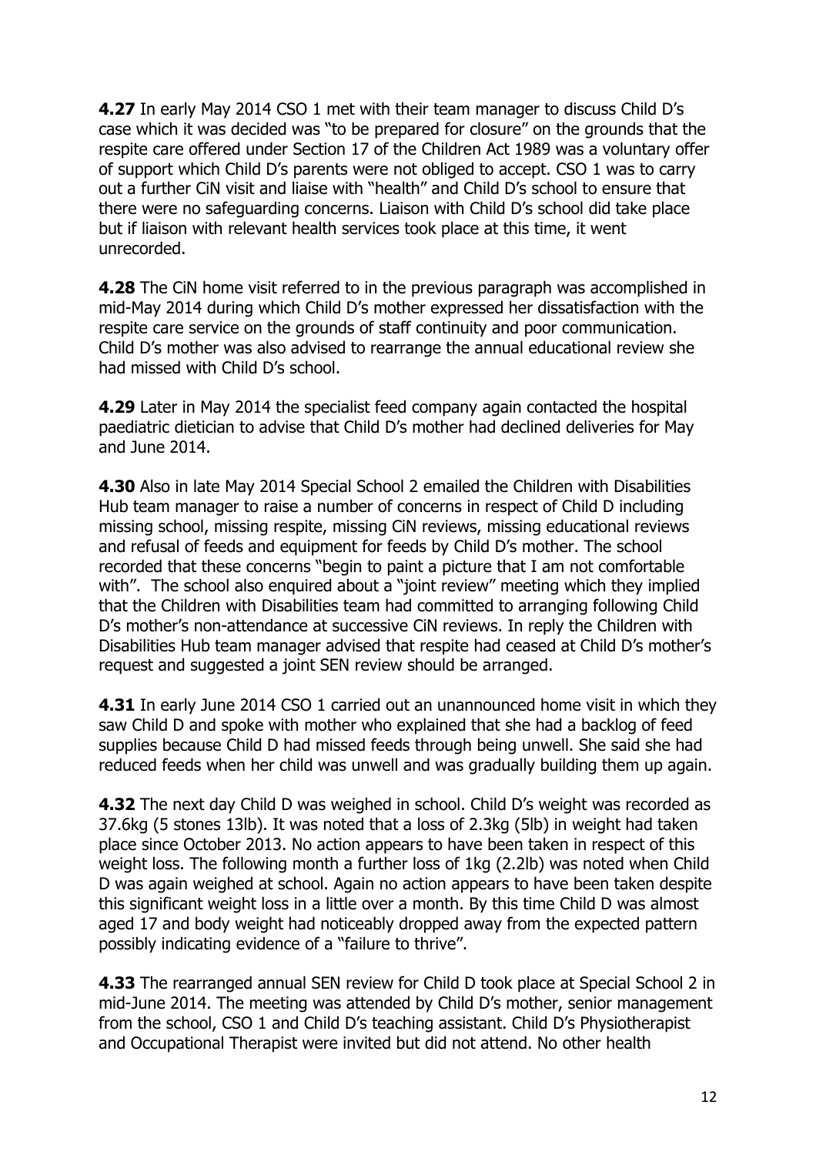**4.27** In early May 2014 CSO 1 met with their team manager to discuss Child D's case which it was decided was "to be prepared for closure" on the grounds that the respite care offered under Section 17 of the Children Act 1989 was a voluntary offer of support which Child D's parents were not obliged to accept. CSO 1 was to carry out a further CiN visit and liaise with "health" and Child D's school to ensure that there were no safeguarding concerns. Liaison with Child D's school did take place but if liaison with relevant health services took place at this time, it went unrecorded.

**4.28** The CiN home visit referred to in the previous paragraph was accomplished in mid-May 2014 during which Child D's mother expressed her dissatisfaction with the respite care service on the grounds of staff continuity and poor communication. Child D's mother was also advised to rearrange the annual educational review she had missed with Child D's school.

**4.29** Later in May 2014 the specialist feed company again contacted the hospital paediatric dietician to advise that Child D's mother had declined deliveries for May and June 2014.

**4.30** Also in late May 2014 Special School 2 emailed the Children with Disabilities Hub team manager to raise a number of concerns in respect of Child D including missing school, missing respite, missing CiN reviews, missing educational reviews and refusal of feeds and equipment for feeds by Child D's mother. The school recorded that these concerns "begin to paint a picture that I am not comfortable with". The school also enquired about a "joint review" meeting which they implied that the Children with Disabilities team had committed to arranging following Child D's mother's non-attendance at successive CiN reviews. In reply the Children with Disabilities Hub team manager advised that respite had ceased at Child D's mother's request and suggested a joint SEN review should be arranged.

**4.31** In early June 2014 CSO 1 carried out an unannounced home visit in which they saw Child D and spoke with mother who explained that she had a backlog of feed supplies because Child D had missed feeds through being unwell. She said she had reduced feeds when her child was unwell and was gradually building them up again.

**4.32** The next day Child D was weighed in school. Child D's weight was recorded as 37.6kg (5 stones 13lb). It was noted that a loss of 2.3kg (5lb) in weight had taken place since October 2013. No action appears to have been taken in respect of this weight loss. The following month a further loss of 1kg (2.2lb) was noted when Child D was again weighed at school. Again no action appears to have been taken despite this significant weight loss in a little over a month. By this time Child D was almost aged 17 and body weight had noticeably dropped away from the expected pattern possibly indicating evidence of a "failure to thrive".

**4.33** The rearranged annual SEN review for Child D took place at Special School 2 in mid-June 2014. The meeting was attended by Child D's mother, senior management from the school, CSO 1 and Child D's teaching assistant. Child D's Physiotherapist and Occupational Therapist were invited but did not attend. No other health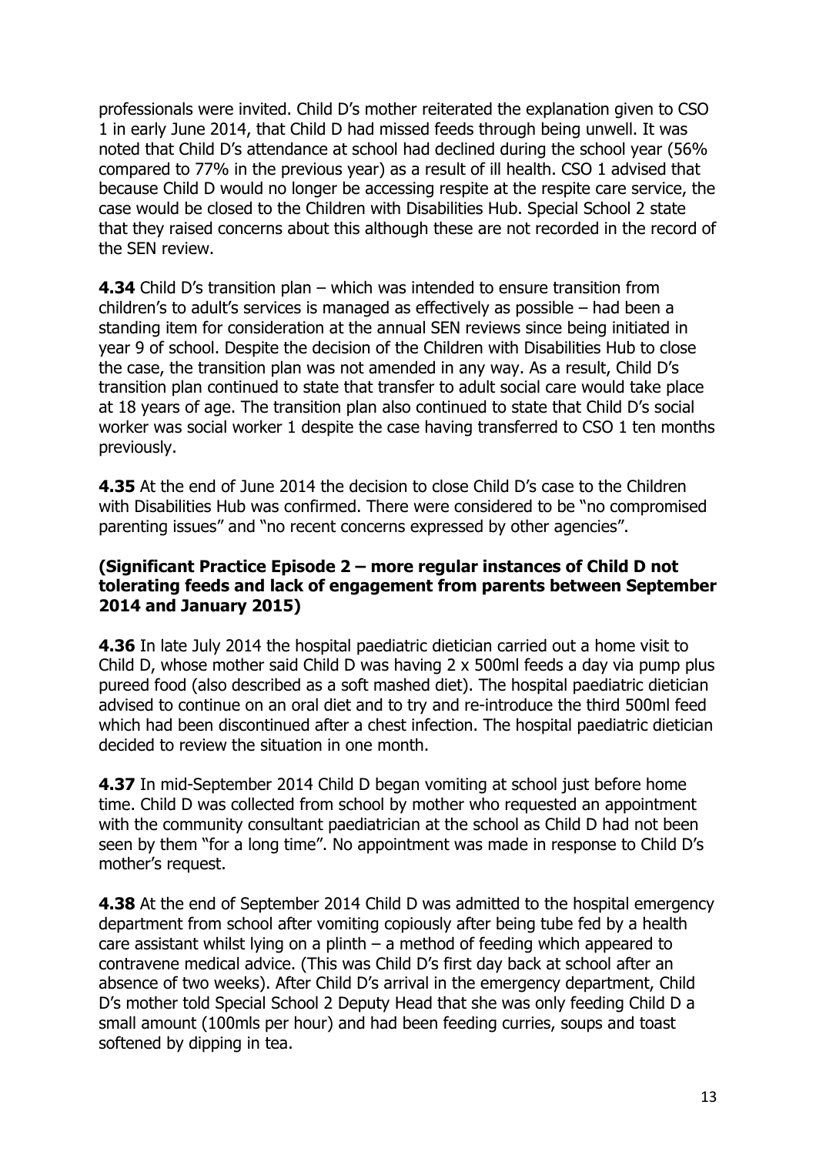professionals were invited. Child D's mother reiterated the explanation given to CSO 1 in early June 2014, that Child D had missed feeds through being unwell. It was noted that Child D's attendance at school had declined during the school year (56% compared to 77% in the previous year) as a result of ill health. CSO 1 advised that because Child D would no longer be accessing respite at the respite care service, the case would be closed to the Children with Disabilities Hub. Special School 2 state that they raised concerns about this although these are not recorded in the record of the SEN review.

**4.34** Child D's transition plan – which was intended to ensure transition from children's to adult's services is managed as effectively as possible – had been a standing item for consideration at the annual SEN reviews since being initiated in year 9 of school. Despite the decision of the Children with Disabilities Hub to close the case, the transition plan was not amended in any way. As a result, Child D's transition plan continued to state that transfer to adult social care would take place at 18 years of age. The transition plan also continued to state that Child D's social worker was social worker 1 despite the case having transferred to CSO 1 ten months previously.

**4.35** At the end of June 2014 the decision to close Child D's case to the Children with Disabilities Hub was confirmed. There were considered to be "no compromised parenting issues" and "no recent concerns expressed by other agencies".

#### **(Significant Practice Episode 2 – more regular instances of Child D not tolerating feeds and lack of engagement from parents between September 2014 and January 2015)**

**4.36** In late July 2014 the hospital paediatric dietician carried out a home visit to Child D, whose mother said Child D was having 2 x 500ml feeds a day via pump plus pureed food (also described as a soft mashed diet). The hospital paediatric dietician advised to continue on an oral diet and to try and re-introduce the third 500ml feed which had been discontinued after a chest infection. The hospital paediatric dietician decided to review the situation in one month.

**4.37** In mid-September 2014 Child D began vomiting at school just before home time. Child D was collected from school by mother who requested an appointment with the community consultant paediatrician at the school as Child D had not been seen by them "for a long time". No appointment was made in response to Child D's mother's request.

**4.38** At the end of September 2014 Child D was admitted to the hospital emergency department from school after vomiting copiously after being tube fed by a health care assistant whilst lying on a plinth – a method of feeding which appeared to contravene medical advice. (This was Child D's first day back at school after an absence of two weeks). After Child D's arrival in the emergency department, Child D's mother told Special School 2 Deputy Head that she was only feeding Child D a small amount (100mls per hour) and had been feeding curries, soups and toast softened by dipping in tea.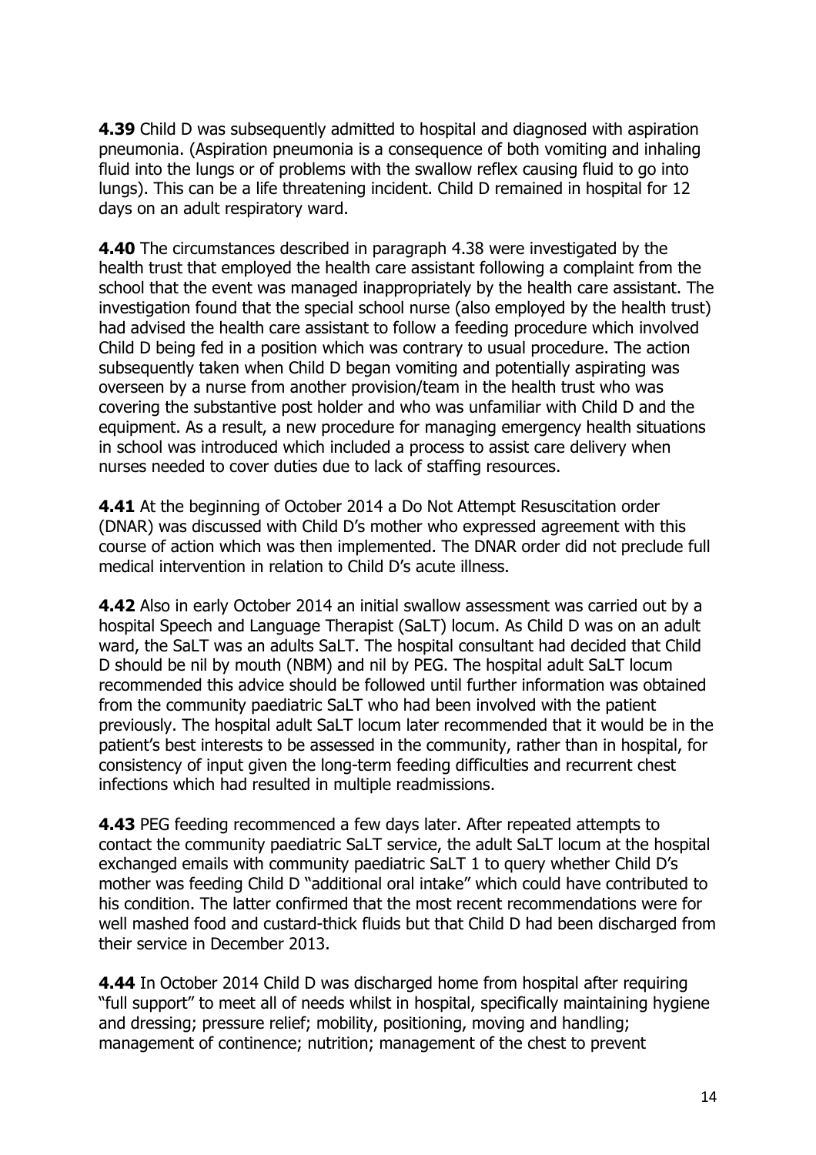**4.39** Child D was subsequently admitted to hospital and diagnosed with aspiration pneumonia. (Aspiration pneumonia is a consequence of both vomiting and inhaling fluid into the lungs or of problems with the swallow reflex causing fluid to go into lungs). This can be a life threatening incident. Child D remained in hospital for 12 days on an adult respiratory ward.

**4.40** The circumstances described in paragraph 4.38 were investigated by the health trust that employed the health care assistant following a complaint from the school that the event was managed inappropriately by the health care assistant. The investigation found that the special school nurse (also employed by the health trust) had advised the health care assistant to follow a feeding procedure which involved Child D being fed in a position which was contrary to usual procedure. The action subsequently taken when Child D began vomiting and potentially aspirating was overseen by a nurse from another provision/team in the health trust who was covering the substantive post holder and who was unfamiliar with Child D and the equipment. As a result, a new procedure for managing emergency health situations in school was introduced which included a process to assist care delivery when nurses needed to cover duties due to lack of staffing resources.

**4.41** At the beginning of October 2014 a Do Not Attempt Resuscitation order (DNAR) was discussed with Child D's mother who expressed agreement with this course of action which was then implemented. The DNAR order did not preclude full medical intervention in relation to Child D's acute illness.

**4.42** Also in early October 2014 an initial swallow assessment was carried out by a hospital Speech and Language Therapist (SaLT) locum. As Child D was on an adult ward, the SaLT was an adults SaLT. The hospital consultant had decided that Child D should be nil by mouth (NBM) and nil by PEG. The hospital adult SaLT locum recommended this advice should be followed until further information was obtained from the community paediatric SaLT who had been involved with the patient previously. The hospital adult SaLT locum later recommended that it would be in the patient's best interests to be assessed in the community, rather than in hospital, for consistency of input given the long-term feeding difficulties and recurrent chest infections which had resulted in multiple readmissions.

**4.43** PEG feeding recommenced a few days later. After repeated attempts to contact the community paediatric SaLT service, the adult SaLT locum at the hospital exchanged emails with community paediatric SaLT 1 to query whether Child D's mother was feeding Child D "additional oral intake" which could have contributed to his condition. The latter confirmed that the most recent recommendations were for well mashed food and custard-thick fluids but that Child D had been discharged from their service in December 2013.

**4.44** In October 2014 Child D was discharged home from hospital after requiring "full support" to meet all of needs whilst in hospital, specifically maintaining hygiene and dressing; pressure relief; mobility, positioning, moving and handling; management of continence; nutrition; management of the chest to prevent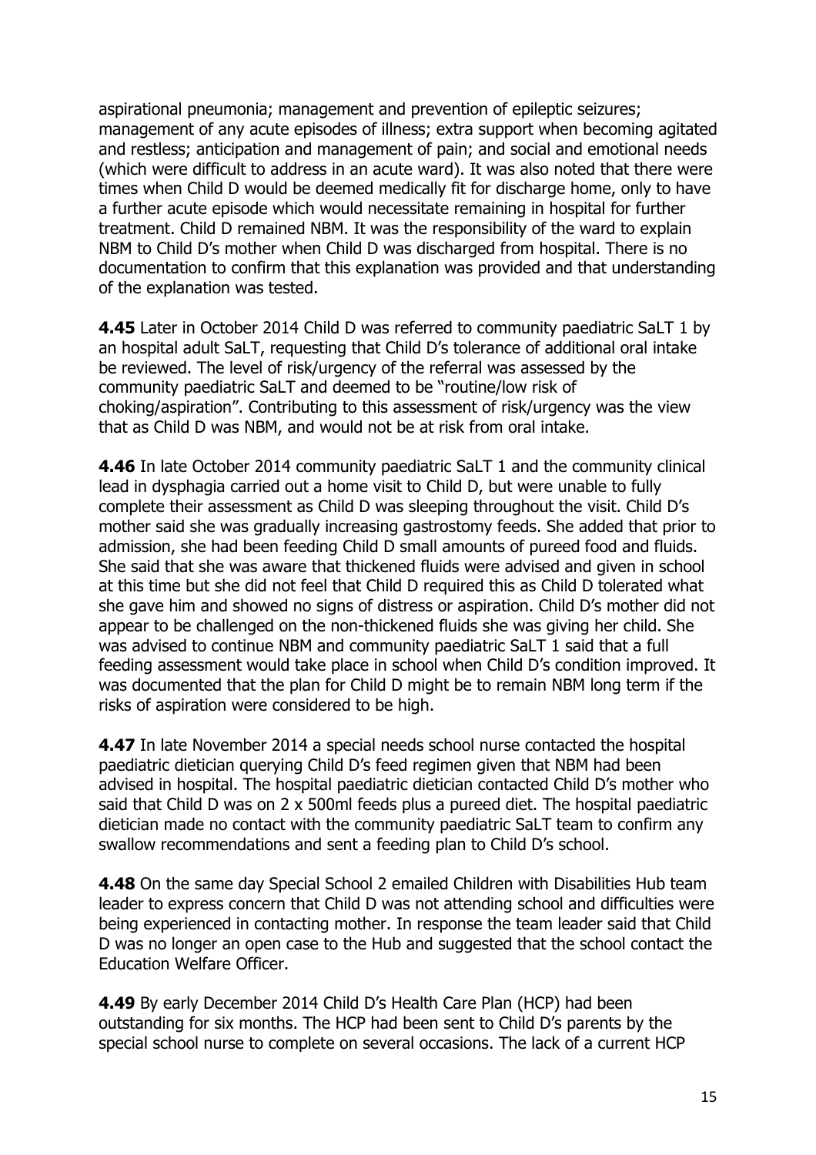aspirational pneumonia; management and prevention of epileptic seizures; management of any acute episodes of illness; extra support when becoming agitated and restless; anticipation and management of pain; and social and emotional needs (which were difficult to address in an acute ward). It was also noted that there were times when Child D would be deemed medically fit for discharge home, only to have a further acute episode which would necessitate remaining in hospital for further treatment. Child D remained NBM. It was the responsibility of the ward to explain NBM to Child D's mother when Child D was discharged from hospital. There is no documentation to confirm that this explanation was provided and that understanding of the explanation was tested.

**4.45** Later in October 2014 Child D was referred to community paediatric SaLT 1 by an hospital adult SaLT, requesting that Child D's tolerance of additional oral intake be reviewed. The level of risk/urgency of the referral was assessed by the community paediatric SaLT and deemed to be "routine/low risk of choking/aspiration". Contributing to this assessment of risk/urgency was the view that as Child D was NBM, and would not be at risk from oral intake.

**4.46** In late October 2014 community paediatric SaLT 1 and the community clinical lead in dysphagia carried out a home visit to Child D, but were unable to fully complete their assessment as Child D was sleeping throughout the visit. Child D's mother said she was gradually increasing gastrostomy feeds. She added that prior to admission, she had been feeding Child D small amounts of pureed food and fluids. She said that she was aware that thickened fluids were advised and given in school at this time but she did not feel that Child D required this as Child D tolerated what she gave him and showed no signs of distress or aspiration. Child D's mother did not appear to be challenged on the non-thickened fluids she was giving her child. She was advised to continue NBM and community paediatric SaLT 1 said that a full feeding assessment would take place in school when Child D's condition improved. It was documented that the plan for Child D might be to remain NBM long term if the risks of aspiration were considered to be high.

**4.47** In late November 2014 a special needs school nurse contacted the hospital paediatric dietician querying Child D's feed regimen given that NBM had been advised in hospital. The hospital paediatric dietician contacted Child D's mother who said that Child D was on 2 x 500ml feeds plus a pureed diet. The hospital paediatric dietician made no contact with the community paediatric SaLT team to confirm any swallow recommendations and sent a feeding plan to Child D's school.

**4.48** On the same day Special School 2 emailed Children with Disabilities Hub team leader to express concern that Child D was not attending school and difficulties were being experienced in contacting mother. In response the team leader said that Child D was no longer an open case to the Hub and suggested that the school contact the Education Welfare Officer.

**4.49** By early December 2014 Child D's Health Care Plan (HCP) had been outstanding for six months. The HCP had been sent to Child D's parents by the special school nurse to complete on several occasions. The lack of a current HCP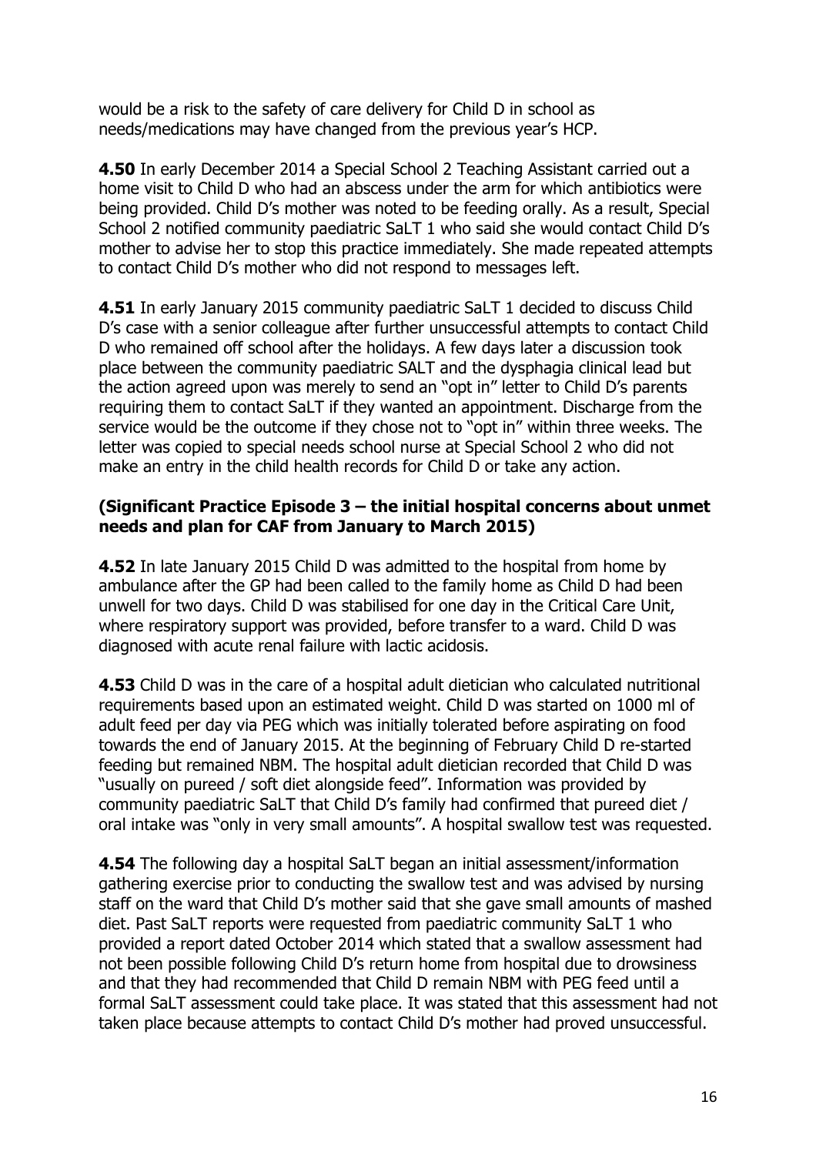would be a risk to the safety of care delivery for Child D in school as needs/medications may have changed from the previous year's HCP.

**4.50** In early December 2014 a Special School 2 Teaching Assistant carried out a home visit to Child D who had an abscess under the arm for which antibiotics were being provided. Child D's mother was noted to be feeding orally. As a result, Special School 2 notified community paediatric SaLT 1 who said she would contact Child D's mother to advise her to stop this practice immediately. She made repeated attempts to contact Child D's mother who did not respond to messages left.

**4.51** In early January 2015 community paediatric SaLT 1 decided to discuss Child D's case with a senior colleague after further unsuccessful attempts to contact Child D who remained off school after the holidays. A few days later a discussion took place between the community paediatric SALT and the dysphagia clinical lead but the action agreed upon was merely to send an "opt in" letter to Child D's parents requiring them to contact SaLT if they wanted an appointment. Discharge from the service would be the outcome if they chose not to "opt in" within three weeks. The letter was copied to special needs school nurse at Special School 2 who did not make an entry in the child health records for Child D or take any action.

#### **(Significant Practice Episode 3 – the initial hospital concerns about unmet needs and plan for CAF from January to March 2015)**

**4.52** In late January 2015 Child D was admitted to the hospital from home by ambulance after the GP had been called to the family home as Child D had been unwell for two days. Child D was stabilised for one day in the Critical Care Unit, where respiratory support was provided, before transfer to a ward. Child D was diagnosed with acute renal failure with lactic acidosis.

**4.53** Child D was in the care of a hospital adult dietician who calculated nutritional requirements based upon an estimated weight. Child D was started on 1000 ml of adult feed per day via PEG which was initially tolerated before aspirating on food towards the end of January 2015. At the beginning of February Child D re-started feeding but remained NBM. The hospital adult dietician recorded that Child D was "usually on pureed / soft diet alongside feed". Information was provided by community paediatric SaLT that Child D's family had confirmed that pureed diet / oral intake was "only in very small amounts". A hospital swallow test was requested.

**4.54** The following day a hospital SaLT began an initial assessment/information gathering exercise prior to conducting the swallow test and was advised by nursing staff on the ward that Child D's mother said that she gave small amounts of mashed diet. Past SaLT reports were requested from paediatric community SaLT 1 who provided a report dated October 2014 which stated that a swallow assessment had not been possible following Child D's return home from hospital due to drowsiness and that they had recommended that Child D remain NBM with PEG feed until a formal SaLT assessment could take place. It was stated that this assessment had not taken place because attempts to contact Child D's mother had proved unsuccessful.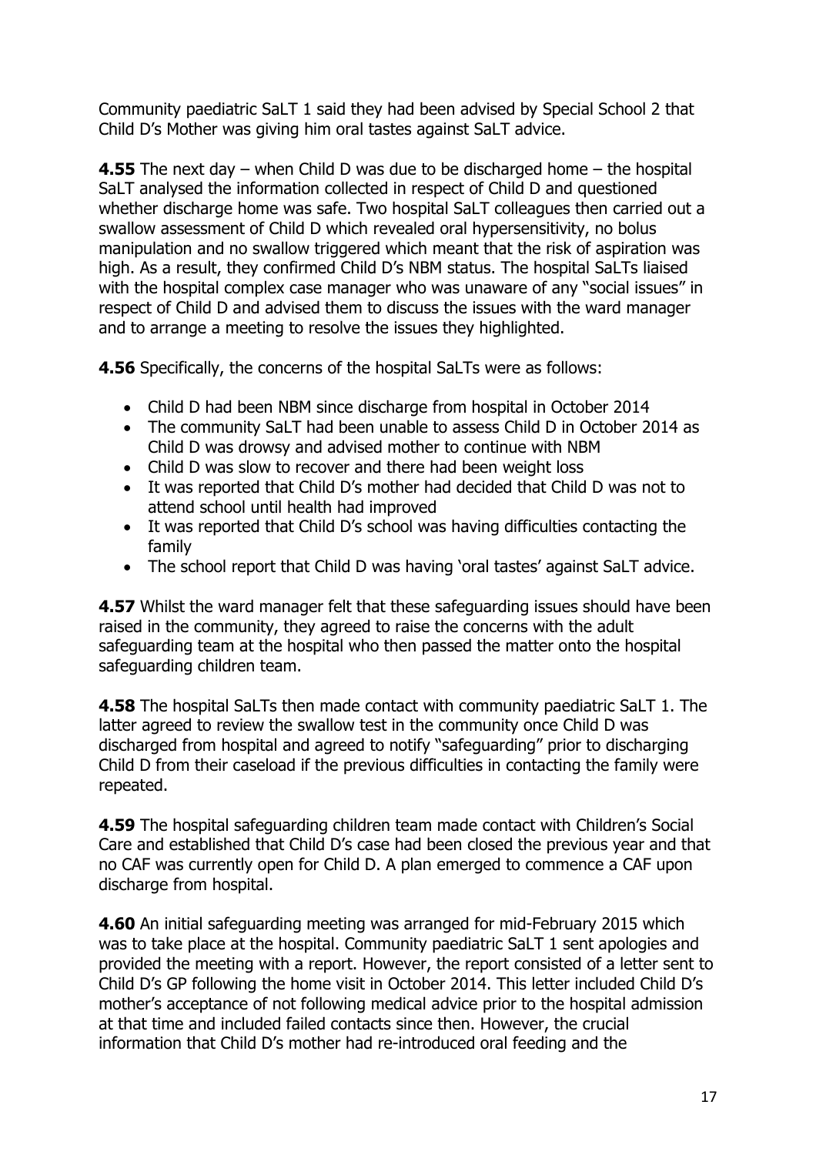Community paediatric SaLT 1 said they had been advised by Special School 2 that Child D's Mother was giving him oral tastes against SaLT advice.

**4.55** The next day – when Child D was due to be discharged home – the hospital SaLT analysed the information collected in respect of Child D and questioned whether discharge home was safe. Two hospital SaLT colleagues then carried out a swallow assessment of Child D which revealed oral hypersensitivity, no bolus manipulation and no swallow triggered which meant that the risk of aspiration was high. As a result, they confirmed Child D's NBM status. The hospital SaLTs liaised with the hospital complex case manager who was unaware of any "social issues" in respect of Child D and advised them to discuss the issues with the ward manager and to arrange a meeting to resolve the issues they highlighted.

**4.56** Specifically, the concerns of the hospital SaLTs were as follows:

- Child D had been NBM since discharge from hospital in October 2014
- The community SaLT had been unable to assess Child D in October 2014 as Child D was drowsy and advised mother to continue with NBM
- Child D was slow to recover and there had been weight loss
- It was reported that Child D's mother had decided that Child D was not to attend school until health had improved
- It was reported that Child D's school was having difficulties contacting the family
- The school report that Child D was having 'oral tastes' against SaLT advice.

**4.57** Whilst the ward manager felt that these safeguarding issues should have been raised in the community, they agreed to raise the concerns with the adult safeguarding team at the hospital who then passed the matter onto the hospital safeguarding children team.

**4.58** The hospital SaLTs then made contact with community paediatric SaLT 1. The latter agreed to review the swallow test in the community once Child D was discharged from hospital and agreed to notify "safeguarding" prior to discharging Child D from their caseload if the previous difficulties in contacting the family were repeated.

**4.59** The hospital safeguarding children team made contact with Children's Social Care and established that Child D's case had been closed the previous year and that no CAF was currently open for Child D. A plan emerged to commence a CAF upon discharge from hospital.

**4.60** An initial safeguarding meeting was arranged for mid-February 2015 which was to take place at the hospital. Community paediatric SaLT 1 sent apologies and provided the meeting with a report. However, the report consisted of a letter sent to Child D's GP following the home visit in October 2014. This letter included Child D's mother's acceptance of not following medical advice prior to the hospital admission at that time and included failed contacts since then. However, the crucial information that Child D's mother had re-introduced oral feeding and the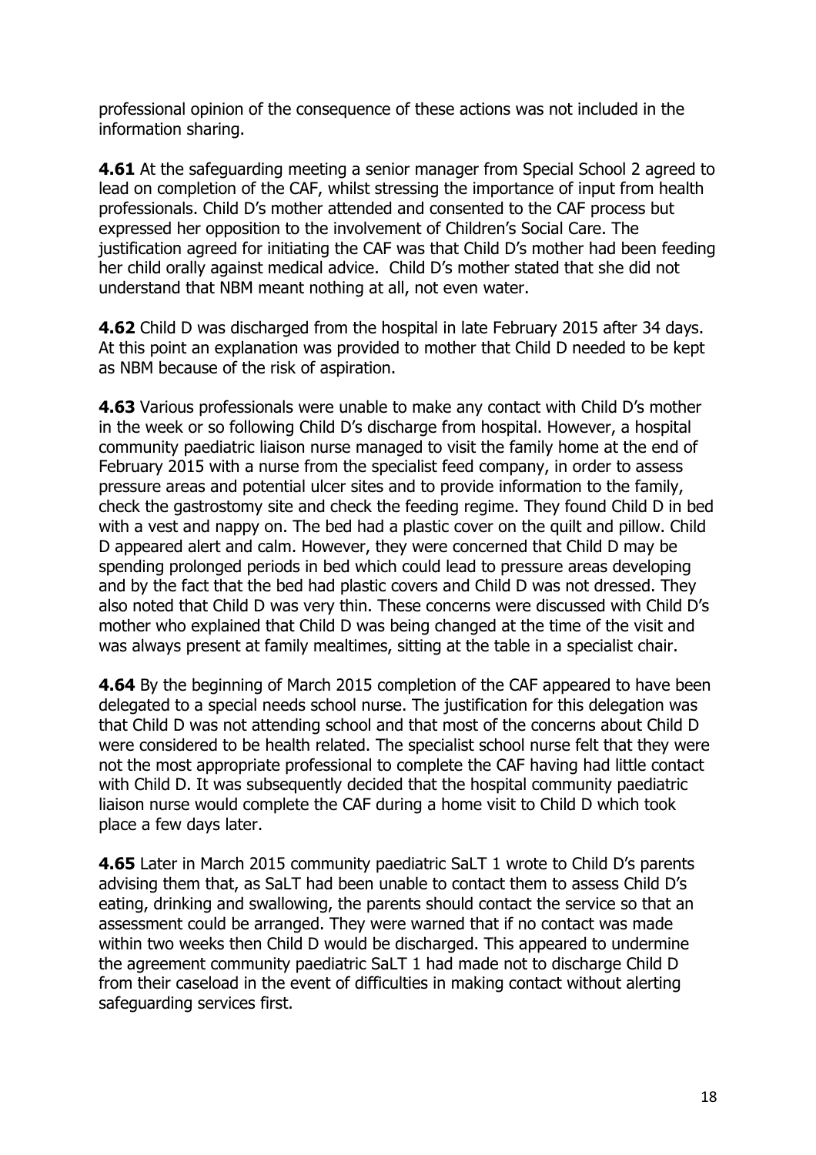professional opinion of the consequence of these actions was not included in the information sharing.

**4.61** At the safeguarding meeting a senior manager from Special School 2 agreed to lead on completion of the CAF, whilst stressing the importance of input from health professionals. Child D's mother attended and consented to the CAF process but expressed her opposition to the involvement of Children's Social Care. The justification agreed for initiating the CAF was that Child D's mother had been feeding her child orally against medical advice. Child D's mother stated that she did not understand that NBM meant nothing at all, not even water.

**4.62** Child D was discharged from the hospital in late February 2015 after 34 days. At this point an explanation was provided to mother that Child D needed to be kept as NBM because of the risk of aspiration.

**4.63** Various professionals were unable to make any contact with Child D's mother in the week or so following Child D's discharge from hospital. However, a hospital community paediatric liaison nurse managed to visit the family home at the end of February 2015 with a nurse from the specialist feed company, in order to assess pressure areas and potential ulcer sites and to provide information to the family, check the gastrostomy site and check the feeding regime. They found Child D in bed with a vest and nappy on. The bed had a plastic cover on the quilt and pillow. Child D appeared alert and calm. However, they were concerned that Child D may be spending prolonged periods in bed which could lead to pressure areas developing and by the fact that the bed had plastic covers and Child D was not dressed. They also noted that Child D was very thin. These concerns were discussed with Child D's mother who explained that Child D was being changed at the time of the visit and was always present at family mealtimes, sitting at the table in a specialist chair.

**4.64** By the beginning of March 2015 completion of the CAF appeared to have been delegated to a special needs school nurse. The justification for this delegation was that Child D was not attending school and that most of the concerns about Child D were considered to be health related. The specialist school nurse felt that they were not the most appropriate professional to complete the CAF having had little contact with Child D. It was subsequently decided that the hospital community paediatric liaison nurse would complete the CAF during a home visit to Child D which took place a few days later.

**4.65** Later in March 2015 community paediatric SaLT 1 wrote to Child D's parents advising them that, as SaLT had been unable to contact them to assess Child D's eating, drinking and swallowing, the parents should contact the service so that an assessment could be arranged. They were warned that if no contact was made within two weeks then Child D would be discharged. This appeared to undermine the agreement community paediatric SaLT 1 had made not to discharge Child D from their caseload in the event of difficulties in making contact without alerting safeguarding services first.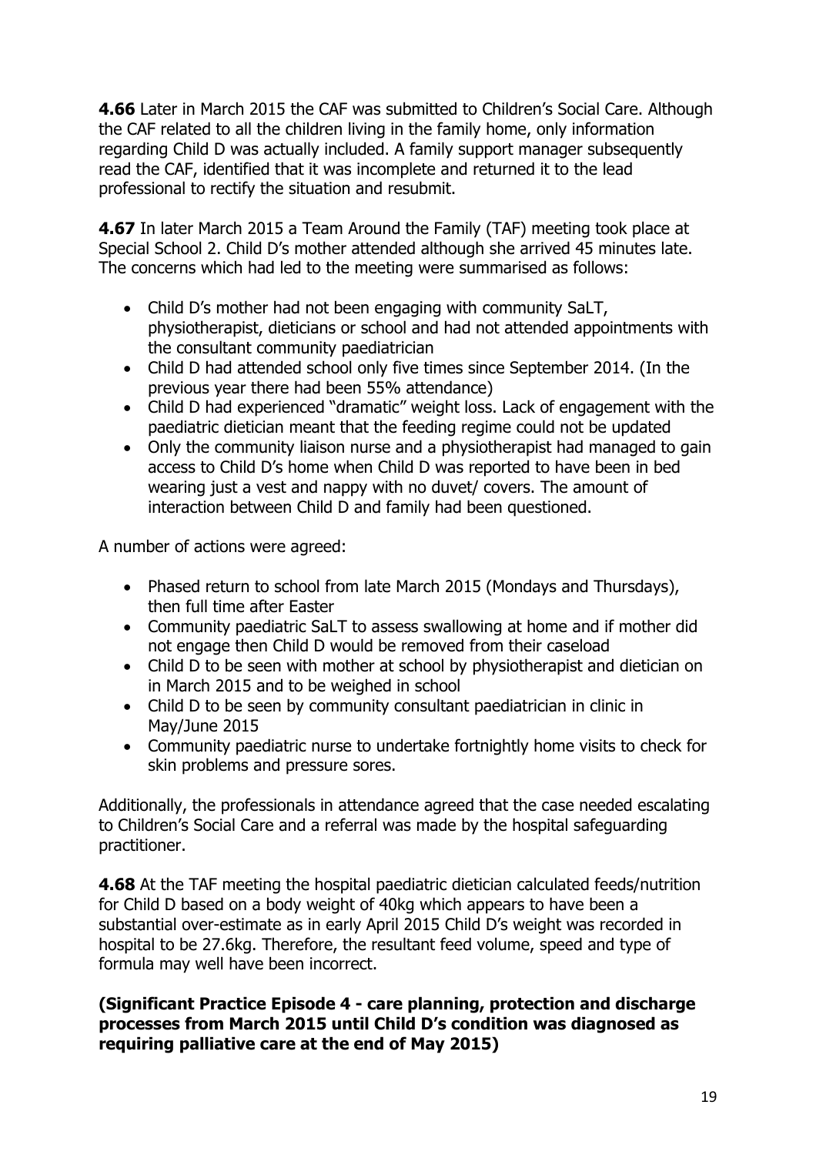**4.66** Later in March 2015 the CAF was submitted to Children's Social Care. Although the CAF related to all the children living in the family home, only information regarding Child D was actually included. A family support manager subsequently read the CAF, identified that it was incomplete and returned it to the lead professional to rectify the situation and resubmit.

**4.67** In later March 2015 a Team Around the Family (TAF) meeting took place at Special School 2. Child D's mother attended although she arrived 45 minutes late. The concerns which had led to the meeting were summarised as follows:

- Child D's mother had not been engaging with community SaLT, physiotherapist, dieticians or school and had not attended appointments with the consultant community paediatrician
- Child D had attended school only five times since September 2014. (In the previous year there had been 55% attendance)
- Child D had experienced "dramatic" weight loss. Lack of engagement with the paediatric dietician meant that the feeding regime could not be updated
- Only the community liaison nurse and a physiotherapist had managed to gain access to Child D's home when Child D was reported to have been in bed wearing just a vest and nappy with no duvet/ covers. The amount of interaction between Child D and family had been questioned.

A number of actions were agreed:

- Phased return to school from late March 2015 (Mondays and Thursdays), then full time after Easter
- Community paediatric SaLT to assess swallowing at home and if mother did not engage then Child D would be removed from their caseload
- Child D to be seen with mother at school by physiotherapist and dietician on in March 2015 and to be weighed in school
- Child D to be seen by community consultant paediatrician in clinic in May/June 2015
- Community paediatric nurse to undertake fortnightly home visits to check for skin problems and pressure sores.

Additionally, the professionals in attendance agreed that the case needed escalating to Children's Social Care and a referral was made by the hospital safeguarding practitioner.

**4.68** At the TAF meeting the hospital paediatric dietician calculated feeds/nutrition for Child D based on a body weight of 40kg which appears to have been a substantial over-estimate as in early April 2015 Child D's weight was recorded in hospital to be 27.6kg. Therefore, the resultant feed volume, speed and type of formula may well have been incorrect.

## **(Significant Practice Episode 4 - care planning, protection and discharge processes from March 2015 until Child D's condition was diagnosed as requiring palliative care at the end of May 2015)**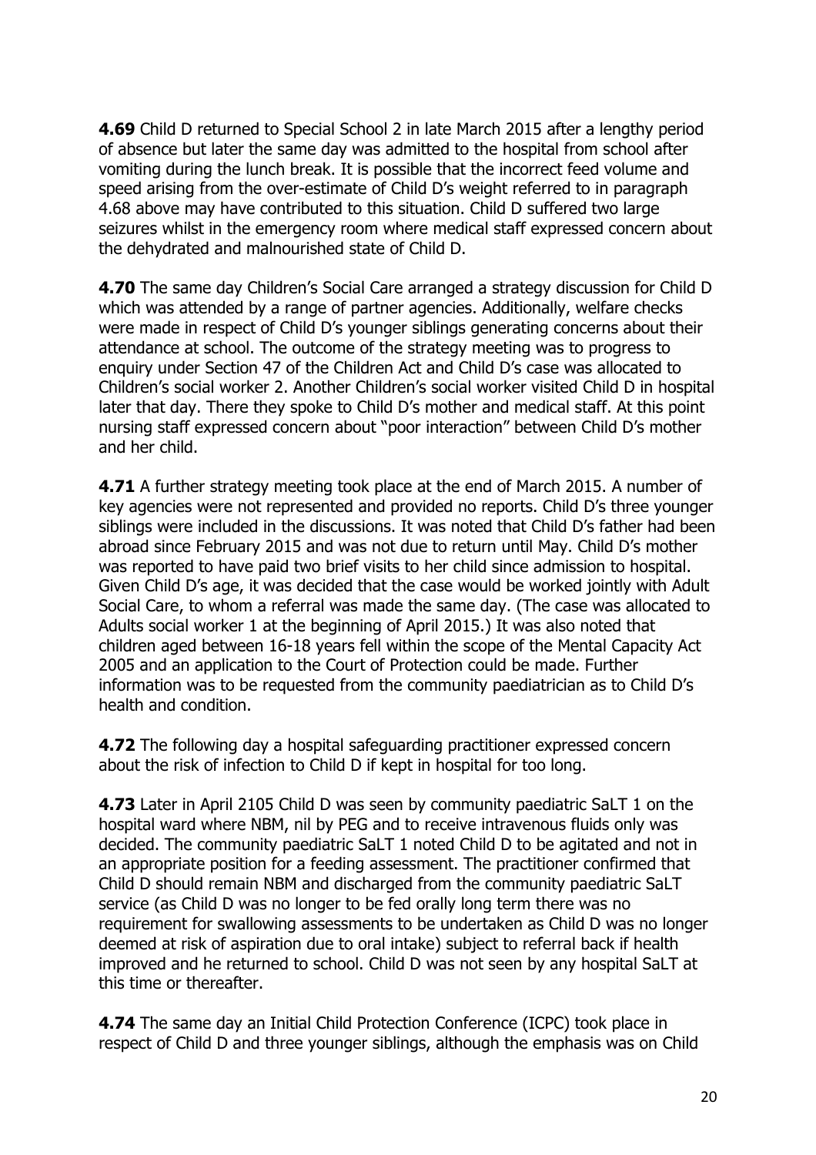**4.69** Child D returned to Special School 2 in late March 2015 after a lengthy period of absence but later the same day was admitted to the hospital from school after vomiting during the lunch break. It is possible that the incorrect feed volume and speed arising from the over-estimate of Child D's weight referred to in paragraph 4.68 above may have contributed to this situation. Child D suffered two large seizures whilst in the emergency room where medical staff expressed concern about the dehydrated and malnourished state of Child D.

**4.70** The same day Children's Social Care arranged a strategy discussion for Child D which was attended by a range of partner agencies. Additionally, welfare checks were made in respect of Child D's younger siblings generating concerns about their attendance at school. The outcome of the strategy meeting was to progress to enquiry under Section 47 of the Children Act and Child D's case was allocated to Children's social worker 2. Another Children's social worker visited Child D in hospital later that day. There they spoke to Child D's mother and medical staff. At this point nursing staff expressed concern about "poor interaction" between Child D's mother and her child.

**4.71** A further strategy meeting took place at the end of March 2015. A number of key agencies were not represented and provided no reports. Child D's three younger siblings were included in the discussions. It was noted that Child D's father had been abroad since February 2015 and was not due to return until May. Child D's mother was reported to have paid two brief visits to her child since admission to hospital. Given Child D's age, it was decided that the case would be worked jointly with Adult Social Care, to whom a referral was made the same day. (The case was allocated to Adults social worker 1 at the beginning of April 2015.) It was also noted that children aged between 16-18 years fell within the scope of the Mental Capacity Act 2005 and an application to the Court of Protection could be made. Further information was to be requested from the community paediatrician as to Child D's health and condition.

**4.72** The following day a hospital safeguarding practitioner expressed concern about the risk of infection to Child D if kept in hospital for too long.

**4.73** Later in April 2105 Child D was seen by community paediatric SaLT 1 on the hospital ward where NBM, nil by PEG and to receive intravenous fluids only was decided. The community paediatric SaLT 1 noted Child D to be agitated and not in an appropriate position for a feeding assessment. The practitioner confirmed that Child D should remain NBM and discharged from the community paediatric SaLT service (as Child D was no longer to be fed orally long term there was no requirement for swallowing assessments to be undertaken as Child D was no longer deemed at risk of aspiration due to oral intake) subject to referral back if health improved and he returned to school. Child D was not seen by any hospital SaLT at this time or thereafter.

**4.74** The same day an Initial Child Protection Conference (ICPC) took place in respect of Child D and three younger siblings, although the emphasis was on Child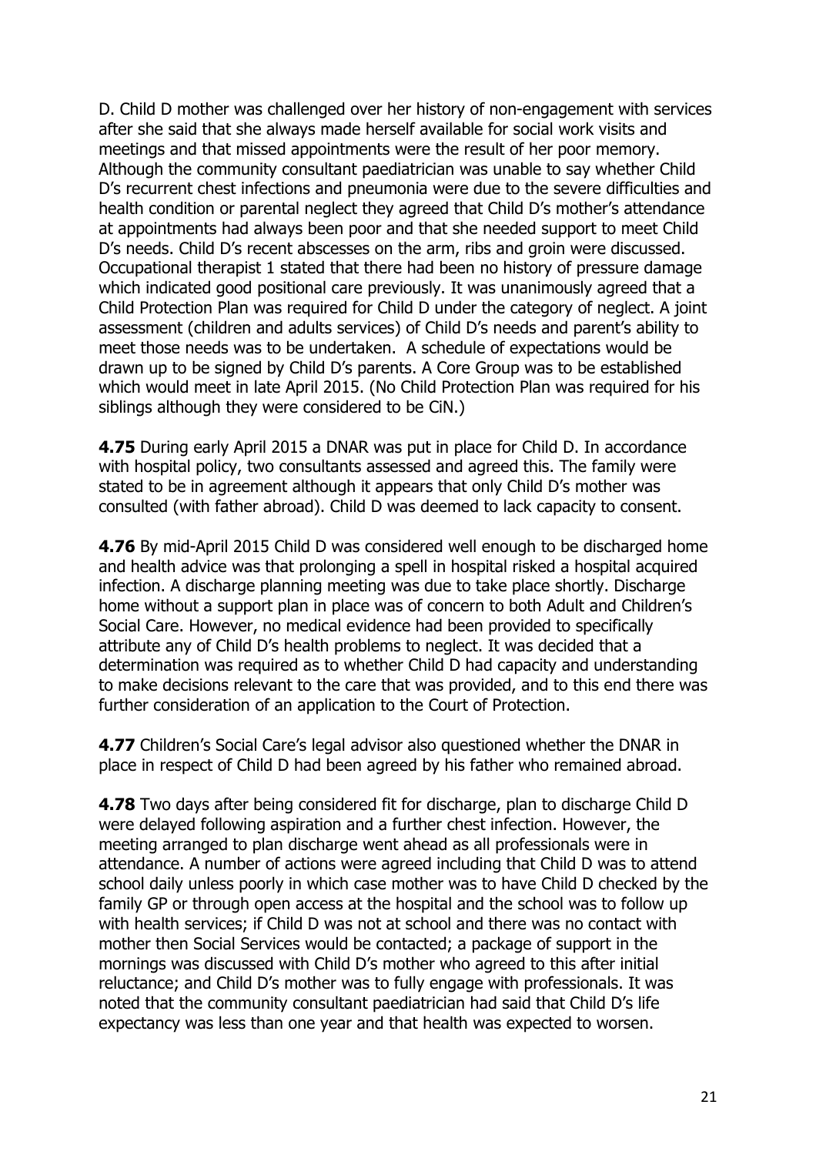D. Child D mother was challenged over her history of non-engagement with services after she said that she always made herself available for social work visits and meetings and that missed appointments were the result of her poor memory. Although the community consultant paediatrician was unable to say whether Child D's recurrent chest infections and pneumonia were due to the severe difficulties and health condition or parental neglect they agreed that Child D's mother's attendance at appointments had always been poor and that she needed support to meet Child D's needs. Child D's recent abscesses on the arm, ribs and groin were discussed. Occupational therapist 1 stated that there had been no history of pressure damage which indicated good positional care previously. It was unanimously agreed that a Child Protection Plan was required for Child D under the category of neglect. A joint assessment (children and adults services) of Child D's needs and parent's ability to meet those needs was to be undertaken. A schedule of expectations would be drawn up to be signed by Child D's parents. A Core Group was to be established which would meet in late April 2015. (No Child Protection Plan was required for his siblings although they were considered to be CiN.)

**4.75** During early April 2015 a DNAR was put in place for Child D. In accordance with hospital policy, two consultants assessed and agreed this. The family were stated to be in agreement although it appears that only Child D's mother was consulted (with father abroad). Child D was deemed to lack capacity to consent.

**4.76** By mid-April 2015 Child D was considered well enough to be discharged home and health advice was that prolonging a spell in hospital risked a hospital acquired infection. A discharge planning meeting was due to take place shortly. Discharge home without a support plan in place was of concern to both Adult and Children's Social Care. However, no medical evidence had been provided to specifically attribute any of Child D's health problems to neglect. It was decided that a determination was required as to whether Child D had capacity and understanding to make decisions relevant to the care that was provided, and to this end there was further consideration of an application to the Court of Protection.

**4.77** Children's Social Care's legal advisor also questioned whether the DNAR in place in respect of Child D had been agreed by his father who remained abroad.

**4.78** Two days after being considered fit for discharge, plan to discharge Child D were delayed following aspiration and a further chest infection. However, the meeting arranged to plan discharge went ahead as all professionals were in attendance. A number of actions were agreed including that Child D was to attend school daily unless poorly in which case mother was to have Child D checked by the family GP or through open access at the hospital and the school was to follow up with health services; if Child D was not at school and there was no contact with mother then Social Services would be contacted; a package of support in the mornings was discussed with Child D's mother who agreed to this after initial reluctance; and Child D's mother was to fully engage with professionals. It was noted that the community consultant paediatrician had said that Child D's life expectancy was less than one year and that health was expected to worsen.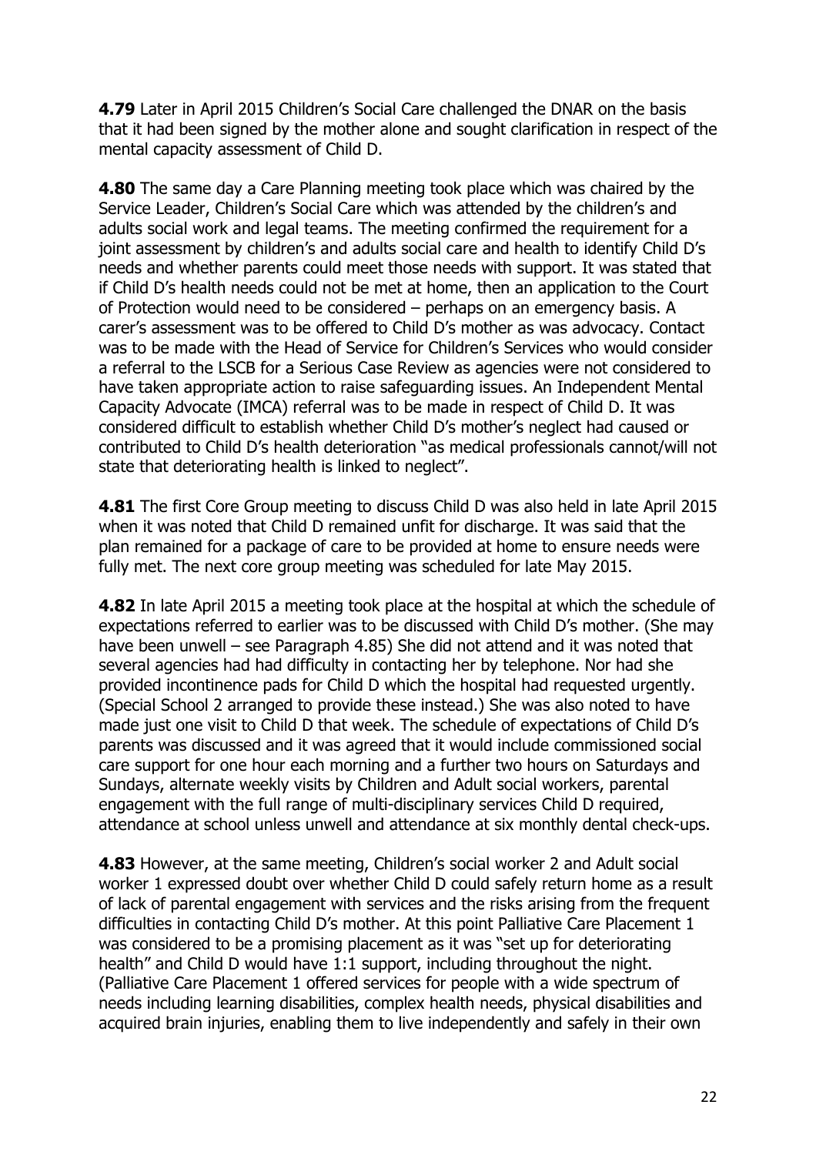**4.79** Later in April 2015 Children's Social Care challenged the DNAR on the basis that it had been signed by the mother alone and sought clarification in respect of the mental capacity assessment of Child D.

**4.80** The same day a Care Planning meeting took place which was chaired by the Service Leader, Children's Social Care which was attended by the children's and adults social work and legal teams. The meeting confirmed the requirement for a joint assessment by children's and adults social care and health to identify Child D's needs and whether parents could meet those needs with support. It was stated that if Child D's health needs could not be met at home, then an application to the Court of Protection would need to be considered – perhaps on an emergency basis. A carer's assessment was to be offered to Child D's mother as was advocacy. Contact was to be made with the Head of Service for Children's Services who would consider a referral to the LSCB for a Serious Case Review as agencies were not considered to have taken appropriate action to raise safeguarding issues. An Independent Mental Capacity Advocate (IMCA) referral was to be made in respect of Child D. It was considered difficult to establish whether Child D's mother's neglect had caused or contributed to Child D's health deterioration "as medical professionals cannot/will not state that deteriorating health is linked to neglect".

**4.81** The first Core Group meeting to discuss Child D was also held in late April 2015 when it was noted that Child D remained unfit for discharge. It was said that the plan remained for a package of care to be provided at home to ensure needs were fully met. The next core group meeting was scheduled for late May 2015.

**4.82** In late April 2015 a meeting took place at the hospital at which the schedule of expectations referred to earlier was to be discussed with Child D's mother. (She may have been unwell – see Paragraph 4.85) She did not attend and it was noted that several agencies had had difficulty in contacting her by telephone. Nor had she provided incontinence pads for Child D which the hospital had requested urgently. (Special School 2 arranged to provide these instead.) She was also noted to have made just one visit to Child D that week. The schedule of expectations of Child D's parents was discussed and it was agreed that it would include commissioned social care support for one hour each morning and a further two hours on Saturdays and Sundays, alternate weekly visits by Children and Adult social workers, parental engagement with the full range of multi-disciplinary services Child D required, attendance at school unless unwell and attendance at six monthly dental check-ups.

**4.83** However, at the same meeting, Children's social worker 2 and Adult social worker 1 expressed doubt over whether Child D could safely return home as a result of lack of parental engagement with services and the risks arising from the frequent difficulties in contacting Child D's mother. At this point Palliative Care Placement 1 was considered to be a promising placement as it was "set up for deteriorating health" and Child D would have 1:1 support, including throughout the night. (Palliative Care Placement 1 offered services for people with a wide spectrum of needs including learning disabilities, complex health needs, physical disabilities and acquired brain injuries, enabling them to live independently and safely in their own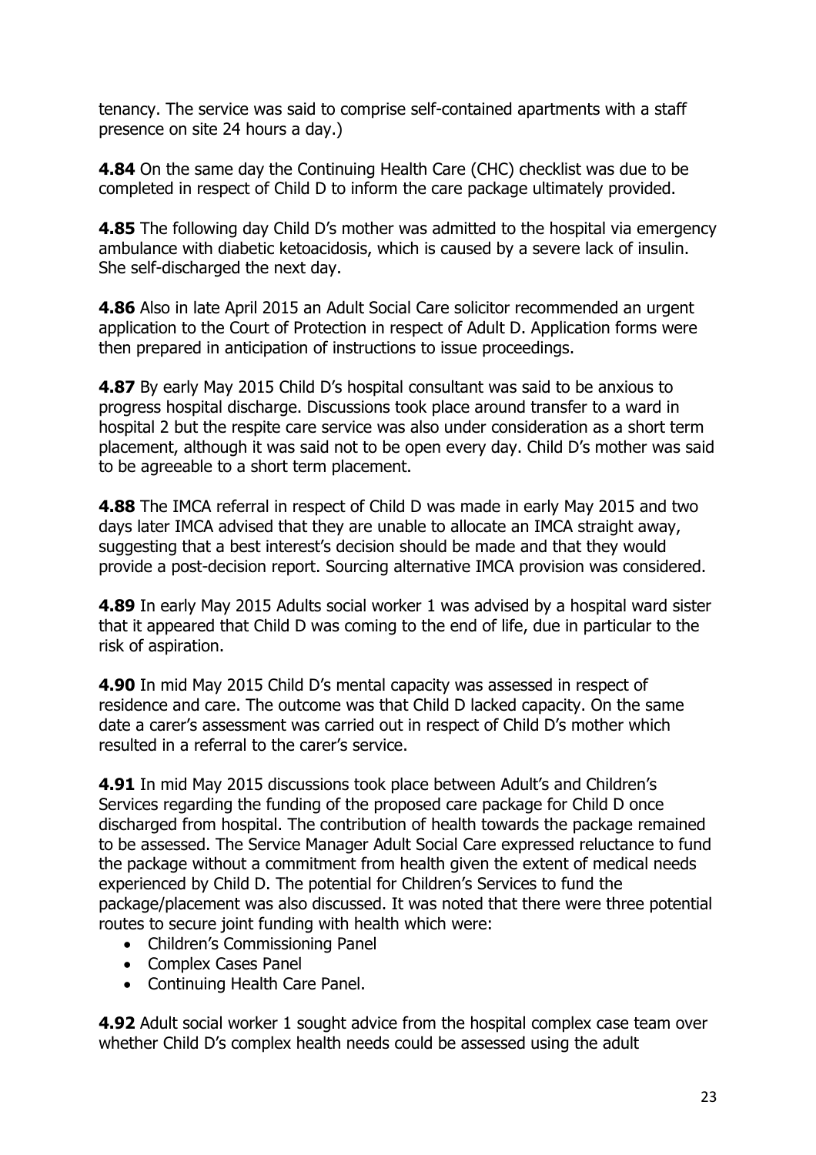tenancy. The service was said to comprise self-contained apartments with a staff presence on site 24 hours a day.)

**4.84** On the same day the Continuing Health Care (CHC) checklist was due to be completed in respect of Child D to inform the care package ultimately provided.

**4.85** The following day Child D's mother was admitted to the hospital via emergency ambulance with diabetic ketoacidosis, which is caused by a severe lack of insulin. She self-discharged the next day.

**4.86** Also in late April 2015 an Adult Social Care solicitor recommended an urgent application to the Court of Protection in respect of Adult D. Application forms were then prepared in anticipation of instructions to issue proceedings.

**4.87** By early May 2015 Child D's hospital consultant was said to be anxious to progress hospital discharge. Discussions took place around transfer to a ward in hospital 2 but the respite care service was also under consideration as a short term placement, although it was said not to be open every day. Child D's mother was said to be agreeable to a short term placement.

**4.88** The IMCA referral in respect of Child D was made in early May 2015 and two days later IMCA advised that they are unable to allocate an IMCA straight away, suggesting that a best interest's decision should be made and that they would provide a post-decision report. Sourcing alternative IMCA provision was considered.

**4.89** In early May 2015 Adults social worker 1 was advised by a hospital ward sister that it appeared that Child D was coming to the end of life, due in particular to the risk of aspiration.

**4.90** In mid May 2015 Child D's mental capacity was assessed in respect of residence and care. The outcome was that Child D lacked capacity. On the same date a carer's assessment was carried out in respect of Child D's mother which resulted in a referral to the carer's service.

**4.91** In mid May 2015 discussions took place between Adult's and Children's Services regarding the funding of the proposed care package for Child D once discharged from hospital. The contribution of health towards the package remained to be assessed. The Service Manager Adult Social Care expressed reluctance to fund the package without a commitment from health given the extent of medical needs experienced by Child D. The potential for Children's Services to fund the package/placement was also discussed. It was noted that there were three potential routes to secure joint funding with health which were:

- Children's Commissioning Panel
- Complex Cases Panel
- Continuing Health Care Panel.

**4.92** Adult social worker 1 sought advice from the hospital complex case team over whether Child D's complex health needs could be assessed using the adult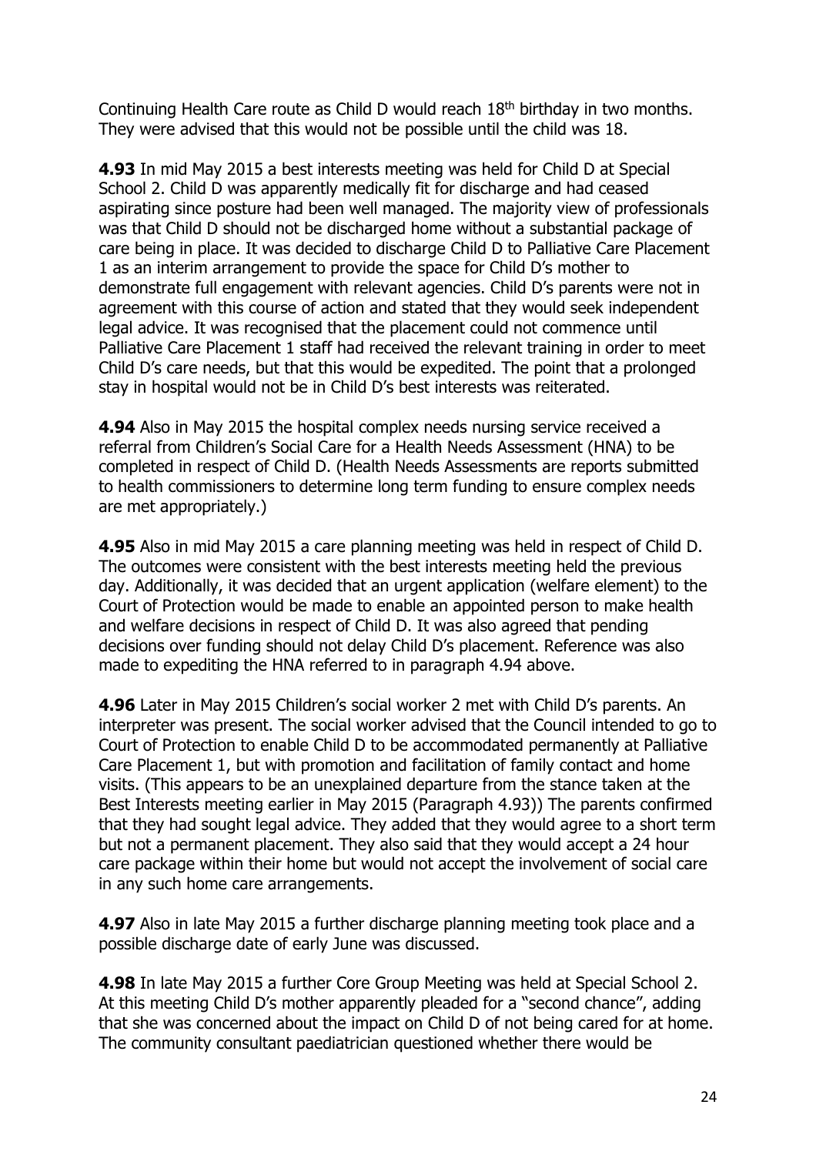Continuing Health Care route as Child D would reach 18<sup>th</sup> birthday in two months. They were advised that this would not be possible until the child was 18.

**4.93** In mid May 2015 a best interests meeting was held for Child D at Special School 2. Child D was apparently medically fit for discharge and had ceased aspirating since posture had been well managed. The majority view of professionals was that Child D should not be discharged home without a substantial package of care being in place. It was decided to discharge Child D to Palliative Care Placement 1 as an interim arrangement to provide the space for Child D's mother to demonstrate full engagement with relevant agencies. Child D's parents were not in agreement with this course of action and stated that they would seek independent legal advice. It was recognised that the placement could not commence until Palliative Care Placement 1 staff had received the relevant training in order to meet Child D's care needs, but that this would be expedited. The point that a prolonged stay in hospital would not be in Child D's best interests was reiterated.

**4.94** Also in May 2015 the hospital complex needs nursing service received a referral from Children's Social Care for a Health Needs Assessment (HNA) to be completed in respect of Child D. (Health Needs Assessments are reports submitted to health commissioners to determine long term funding to ensure complex needs are met appropriately.)

**4.95** Also in mid May 2015 a care planning meeting was held in respect of Child D. The outcomes were consistent with the best interests meeting held the previous day. Additionally, it was decided that an urgent application (welfare element) to the Court of Protection would be made to enable an appointed person to make health and welfare decisions in respect of Child D. It was also agreed that pending decisions over funding should not delay Child D's placement. Reference was also made to expediting the HNA referred to in paragraph 4.94 above.

**4.96** Later in May 2015 Children's social worker 2 met with Child D's parents. An interpreter was present. The social worker advised that the Council intended to go to Court of Protection to enable Child D to be accommodated permanently at Palliative Care Placement 1, but with promotion and facilitation of family contact and home visits. (This appears to be an unexplained departure from the stance taken at the Best Interests meeting earlier in May 2015 (Paragraph 4.93)) The parents confirmed that they had sought legal advice. They added that they would agree to a short term but not a permanent placement. They also said that they would accept a 24 hour care package within their home but would not accept the involvement of social care in any such home care arrangements.

**4.97** Also in late May 2015 a further discharge planning meeting took place and a possible discharge date of early June was discussed.

**4.98** In late May 2015 a further Core Group Meeting was held at Special School 2. At this meeting Child D's mother apparently pleaded for a "second chance", adding that she was concerned about the impact on Child D of not being cared for at home. The community consultant paediatrician questioned whether there would be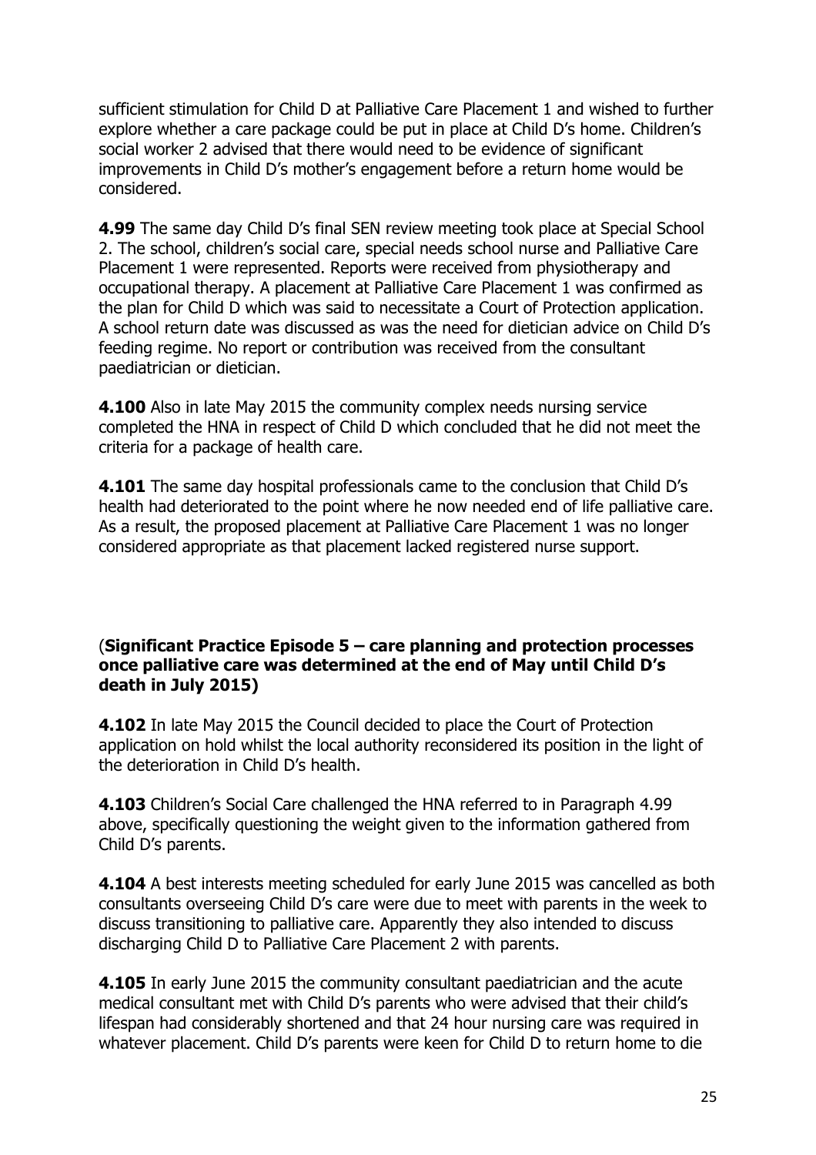sufficient stimulation for Child D at Palliative Care Placement 1 and wished to further explore whether a care package could be put in place at Child D's home. Children's social worker 2 advised that there would need to be evidence of significant improvements in Child D's mother's engagement before a return home would be considered.

**4.99** The same day Child D's final SEN review meeting took place at Special School 2. The school, children's social care, special needs school nurse and Palliative Care Placement 1 were represented. Reports were received from physiotherapy and occupational therapy. A placement at Palliative Care Placement 1 was confirmed as the plan for Child D which was said to necessitate a Court of Protection application. A school return date was discussed as was the need for dietician advice on Child D's feeding regime. No report or contribution was received from the consultant paediatrician or dietician.

**4.100** Also in late May 2015 the community complex needs nursing service completed the HNA in respect of Child D which concluded that he did not meet the criteria for a package of health care.

**4.101** The same day hospital professionals came to the conclusion that Child D's health had deteriorated to the point where he now needed end of life palliative care. As a result, the proposed placement at Palliative Care Placement 1 was no longer considered appropriate as that placement lacked registered nurse support.

#### (**Significant Practice Episode 5 – care planning and protection processes once palliative care was determined at the end of May until Child D's death in July 2015)**

**4.102** In late May 2015 the Council decided to place the Court of Protection application on hold whilst the local authority reconsidered its position in the light of the deterioration in Child D's health.

**4.103** Children's Social Care challenged the HNA referred to in Paragraph 4.99 above, specifically questioning the weight given to the information gathered from Child D's parents.

**4.104** A best interests meeting scheduled for early June 2015 was cancelled as both consultants overseeing Child D's care were due to meet with parents in the week to discuss transitioning to palliative care. Apparently they also intended to discuss discharging Child D to Palliative Care Placement 2 with parents.

**4.105** In early June 2015 the community consultant paediatrician and the acute medical consultant met with Child D's parents who were advised that their child's lifespan had considerably shortened and that 24 hour nursing care was required in whatever placement. Child D's parents were keen for Child D to return home to die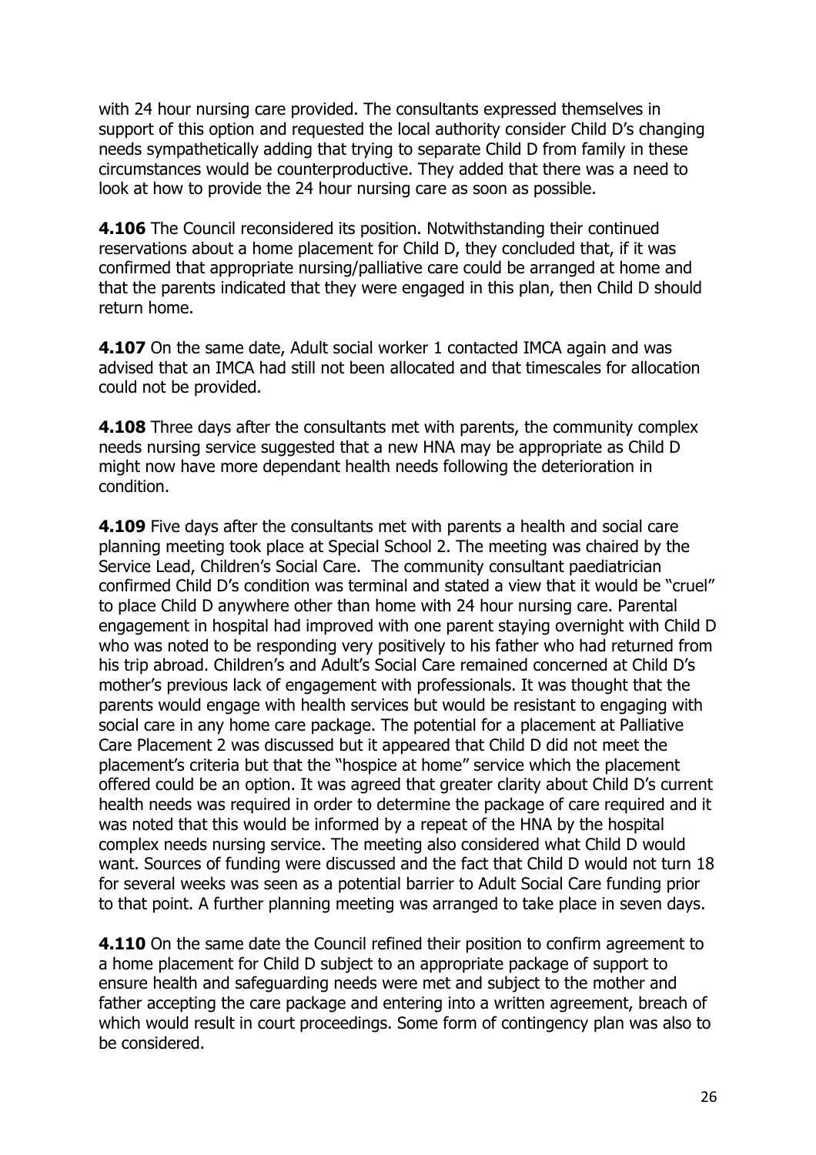with 24 hour nursing care provided. The consultants expressed themselves in support of this option and requested the local authority consider Child D's changing needs sympathetically adding that trying to separate Child D from family in these circumstances would be counterproductive. They added that there was a need to look at how to provide the 24 hour nursing care as soon as possible.

**4.106** The Council reconsidered its position. Notwithstanding their continued reservations about a home placement for Child D, they concluded that, if it was confirmed that appropriate nursing/palliative care could be arranged at home and that the parents indicated that they were engaged in this plan, then Child D should return home.

**4.107** On the same date, Adult social worker 1 contacted IMCA again and was advised that an IMCA had still not been allocated and that timescales for allocation could not be provided.

**4.108** Three days after the consultants met with parents, the community complex needs nursing service suggested that a new HNA may be appropriate as Child D might now have more dependant health needs following the deterioration in condition.

**4.109** Five days after the consultants met with parents a health and social care planning meeting took place at Special School 2. The meeting was chaired by the Service Lead, Children's Social Care. The community consultant paediatrician confirmed Child D's condition was terminal and stated a view that it would be "cruel" to place Child D anywhere other than home with 24 hour nursing care. Parental engagement in hospital had improved with one parent staying overnight with Child D who was noted to be responding very positively to his father who had returned from his trip abroad. Children's and Adult's Social Care remained concerned at Child D's mother's previous lack of engagement with professionals. It was thought that the parents would engage with health services but would be resistant to engaging with social care in any home care package. The potential for a placement at Palliative Care Placement 2 was discussed but it appeared that Child D did not meet the placement's criteria but that the "hospice at home" service which the placement offered could be an option. It was agreed that greater clarity about Child D's current health needs was required in order to determine the package of care required and it was noted that this would be informed by a repeat of the HNA by the hospital complex needs nursing service. The meeting also considered what Child D would want. Sources of funding were discussed and the fact that Child D would not turn 18 for several weeks was seen as a potential barrier to Adult Social Care funding prior to that point. A further planning meeting was arranged to take place in seven days.

**4.110** On the same date the Council refined their position to confirm agreement to a home placement for Child D subject to an appropriate package of support to ensure health and safeguarding needs were met and subject to the mother and father accepting the care package and entering into a written agreement, breach of which would result in court proceedings. Some form of contingency plan was also to be considered.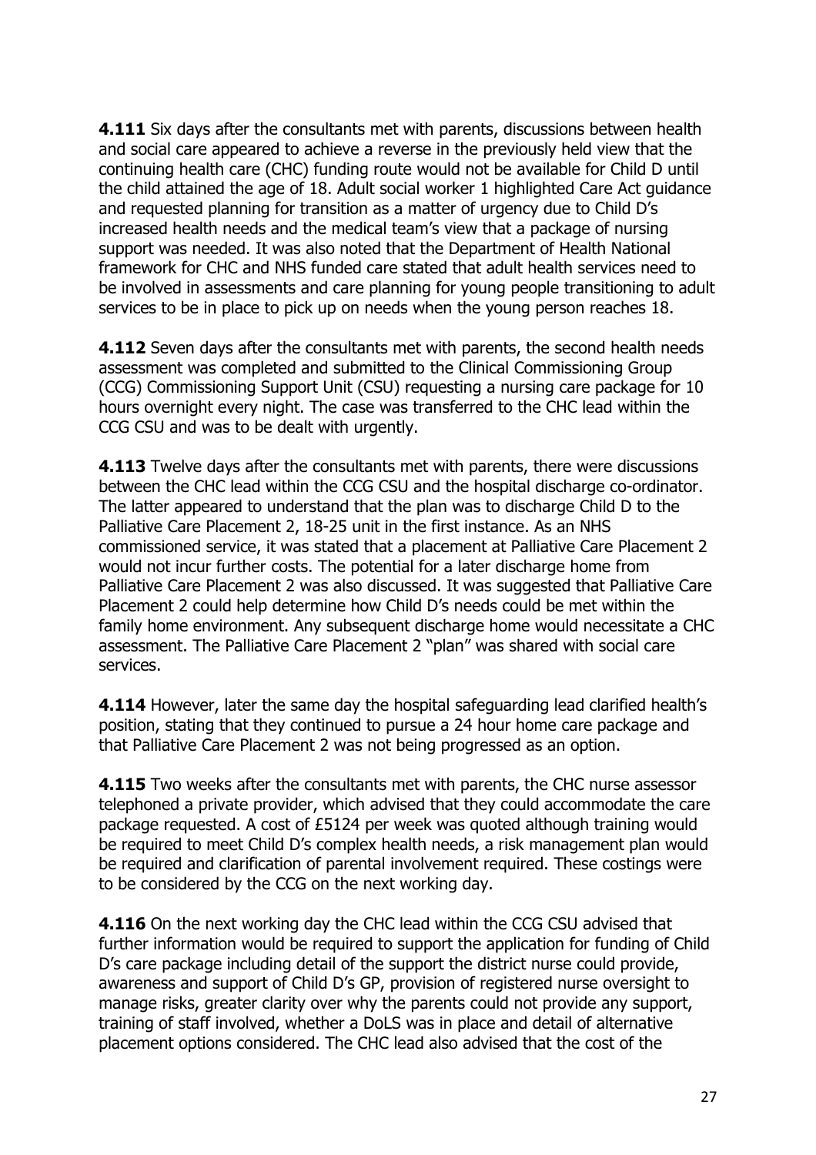**4.111** Six days after the consultants met with parents, discussions between health and social care appeared to achieve a reverse in the previously held view that the continuing health care (CHC) funding route would not be available for Child D until the child attained the age of 18. Adult social worker 1 highlighted Care Act guidance and requested planning for transition as a matter of urgency due to Child D's increased health needs and the medical team's view that a package of nursing support was needed. It was also noted that the Department of Health National framework for CHC and NHS funded care stated that adult health services need to be involved in assessments and care planning for young people transitioning to adult services to be in place to pick up on needs when the young person reaches 18.

**4.112** Seven days after the consultants met with parents, the second health needs assessment was completed and submitted to the Clinical Commissioning Group (CCG) Commissioning Support Unit (CSU) requesting a nursing care package for 10 hours overnight every night. The case was transferred to the CHC lead within the CCG CSU and was to be dealt with urgently.

**4.113** Twelve days after the consultants met with parents, there were discussions between the CHC lead within the CCG CSU and the hospital discharge co-ordinator. The latter appeared to understand that the plan was to discharge Child D to the Palliative Care Placement 2, 18-25 unit in the first instance. As an NHS commissioned service, it was stated that a placement at Palliative Care Placement 2 would not incur further costs. The potential for a later discharge home from Palliative Care Placement 2 was also discussed. It was suggested that Palliative Care Placement 2 could help determine how Child D's needs could be met within the family home environment. Any subsequent discharge home would necessitate a CHC assessment. The Palliative Care Placement 2 "plan" was shared with social care services.

**4.114** However, later the same day the hospital safeguarding lead clarified health's position, stating that they continued to pursue a 24 hour home care package and that Palliative Care Placement 2 was not being progressed as an option.

**4.115** Two weeks after the consultants met with parents, the CHC nurse assessor telephoned a private provider, which advised that they could accommodate the care package requested. A cost of £5124 per week was quoted although training would be required to meet Child D's complex health needs, a risk management plan would be required and clarification of parental involvement required. These costings were to be considered by the CCG on the next working day.

**4.116** On the next working day the CHC lead within the CCG CSU advised that further information would be required to support the application for funding of Child D's care package including detail of the support the district nurse could provide, awareness and support of Child D's GP, provision of registered nurse oversight to manage risks, greater clarity over why the parents could not provide any support, training of staff involved, whether a DoLS was in place and detail of alternative placement options considered. The CHC lead also advised that the cost of the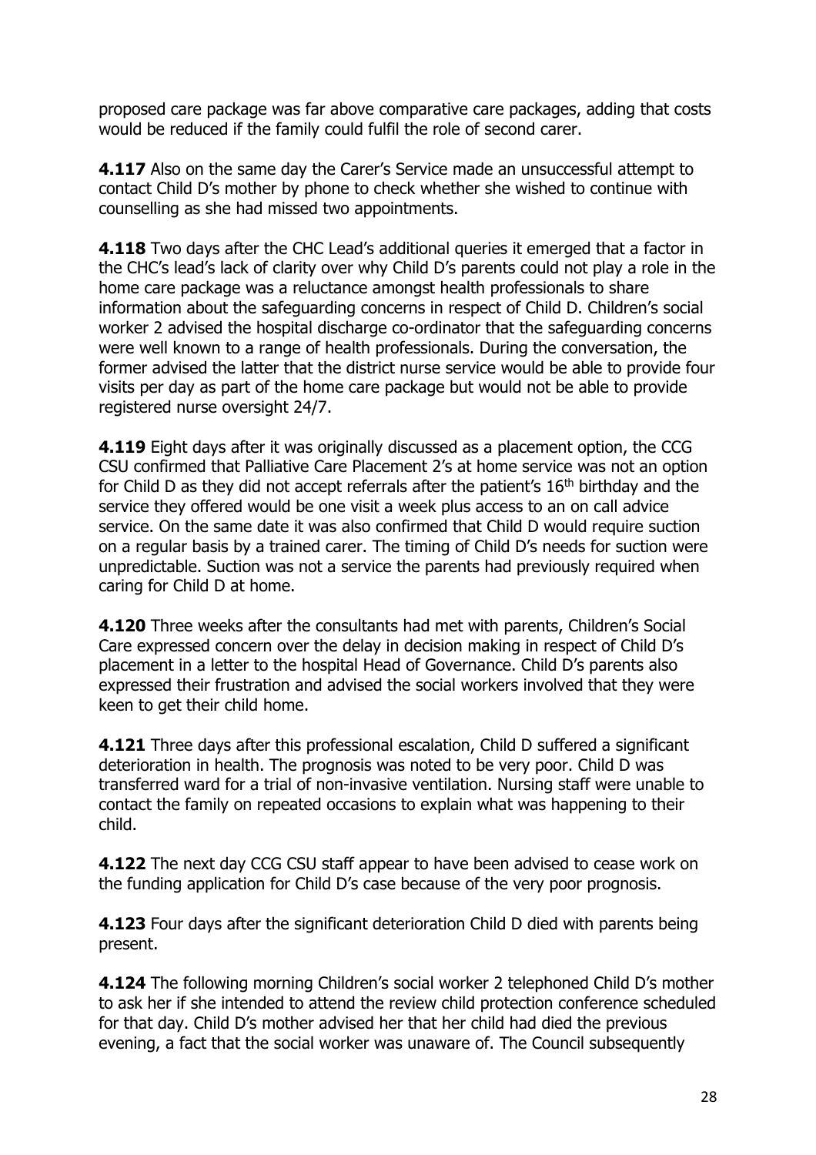proposed care package was far above comparative care packages, adding that costs would be reduced if the family could fulfil the role of second carer.

**4.117** Also on the same day the Carer's Service made an unsuccessful attempt to contact Child D's mother by phone to check whether she wished to continue with counselling as she had missed two appointments.

**4.118** Two days after the CHC Lead's additional queries it emerged that a factor in the CHC's lead's lack of clarity over why Child D's parents could not play a role in the home care package was a reluctance amongst health professionals to share information about the safeguarding concerns in respect of Child D. Children's social worker 2 advised the hospital discharge co-ordinator that the safeguarding concerns were well known to a range of health professionals. During the conversation, the former advised the latter that the district nurse service would be able to provide four visits per day as part of the home care package but would not be able to provide registered nurse oversight 24/7.

**4.119** Eight days after it was originally discussed as a placement option, the CCG CSU confirmed that Palliative Care Placement 2's at home service was not an option for Child D as they did not accept referrals after the patient's  $16<sup>th</sup>$  birthday and the service they offered would be one visit a week plus access to an on call advice service. On the same date it was also confirmed that Child D would require suction on a regular basis by a trained carer. The timing of Child D's needs for suction were unpredictable. Suction was not a service the parents had previously required when caring for Child D at home.

**4.120** Three weeks after the consultants had met with parents, Children's Social Care expressed concern over the delay in decision making in respect of Child D's placement in a letter to the hospital Head of Governance. Child D's parents also expressed their frustration and advised the social workers involved that they were keen to get their child home.

**4.121** Three days after this professional escalation, Child D suffered a significant deterioration in health. The prognosis was noted to be very poor. Child D was transferred ward for a trial of non-invasive ventilation. Nursing staff were unable to contact the family on repeated occasions to explain what was happening to their child.

**4.122** The next day CCG CSU staff appear to have been advised to cease work on the funding application for Child D's case because of the very poor prognosis.

**4.123** Four days after the significant deterioration Child D died with parents being present.

**4.124** The following morning Children's social worker 2 telephoned Child D's mother to ask her if she intended to attend the review child protection conference scheduled for that day. Child D's mother advised her that her child had died the previous evening, a fact that the social worker was unaware of. The Council subsequently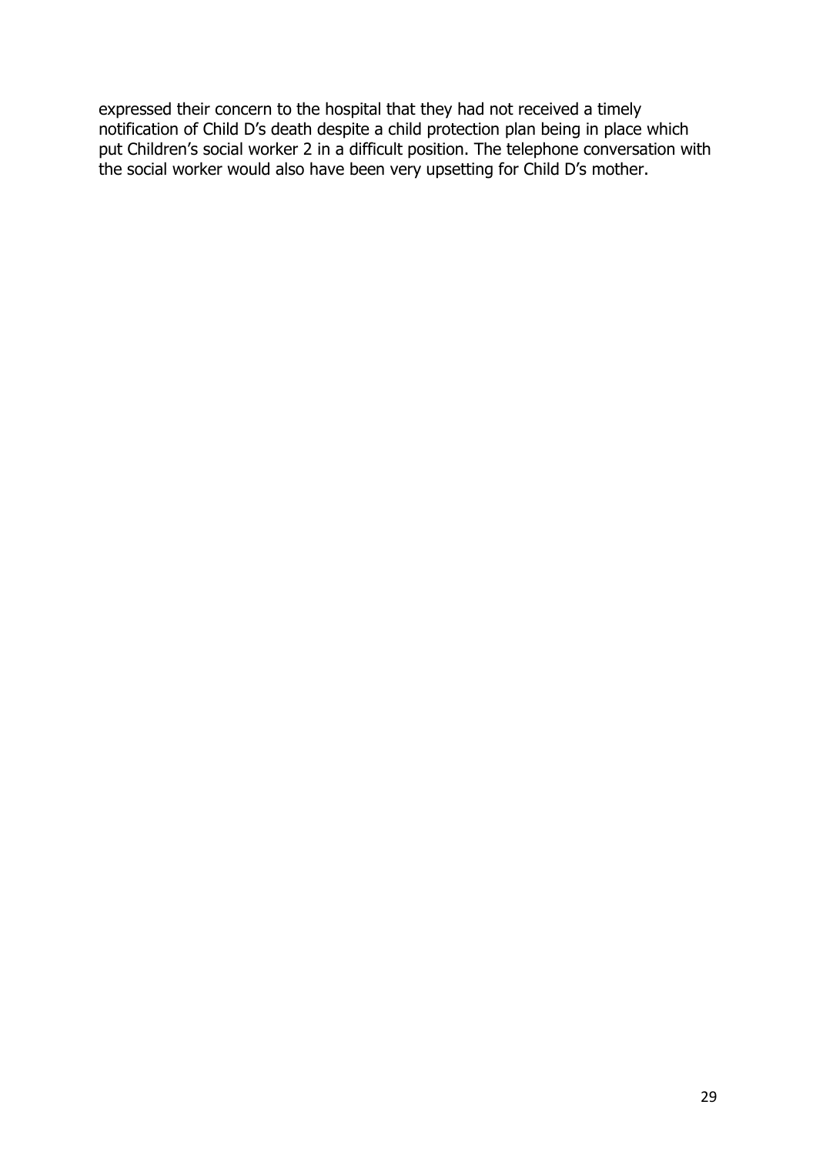expressed their concern to the hospital that they had not received a timely notification of Child D's death despite a child protection plan being in place which put Children's social worker 2 in a difficult position. The telephone conversation with the social worker would also have been very upsetting for Child D's mother.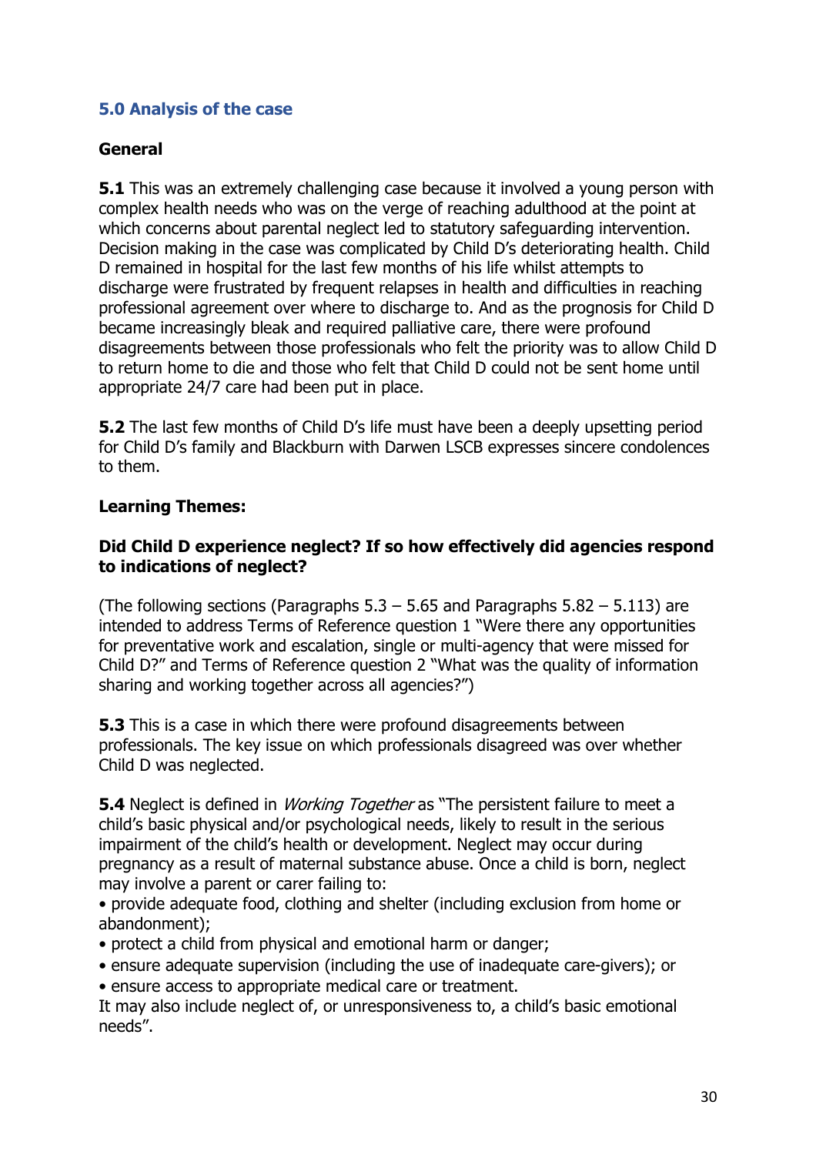## **5.0 Analysis of the case**

#### **General**

**5.1** This was an extremely challenging case because it involved a young person with complex health needs who was on the verge of reaching adulthood at the point at which concerns about parental neglect led to statutory safeguarding intervention. Decision making in the case was complicated by Child D's deteriorating health. Child D remained in hospital for the last few months of his life whilst attempts to discharge were frustrated by frequent relapses in health and difficulties in reaching professional agreement over where to discharge to. And as the prognosis for Child D became increasingly bleak and required palliative care, there were profound disagreements between those professionals who felt the priority was to allow Child D to return home to die and those who felt that Child D could not be sent home until appropriate 24/7 care had been put in place.

**5.2** The last few months of Child D's life must have been a deeply upsetting period for Child D's family and Blackburn with Darwen LSCB expresses sincere condolences to them.

#### **Learning Themes:**

#### **Did Child D experience neglect? If so how effectively did agencies respond to indications of neglect?**

(The following sections (Paragraphs  $5.3 - 5.65$  and Paragraphs  $5.82 - 5.113$ ) are intended to address Terms of Reference question 1 "Were there any opportunities for preventative work and escalation, single or multi-agency that were missed for Child D?" and Terms of Reference question 2 "What was the quality of information sharing and working together across all agencies?")

**5.3** This is a case in which there were profound disagreements between professionals. The key issue on which professionals disagreed was over whether Child D was neglected.

**5.4** Neglect is defined in *Working Together* as "The persistent failure to meet a child's basic physical and/or psychological needs, likely to result in the serious impairment of the child's health or development. Neglect may occur during pregnancy as a result of maternal substance abuse. Once a child is born, neglect may involve a parent or carer failing to:

• provide adequate food, clothing and shelter (including exclusion from home or abandonment);

- protect a child from physical and emotional harm or danger;
- ensure adequate supervision (including the use of inadequate care-givers); or
- ensure access to appropriate medical care or treatment.

It may also include neglect of, or unresponsiveness to, a child's basic emotional needs".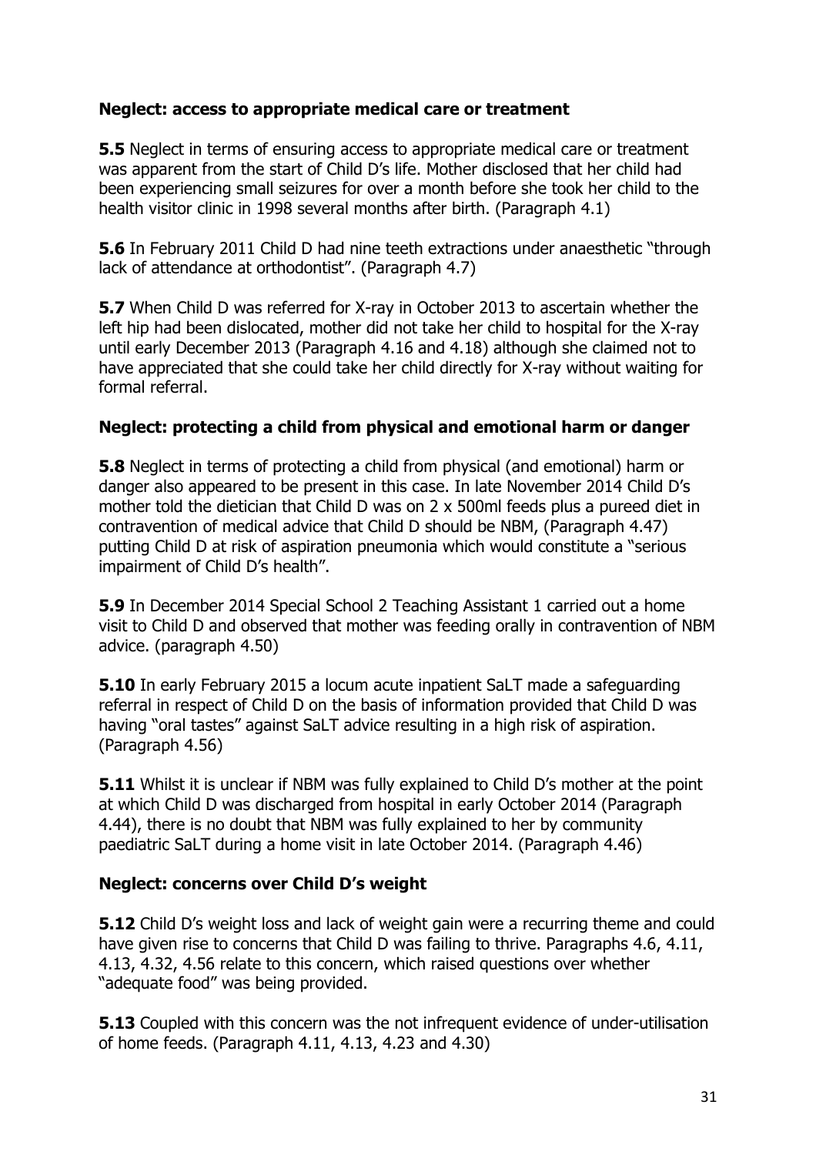## **Neglect: access to appropriate medical care or treatment**

**5.5** Neglect in terms of ensuring access to appropriate medical care or treatment was apparent from the start of Child D's life. Mother disclosed that her child had been experiencing small seizures for over a month before she took her child to the health visitor clinic in 1998 several months after birth. (Paragraph 4.1)

**5.6** In February 2011 Child D had nine teeth extractions under anaesthetic "through lack of attendance at orthodontist". (Paragraph 4.7)

**5.7** When Child D was referred for X-ray in October 2013 to ascertain whether the left hip had been dislocated, mother did not take her child to hospital for the X-ray until early December 2013 (Paragraph 4.16 and 4.18) although she claimed not to have appreciated that she could take her child directly for X-ray without waiting for formal referral.

#### **Neglect: protecting a child from physical and emotional harm or danger**

**5.8** Neglect in terms of protecting a child from physical (and emotional) harm or danger also appeared to be present in this case. In late November 2014 Child D's mother told the dietician that Child D was on 2 x 500ml feeds plus a pureed diet in contravention of medical advice that Child D should be NBM, (Paragraph 4.47) putting Child D at risk of aspiration pneumonia which would constitute a "serious impairment of Child D's health".

**5.9** In December 2014 Special School 2 Teaching Assistant 1 carried out a home visit to Child D and observed that mother was feeding orally in contravention of NBM advice. (paragraph 4.50)

**5.10** In early February 2015 a locum acute inpatient SaLT made a safeguarding referral in respect of Child D on the basis of information provided that Child D was having "oral tastes" against SaLT advice resulting in a high risk of aspiration. (Paragraph 4.56)

**5.11** Whilst it is unclear if NBM was fully explained to Child D's mother at the point at which Child D was discharged from hospital in early October 2014 (Paragraph 4.44), there is no doubt that NBM was fully explained to her by community paediatric SaLT during a home visit in late October 2014. (Paragraph 4.46)

#### **Neglect: concerns over Child D's weight**

**5.12** Child D's weight loss and lack of weight gain were a recurring theme and could have given rise to concerns that Child D was failing to thrive. Paragraphs 4.6, 4.11, 4.13, 4.32, 4.56 relate to this concern, which raised questions over whether "adequate food" was being provided.

**5.13** Coupled with this concern was the not infrequent evidence of under-utilisation of home feeds. (Paragraph 4.11, 4.13, 4.23 and 4.30)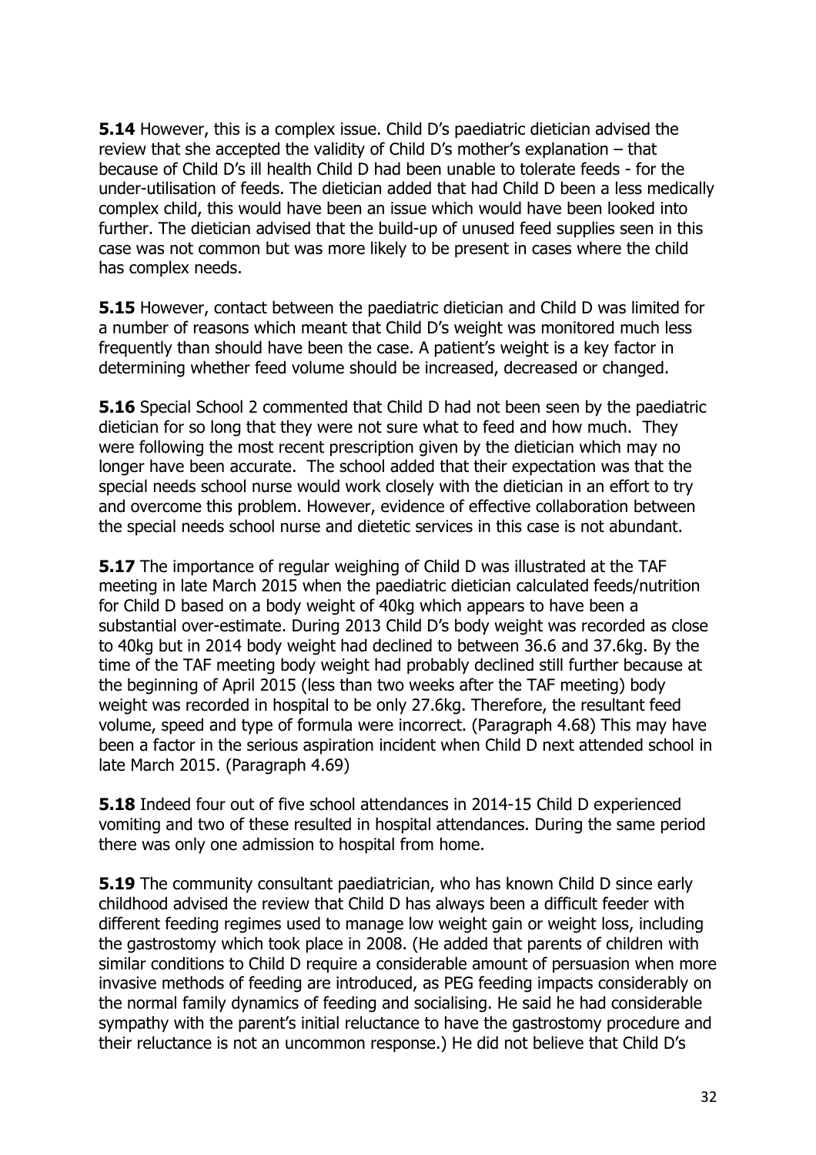**5.14** However, this is a complex issue. Child D's paediatric dietician advised the review that she accepted the validity of Child D's mother's explanation – that because of Child D's ill health Child D had been unable to tolerate feeds - for the under-utilisation of feeds. The dietician added that had Child D been a less medically complex child, this would have been an issue which would have been looked into further. The dietician advised that the build-up of unused feed supplies seen in this case was not common but was more likely to be present in cases where the child has complex needs.

**5.15** However, contact between the paediatric dietician and Child D was limited for a number of reasons which meant that Child D's weight was monitored much less frequently than should have been the case. A patient's weight is a key factor in determining whether feed volume should be increased, decreased or changed.

**5.16** Special School 2 commented that Child D had not been seen by the paediatric dietician for so long that they were not sure what to feed and how much. They were following the most recent prescription given by the dietician which may no longer have been accurate. The school added that their expectation was that the special needs school nurse would work closely with the dietician in an effort to try and overcome this problem. However, evidence of effective collaboration between the special needs school nurse and dietetic services in this case is not abundant.

**5.17** The importance of regular weighing of Child D was illustrated at the TAF meeting in late March 2015 when the paediatric dietician calculated feeds/nutrition for Child D based on a body weight of 40kg which appears to have been a substantial over-estimate. During 2013 Child D's body weight was recorded as close to 40kg but in 2014 body weight had declined to between 36.6 and 37.6kg. By the time of the TAF meeting body weight had probably declined still further because at the beginning of April 2015 (less than two weeks after the TAF meeting) body weight was recorded in hospital to be only 27.6kg. Therefore, the resultant feed volume, speed and type of formula were incorrect. (Paragraph 4.68) This may have been a factor in the serious aspiration incident when Child D next attended school in late March 2015. (Paragraph 4.69)

**5.18** Indeed four out of five school attendances in 2014-15 Child D experienced vomiting and two of these resulted in hospital attendances. During the same period there was only one admission to hospital from home.

**5.19** The community consultant paediatrician, who has known Child D since early childhood advised the review that Child D has always been a difficult feeder with different feeding regimes used to manage low weight gain or weight loss, including the gastrostomy which took place in 2008. (He added that parents of children with similar conditions to Child D require a considerable amount of persuasion when more invasive methods of feeding are introduced, as PEG feeding impacts considerably on the normal family dynamics of feeding and socialising. He said he had considerable sympathy with the parent's initial reluctance to have the gastrostomy procedure and their reluctance is not an uncommon response.) He did not believe that Child D's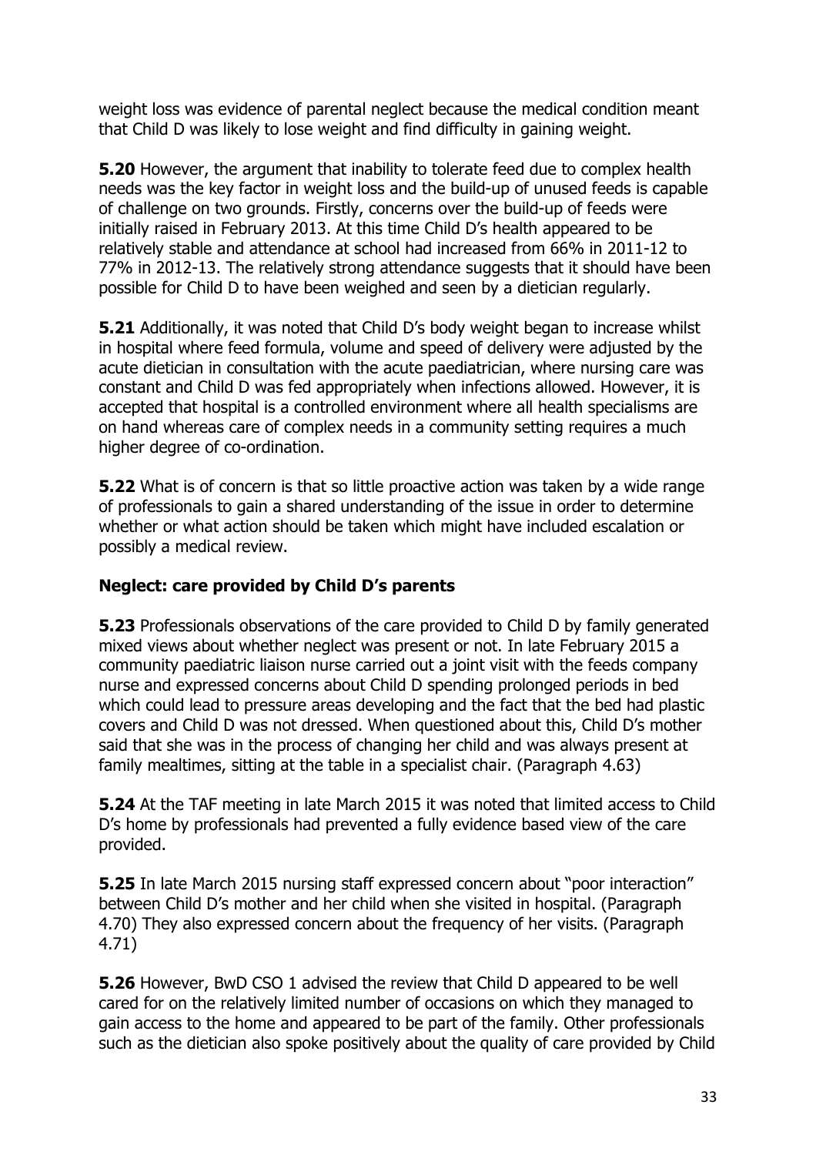weight loss was evidence of parental neglect because the medical condition meant that Child D was likely to lose weight and find difficulty in gaining weight.

**5.20** However, the argument that inability to tolerate feed due to complex health needs was the key factor in weight loss and the build-up of unused feeds is capable of challenge on two grounds. Firstly, concerns over the build-up of feeds were initially raised in February 2013. At this time Child D's health appeared to be relatively stable and attendance at school had increased from 66% in 2011-12 to 77% in 2012-13. The relatively strong attendance suggests that it should have been possible for Child D to have been weighed and seen by a dietician regularly.

**5.21** Additionally, it was noted that Child D's body weight began to increase whilst in hospital where feed formula, volume and speed of delivery were adjusted by the acute dietician in consultation with the acute paediatrician, where nursing care was constant and Child D was fed appropriately when infections allowed. However, it is accepted that hospital is a controlled environment where all health specialisms are on hand whereas care of complex needs in a community setting requires a much higher degree of co-ordination.

**5.22** What is of concern is that so little proactive action was taken by a wide range of professionals to gain a shared understanding of the issue in order to determine whether or what action should be taken which might have included escalation or possibly a medical review.

## **Neglect: care provided by Child D's parents**

**5.23** Professionals observations of the care provided to Child D by family generated mixed views about whether neglect was present or not. In late February 2015 a community paediatric liaison nurse carried out a joint visit with the feeds company nurse and expressed concerns about Child D spending prolonged periods in bed which could lead to pressure areas developing and the fact that the bed had plastic covers and Child D was not dressed. When questioned about this, Child D's mother said that she was in the process of changing her child and was always present at family mealtimes, sitting at the table in a specialist chair. (Paragraph 4.63)

**5.24** At the TAF meeting in late March 2015 it was noted that limited access to Child D's home by professionals had prevented a fully evidence based view of the care provided.

**5.25** In late March 2015 nursing staff expressed concern about "poor interaction" between Child D's mother and her child when she visited in hospital. (Paragraph 4.70) They also expressed concern about the frequency of her visits. (Paragraph 4.71)

**5.26** However, BwD CSO 1 advised the review that Child D appeared to be well cared for on the relatively limited number of occasions on which they managed to gain access to the home and appeared to be part of the family. Other professionals such as the dietician also spoke positively about the quality of care provided by Child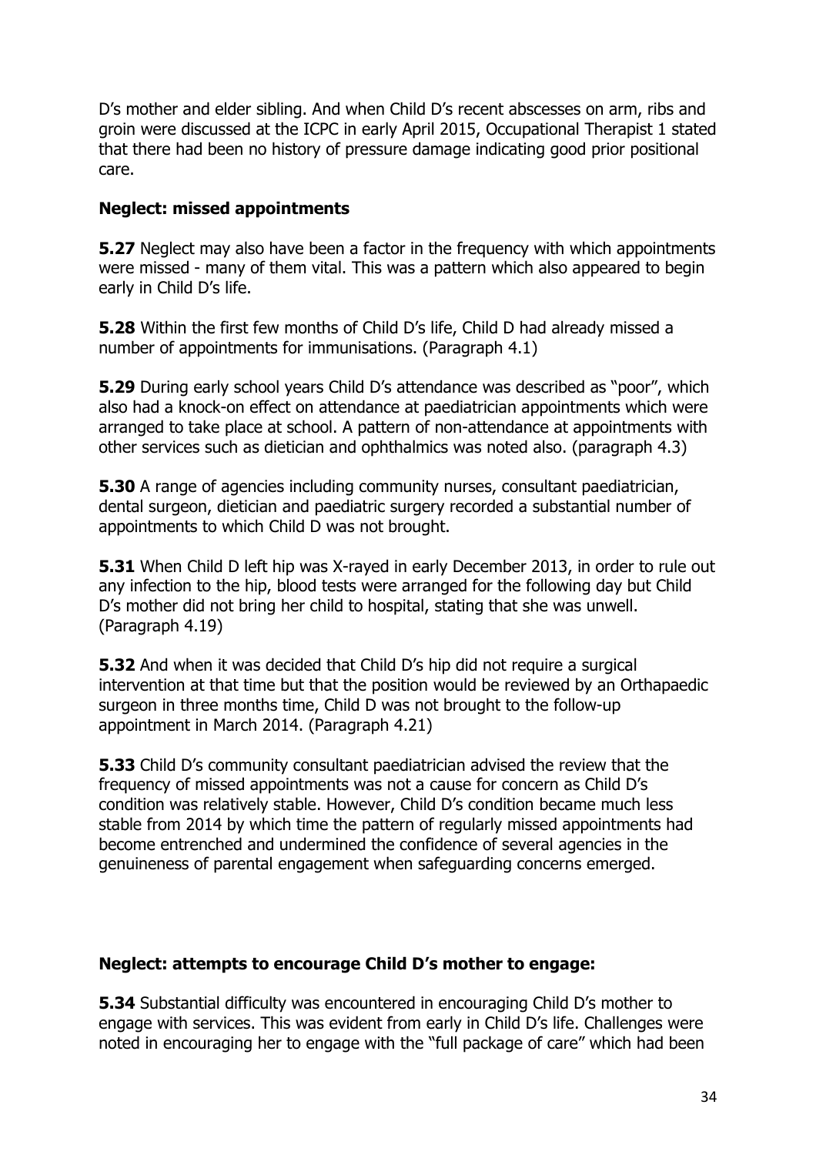D's mother and elder sibling. And when Child D's recent abscesses on arm, ribs and groin were discussed at the ICPC in early April 2015, Occupational Therapist 1 stated that there had been no history of pressure damage indicating good prior positional care.

## **Neglect: missed appointments**

**5.27** Neglect may also have been a factor in the frequency with which appointments were missed - many of them vital. This was a pattern which also appeared to begin early in Child D's life.

**5.28** Within the first few months of Child D's life, Child D had already missed a number of appointments for immunisations. (Paragraph 4.1)

**5.29** During early school years Child D's attendance was described as "poor", which also had a knock-on effect on attendance at paediatrician appointments which were arranged to take place at school. A pattern of non-attendance at appointments with other services such as dietician and ophthalmics was noted also. (paragraph 4.3)

**5.30** A range of agencies including community nurses, consultant paediatrician, dental surgeon, dietician and paediatric surgery recorded a substantial number of appointments to which Child D was not brought.

**5.31** When Child D left hip was X-rayed in early December 2013, in order to rule out any infection to the hip, blood tests were arranged for the following day but Child D's mother did not bring her child to hospital, stating that she was unwell. (Paragraph 4.19)

**5.32** And when it was decided that Child D's hip did not require a surgical intervention at that time but that the position would be reviewed by an Orthapaedic surgeon in three months time, Child D was not brought to the follow-up appointment in March 2014. (Paragraph 4.21)

**5.33** Child D's community consultant paediatrician advised the review that the frequency of missed appointments was not a cause for concern as Child D's condition was relatively stable. However, Child D's condition became much less stable from 2014 by which time the pattern of regularly missed appointments had become entrenched and undermined the confidence of several agencies in the genuineness of parental engagement when safeguarding concerns emerged.

#### **Neglect: attempts to encourage Child D's mother to engage:**

**5.34** Substantial difficulty was encountered in encouraging Child D's mother to engage with services. This was evident from early in Child D's life. Challenges were noted in encouraging her to engage with the "full package of care" which had been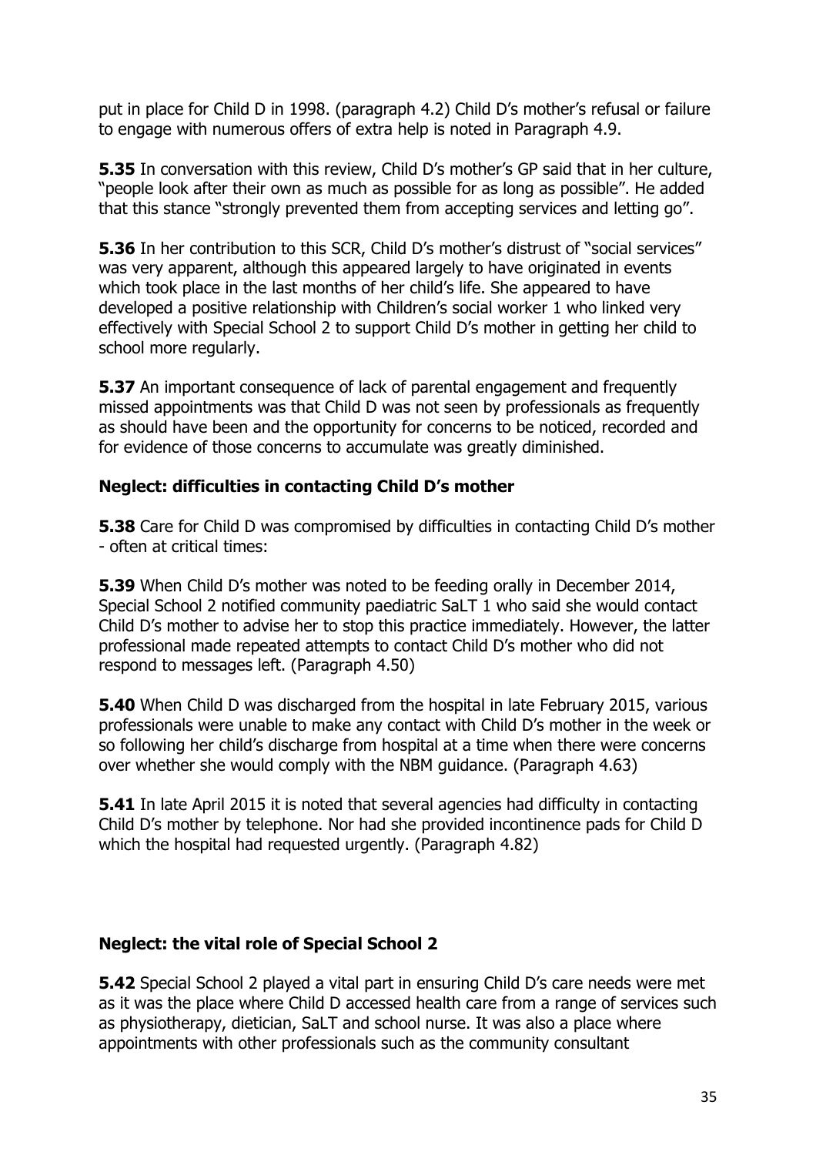put in place for Child D in 1998. (paragraph 4.2) Child D's mother's refusal or failure to engage with numerous offers of extra help is noted in Paragraph 4.9.

**5.35** In conversation with this review, Child D's mother's GP said that in her culture, "people look after their own as much as possible for as long as possible". He added that this stance "strongly prevented them from accepting services and letting go".

**5.36** In her contribution to this SCR, Child D's mother's distrust of "social services" was very apparent, although this appeared largely to have originated in events which took place in the last months of her child's life. She appeared to have developed a positive relationship with Children's social worker 1 who linked very effectively with Special School 2 to support Child D's mother in getting her child to school more regularly.

**5.37** An important consequence of lack of parental engagement and frequently missed appointments was that Child D was not seen by professionals as frequently as should have been and the opportunity for concerns to be noticed, recorded and for evidence of those concerns to accumulate was greatly diminished.

#### **Neglect: difficulties in contacting Child D's mother**

**5.38** Care for Child D was compromised by difficulties in contacting Child D's mother - often at critical times:

**5.39** When Child D's mother was noted to be feeding orally in December 2014, Special School 2 notified community paediatric SaLT 1 who said she would contact Child D's mother to advise her to stop this practice immediately. However, the latter professional made repeated attempts to contact Child D's mother who did not respond to messages left. (Paragraph 4.50)

**5.40** When Child D was discharged from the hospital in late February 2015, various professionals were unable to make any contact with Child D's mother in the week or so following her child's discharge from hospital at a time when there were concerns over whether she would comply with the NBM guidance. (Paragraph 4.63)

**5.41** In late April 2015 it is noted that several agencies had difficulty in contacting Child D's mother by telephone. Nor had she provided incontinence pads for Child D which the hospital had requested urgently. (Paragraph 4.82)

#### **Neglect: the vital role of Special School 2**

**5.42** Special School 2 played a vital part in ensuring Child D's care needs were met as it was the place where Child D accessed health care from a range of services such as physiotherapy, dietician, SaLT and school nurse. It was also a place where appointments with other professionals such as the community consultant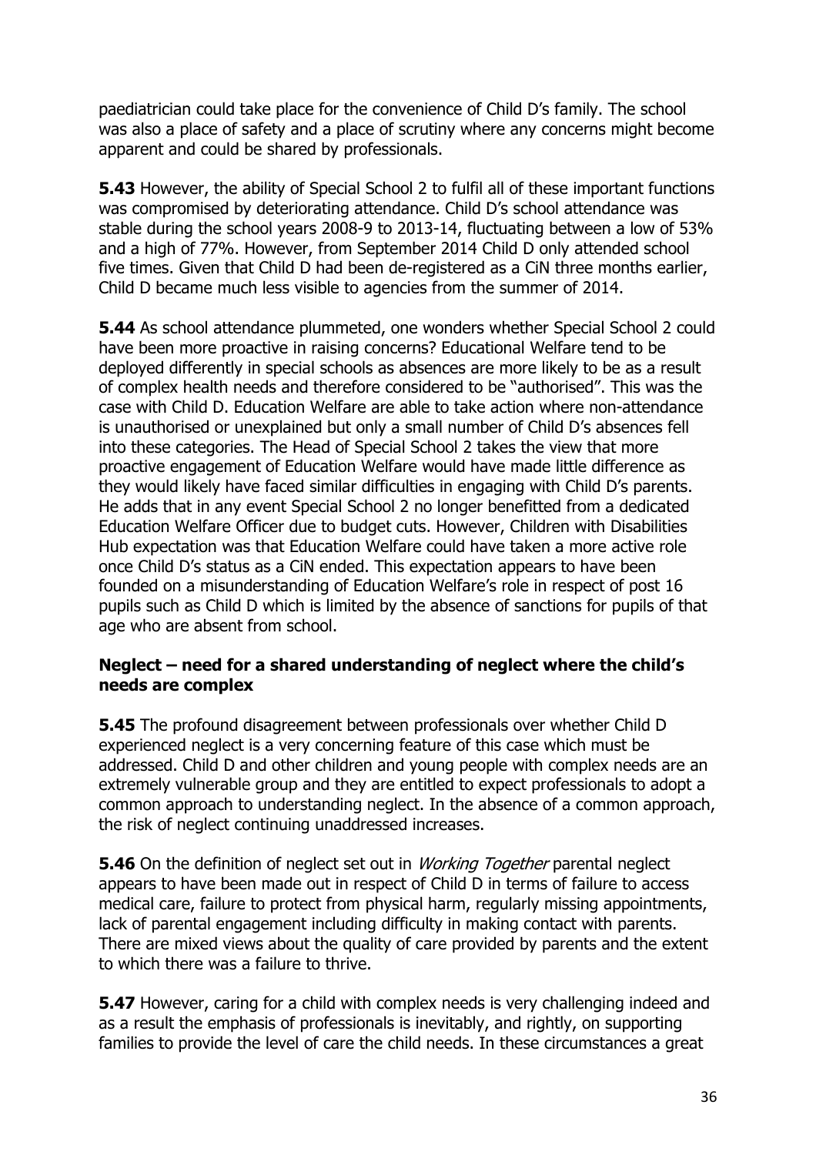paediatrician could take place for the convenience of Child D's family. The school was also a place of safety and a place of scrutiny where any concerns might become apparent and could be shared by professionals.

**5.43** However, the ability of Special School 2 to fulfil all of these important functions was compromised by deteriorating attendance. Child D's school attendance was stable during the school years 2008-9 to 2013-14, fluctuating between a low of 53% and a high of 77%. However, from September 2014 Child D only attended school five times. Given that Child D had been de-registered as a CiN three months earlier, Child D became much less visible to agencies from the summer of 2014.

**5.44** As school attendance plummeted, one wonders whether Special School 2 could have been more proactive in raising concerns? Educational Welfare tend to be deployed differently in special schools as absences are more likely to be as a result of complex health needs and therefore considered to be "authorised". This was the case with Child D. Education Welfare are able to take action where non-attendance is unauthorised or unexplained but only a small number of Child D's absences fell into these categories. The Head of Special School 2 takes the view that more proactive engagement of Education Welfare would have made little difference as they would likely have faced similar difficulties in engaging with Child D's parents. He adds that in any event Special School 2 no longer benefitted from a dedicated Education Welfare Officer due to budget cuts. However, Children with Disabilities Hub expectation was that Education Welfare could have taken a more active role once Child D's status as a CiN ended. This expectation appears to have been founded on a misunderstanding of Education Welfare's role in respect of post 16 pupils such as Child D which is limited by the absence of sanctions for pupils of that age who are absent from school.

#### **Neglect – need for a shared understanding of neglect where the child's needs are complex**

**5.45** The profound disagreement between professionals over whether Child D experienced neglect is a very concerning feature of this case which must be addressed. Child D and other children and young people with complex needs are an extremely vulnerable group and they are entitled to expect professionals to adopt a common approach to understanding neglect. In the absence of a common approach, the risk of neglect continuing unaddressed increases.

**5.46** On the definition of neglect set out in *Working Together* parental neglect appears to have been made out in respect of Child D in terms of failure to access medical care, failure to protect from physical harm, regularly missing appointments, lack of parental engagement including difficulty in making contact with parents. There are mixed views about the quality of care provided by parents and the extent to which there was a failure to thrive.

**5.47** However, caring for a child with complex needs is very challenging indeed and as a result the emphasis of professionals is inevitably, and rightly, on supporting families to provide the level of care the child needs. In these circumstances a great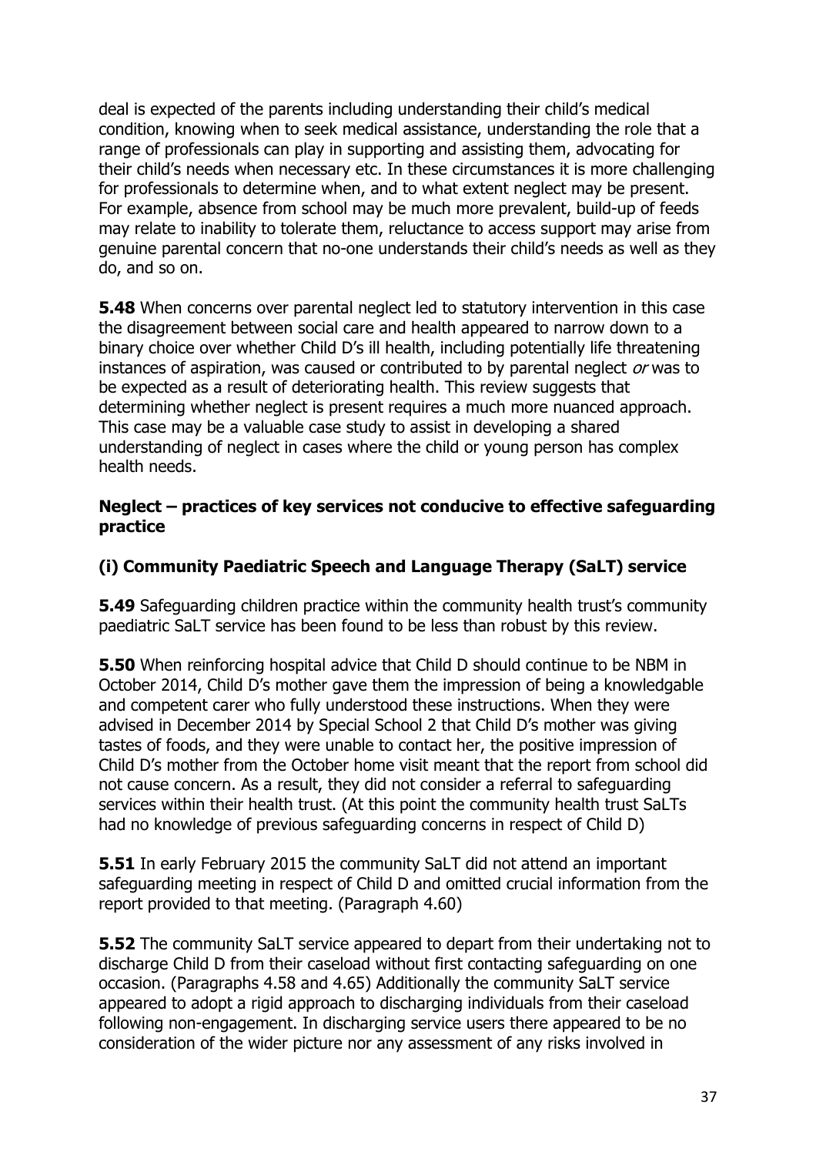deal is expected of the parents including understanding their child's medical condition, knowing when to seek medical assistance, understanding the role that a range of professionals can play in supporting and assisting them, advocating for their child's needs when necessary etc. In these circumstances it is more challenging for professionals to determine when, and to what extent neglect may be present. For example, absence from school may be much more prevalent, build-up of feeds may relate to inability to tolerate them, reluctance to access support may arise from genuine parental concern that no-one understands their child's needs as well as they do, and so on.

**5.48** When concerns over parental neglect led to statutory intervention in this case the disagreement between social care and health appeared to narrow down to a binary choice over whether Child D's ill health, including potentially life threatening instances of aspiration, was caused or contributed to by parental neglect or was to be expected as a result of deteriorating health. This review suggests that determining whether neglect is present requires a much more nuanced approach. This case may be a valuable case study to assist in developing a shared understanding of neglect in cases where the child or young person has complex health needs.

#### **Neglect – practices of key services not conducive to effective safeguarding practice**

## **(i) Community Paediatric Speech and Language Therapy (SaLT) service**

**5.49** Safeguarding children practice within the community health trust's community paediatric SaLT service has been found to be less than robust by this review.

**5.50** When reinforcing hospital advice that Child D should continue to be NBM in October 2014, Child D's mother gave them the impression of being a knowledgable and competent carer who fully understood these instructions. When they were advised in December 2014 by Special School 2 that Child D's mother was giving tastes of foods, and they were unable to contact her, the positive impression of Child D's mother from the October home visit meant that the report from school did not cause concern. As a result, they did not consider a referral to safeguarding services within their health trust. (At this point the community health trust SaLTs had no knowledge of previous safeguarding concerns in respect of Child D)

**5.51** In early February 2015 the community SaLT did not attend an important safeguarding meeting in respect of Child D and omitted crucial information from the report provided to that meeting. (Paragraph 4.60)

**5.52** The community SaLT service appeared to depart from their undertaking not to discharge Child D from their caseload without first contacting safeguarding on one occasion. (Paragraphs 4.58 and 4.65) Additionally the community SaLT service appeared to adopt a rigid approach to discharging individuals from their caseload following non-engagement. In discharging service users there appeared to be no consideration of the wider picture nor any assessment of any risks involved in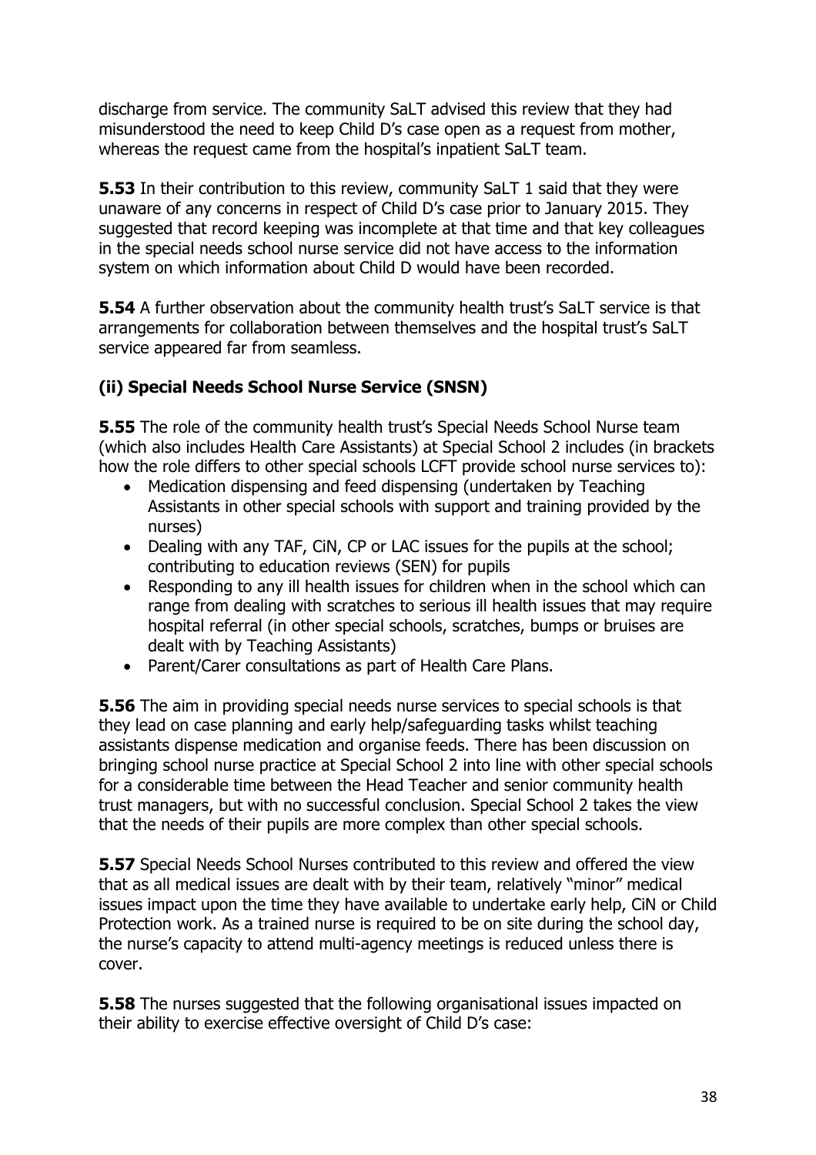discharge from service. The community SaLT advised this review that they had misunderstood the need to keep Child D's case open as a request from mother, whereas the request came from the hospital's inpatient SaLT team.

**5.53** In their contribution to this review, community SaLT 1 said that they were unaware of any concerns in respect of Child D's case prior to January 2015. They suggested that record keeping was incomplete at that time and that key colleagues in the special needs school nurse service did not have access to the information system on which information about Child D would have been recorded.

**5.54** A further observation about the community health trust's SaLT service is that arrangements for collaboration between themselves and the hospital trust's SaLT service appeared far from seamless.

# **(ii) Special Needs School Nurse Service (SNSN)**

**5.55** The role of the community health trust's Special Needs School Nurse team (which also includes Health Care Assistants) at Special School 2 includes (in brackets how the role differs to other special schools LCFT provide school nurse services to):

- Medication dispensing and feed dispensing (undertaken by Teaching Assistants in other special schools with support and training provided by the nurses)
- Dealing with any TAF, CiN, CP or LAC issues for the pupils at the school; contributing to education reviews (SEN) for pupils
- Responding to any ill health issues for children when in the school which can range from dealing with scratches to serious ill health issues that may require hospital referral (in other special schools, scratches, bumps or bruises are dealt with by Teaching Assistants)
- Parent/Carer consultations as part of Health Care Plans.

**5.56** The aim in providing special needs nurse services to special schools is that they lead on case planning and early help/safeguarding tasks whilst teaching assistants dispense medication and organise feeds. There has been discussion on bringing school nurse practice at Special School 2 into line with other special schools for a considerable time between the Head Teacher and senior community health trust managers, but with no successful conclusion. Special School 2 takes the view that the needs of their pupils are more complex than other special schools.

**5.57** Special Needs School Nurses contributed to this review and offered the view that as all medical issues are dealt with by their team, relatively "minor" medical issues impact upon the time they have available to undertake early help, CiN or Child Protection work. As a trained nurse is required to be on site during the school day, the nurse's capacity to attend multi-agency meetings is reduced unless there is cover.

**5.58** The nurses suggested that the following organisational issues impacted on their ability to exercise effective oversight of Child D's case: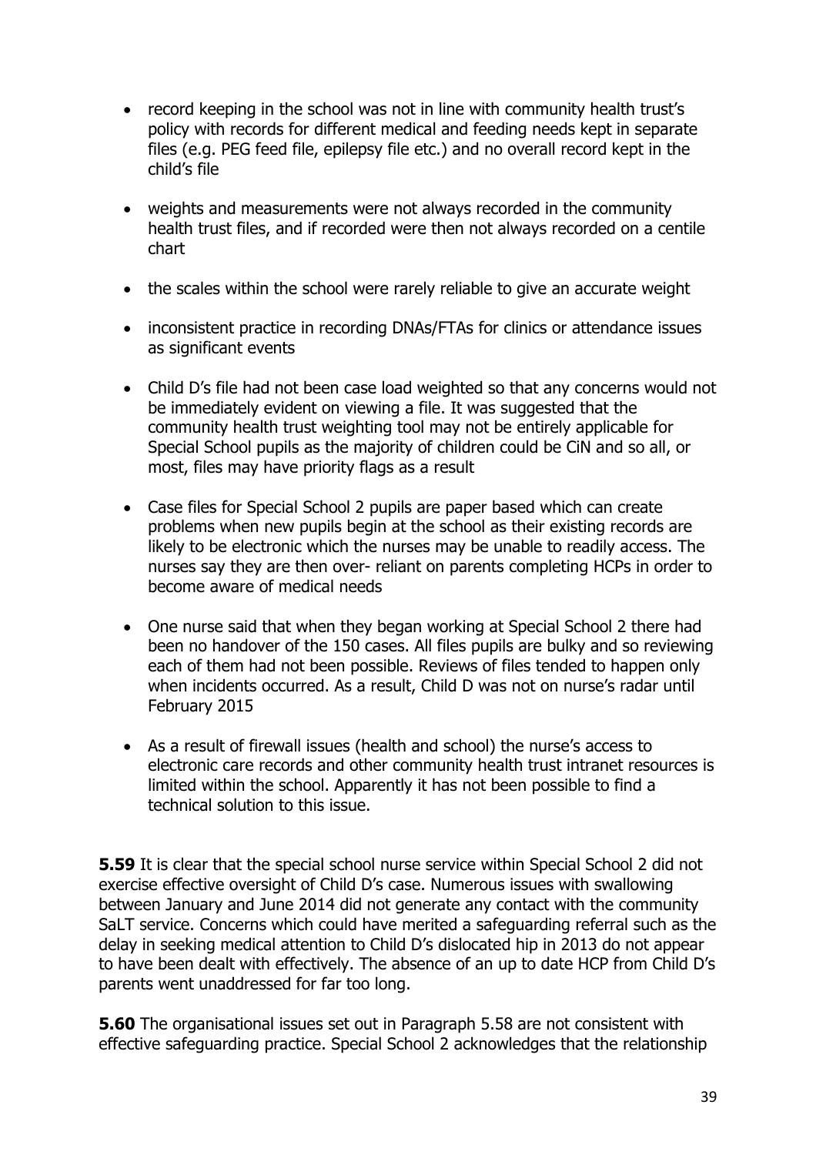- record keeping in the school was not in line with community health trust's policy with records for different medical and feeding needs kept in separate files (e.g. PEG feed file, epilepsy file etc.) and no overall record kept in the child's file
- weights and measurements were not always recorded in the community health trust files, and if recorded were then not always recorded on a centile chart
- the scales within the school were rarely reliable to give an accurate weight
- inconsistent practice in recording DNAs/FTAs for clinics or attendance issues as significant events
- Child D's file had not been case load weighted so that any concerns would not be immediately evident on viewing a file. It was suggested that the community health trust weighting tool may not be entirely applicable for Special School pupils as the majority of children could be CiN and so all, or most, files may have priority flags as a result
- Case files for Special School 2 pupils are paper based which can create problems when new pupils begin at the school as their existing records are likely to be electronic which the nurses may be unable to readily access. The nurses say they are then over- reliant on parents completing HCPs in order to become aware of medical needs
- One nurse said that when they began working at Special School 2 there had been no handover of the 150 cases. All files pupils are bulky and so reviewing each of them had not been possible. Reviews of files tended to happen only when incidents occurred. As a result, Child D was not on nurse's radar until February 2015
- As a result of firewall issues (health and school) the nurse's access to electronic care records and other community health trust intranet resources is limited within the school. Apparently it has not been possible to find a technical solution to this issue.

**5.59** It is clear that the special school nurse service within Special School 2 did not exercise effective oversight of Child D's case. Numerous issues with swallowing between January and June 2014 did not generate any contact with the community SaLT service. Concerns which could have merited a safeguarding referral such as the delay in seeking medical attention to Child D's dislocated hip in 2013 do not appear to have been dealt with effectively. The absence of an up to date HCP from Child D's parents went unaddressed for far too long.

**5.60** The organisational issues set out in Paragraph 5.58 are not consistent with effective safeguarding practice. Special School 2 acknowledges that the relationship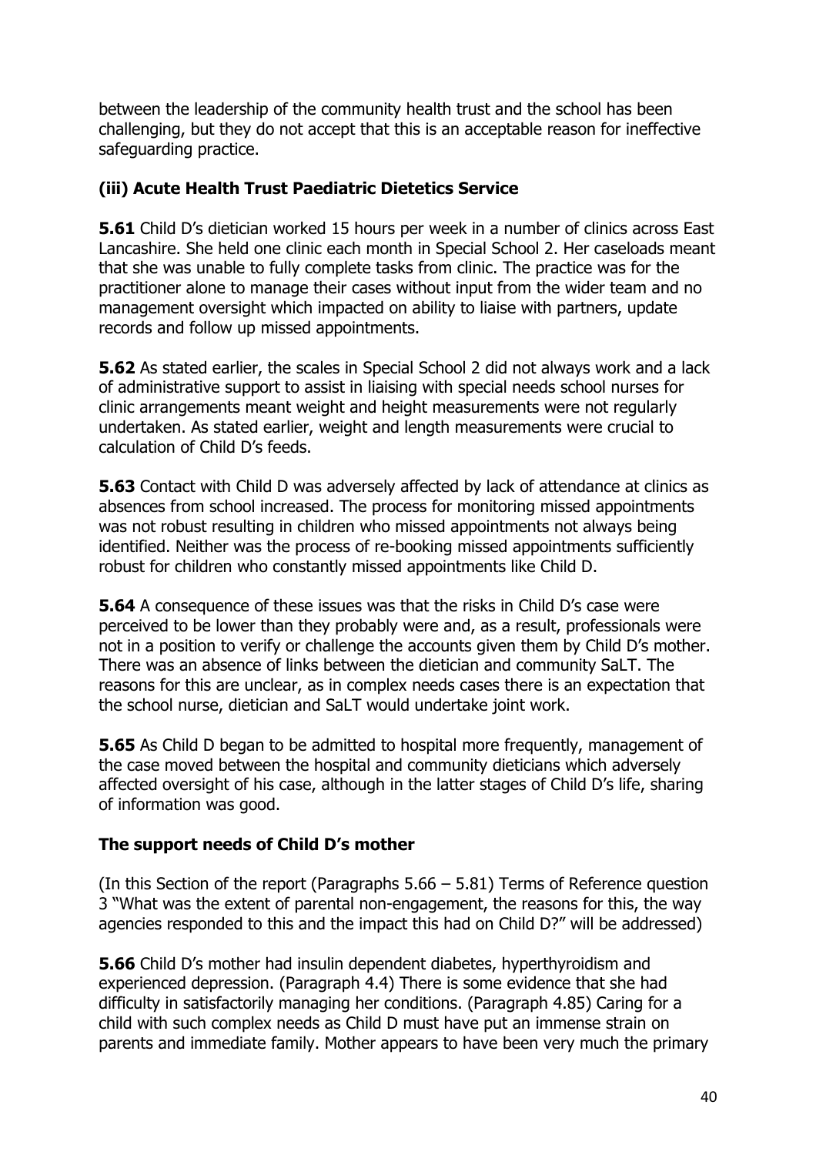between the leadership of the community health trust and the school has been challenging, but they do not accept that this is an acceptable reason for ineffective safeguarding practice.

## **(iii) Acute Health Trust Paediatric Dietetics Service**

**5.61** Child D's dietician worked 15 hours per week in a number of clinics across East Lancashire. She held one clinic each month in Special School 2. Her caseloads meant that she was unable to fully complete tasks from clinic. The practice was for the practitioner alone to manage their cases without input from the wider team and no management oversight which impacted on ability to liaise with partners, update records and follow up missed appointments.

**5.62** As stated earlier, the scales in Special School 2 did not always work and a lack of administrative support to assist in liaising with special needs school nurses for clinic arrangements meant weight and height measurements were not regularly undertaken. As stated earlier, weight and length measurements were crucial to calculation of Child D's feeds.

**5.63** Contact with Child D was adversely affected by lack of attendance at clinics as absences from school increased. The process for monitoring missed appointments was not robust resulting in children who missed appointments not always being identified. Neither was the process of re-booking missed appointments sufficiently robust for children who constantly missed appointments like Child D.

**5.64** A consequence of these issues was that the risks in Child D's case were perceived to be lower than they probably were and, as a result, professionals were not in a position to verify or challenge the accounts given them by Child D's mother. There was an absence of links between the dietician and community SaLT. The reasons for this are unclear, as in complex needs cases there is an expectation that the school nurse, dietician and SaLT would undertake joint work.

**5.65** As Child D began to be admitted to hospital more frequently, management of the case moved between the hospital and community dieticians which adversely affected oversight of his case, although in the latter stages of Child D's life, sharing of information was good.

#### **The support needs of Child D's mother**

(In this Section of the report (Paragraphs 5.66 – 5.81) Terms of Reference question 3 "What was the extent of parental non-engagement, the reasons for this, the way agencies responded to this and the impact this had on Child D?" will be addressed)

**5.66** Child D's mother had insulin dependent diabetes, hyperthyroidism and experienced depression. (Paragraph 4.4) There is some evidence that she had difficulty in satisfactorily managing her conditions. (Paragraph 4.85) Caring for a child with such complex needs as Child D must have put an immense strain on parents and immediate family. Mother appears to have been very much the primary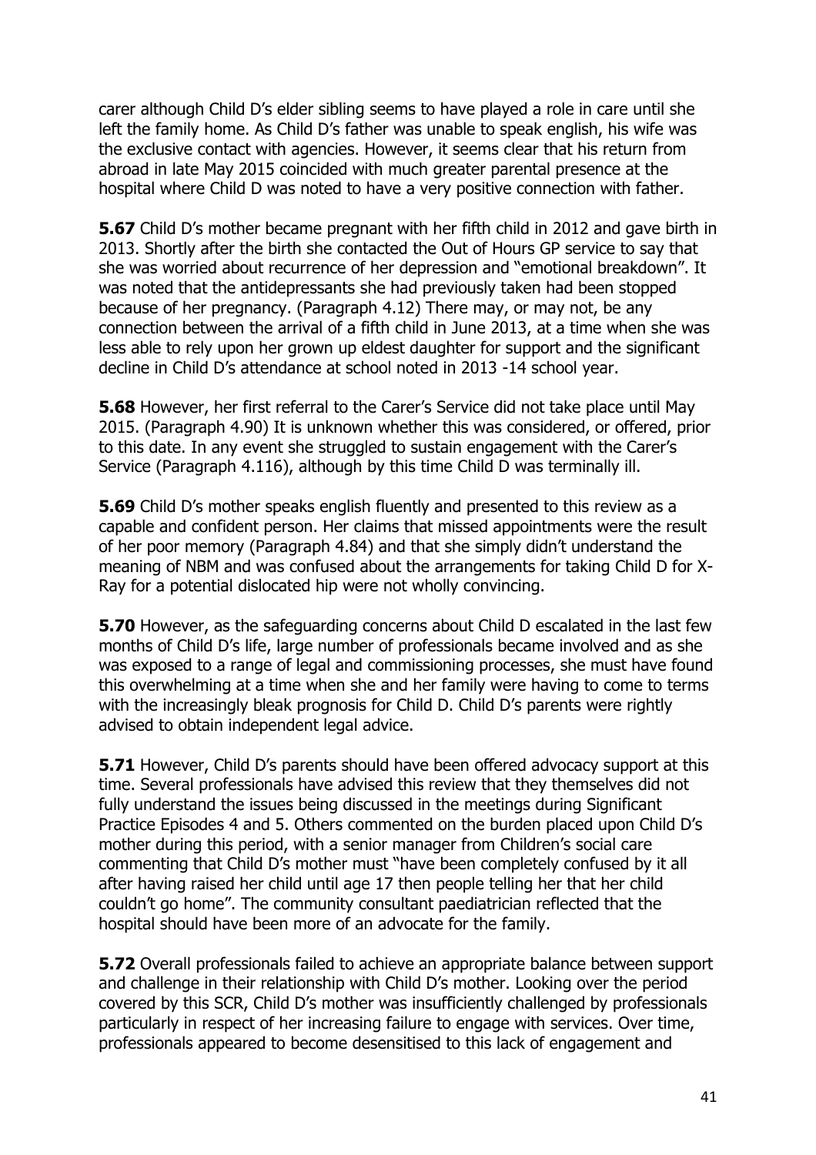carer although Child D's elder sibling seems to have played a role in care until she left the family home. As Child D's father was unable to speak english, his wife was the exclusive contact with agencies. However, it seems clear that his return from abroad in late May 2015 coincided with much greater parental presence at the hospital where Child D was noted to have a very positive connection with father.

**5.67** Child D's mother became pregnant with her fifth child in 2012 and gave birth in 2013. Shortly after the birth she contacted the Out of Hours GP service to say that she was worried about recurrence of her depression and "emotional breakdown". It was noted that the antidepressants she had previously taken had been stopped because of her pregnancy. (Paragraph 4.12) There may, or may not, be any connection between the arrival of a fifth child in June 2013, at a time when she was less able to rely upon her grown up eldest daughter for support and the significant decline in Child D's attendance at school noted in 2013 -14 school year.

**5.68** However, her first referral to the Carer's Service did not take place until May 2015. (Paragraph 4.90) It is unknown whether this was considered, or offered, prior to this date. In any event she struggled to sustain engagement with the Carer's Service (Paragraph 4.116), although by this time Child D was terminally ill.

**5.69** Child D's mother speaks english fluently and presented to this review as a capable and confident person. Her claims that missed appointments were the result of her poor memory (Paragraph 4.84) and that she simply didn't understand the meaning of NBM and was confused about the arrangements for taking Child D for X-Ray for a potential dislocated hip were not wholly convincing.

**5.70** However, as the safeguarding concerns about Child D escalated in the last few months of Child D's life, large number of professionals became involved and as she was exposed to a range of legal and commissioning processes, she must have found this overwhelming at a time when she and her family were having to come to terms with the increasingly bleak prognosis for Child D. Child D's parents were rightly advised to obtain independent legal advice.

**5.71** However, Child D's parents should have been offered advocacy support at this time. Several professionals have advised this review that they themselves did not fully understand the issues being discussed in the meetings during Significant Practice Episodes 4 and 5. Others commented on the burden placed upon Child D's mother during this period, with a senior manager from Children's social care commenting that Child D's mother must "have been completely confused by it all after having raised her child until age 17 then people telling her that her child couldn't go home". The community consultant paediatrician reflected that the hospital should have been more of an advocate for the family.

**5.72** Overall professionals failed to achieve an appropriate balance between support and challenge in their relationship with Child D's mother. Looking over the period covered by this SCR, Child D's mother was insufficiently challenged by professionals particularly in respect of her increasing failure to engage with services. Over time, professionals appeared to become desensitised to this lack of engagement and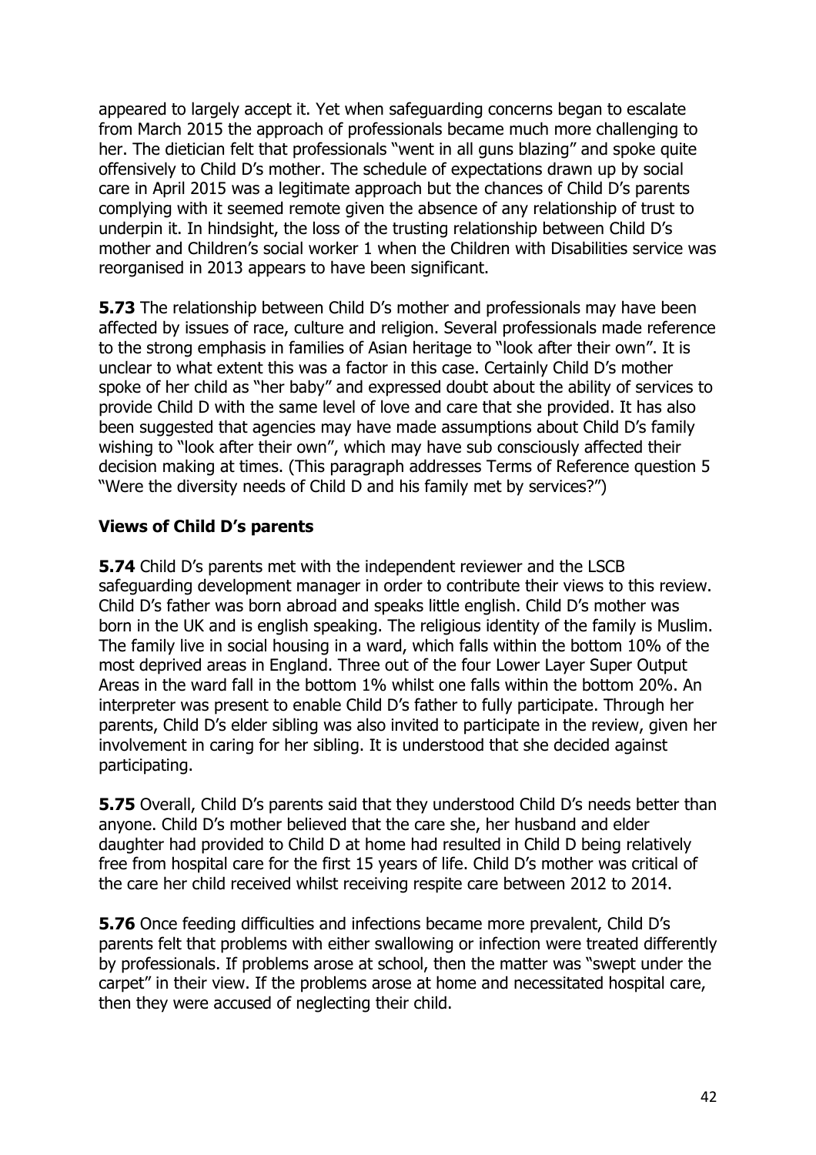appeared to largely accept it. Yet when safeguarding concerns began to escalate from March 2015 the approach of professionals became much more challenging to her. The dietician felt that professionals "went in all guns blazing" and spoke quite offensively to Child D's mother. The schedule of expectations drawn up by social care in April 2015 was a legitimate approach but the chances of Child D's parents complying with it seemed remote given the absence of any relationship of trust to underpin it. In hindsight, the loss of the trusting relationship between Child D's mother and Children's social worker 1 when the Children with Disabilities service was reorganised in 2013 appears to have been significant.

**5.73** The relationship between Child D's mother and professionals may have been affected by issues of race, culture and religion. Several professionals made reference to the strong emphasis in families of Asian heritage to "look after their own". It is unclear to what extent this was a factor in this case. Certainly Child D's mother spoke of her child as "her baby" and expressed doubt about the ability of services to provide Child D with the same level of love and care that she provided. It has also been suggested that agencies may have made assumptions about Child D's family wishing to "look after their own", which may have sub consciously affected their decision making at times. (This paragraph addresses Terms of Reference question 5 "Were the diversity needs of Child D and his family met by services?")

#### **Views of Child D's parents**

**5.74** Child D's parents met with the independent reviewer and the LSCB safeguarding development manager in order to contribute their views to this review. Child D's father was born abroad and speaks little english. Child D's mother was born in the UK and is english speaking. The religious identity of the family is Muslim. The family live in social housing in a ward, which falls within the bottom 10% of the most deprived areas in England. Three out of the four Lower Layer Super Output Areas in the ward fall in the bottom 1% whilst one falls within the bottom 20%. An interpreter was present to enable Child D's father to fully participate. Through her parents, Child D's elder sibling was also invited to participate in the review, given her involvement in caring for her sibling. It is understood that she decided against participating.

**5.75** Overall, Child D's parents said that they understood Child D's needs better than anyone. Child D's mother believed that the care she, her husband and elder daughter had provided to Child D at home had resulted in Child D being relatively free from hospital care for the first 15 years of life. Child D's mother was critical of the care her child received whilst receiving respite care between 2012 to 2014.

**5.76** Once feeding difficulties and infections became more prevalent, Child D's parents felt that problems with either swallowing or infection were treated differently by professionals. If problems arose at school, then the matter was "swept under the carpet" in their view. If the problems arose at home and necessitated hospital care, then they were accused of neglecting their child.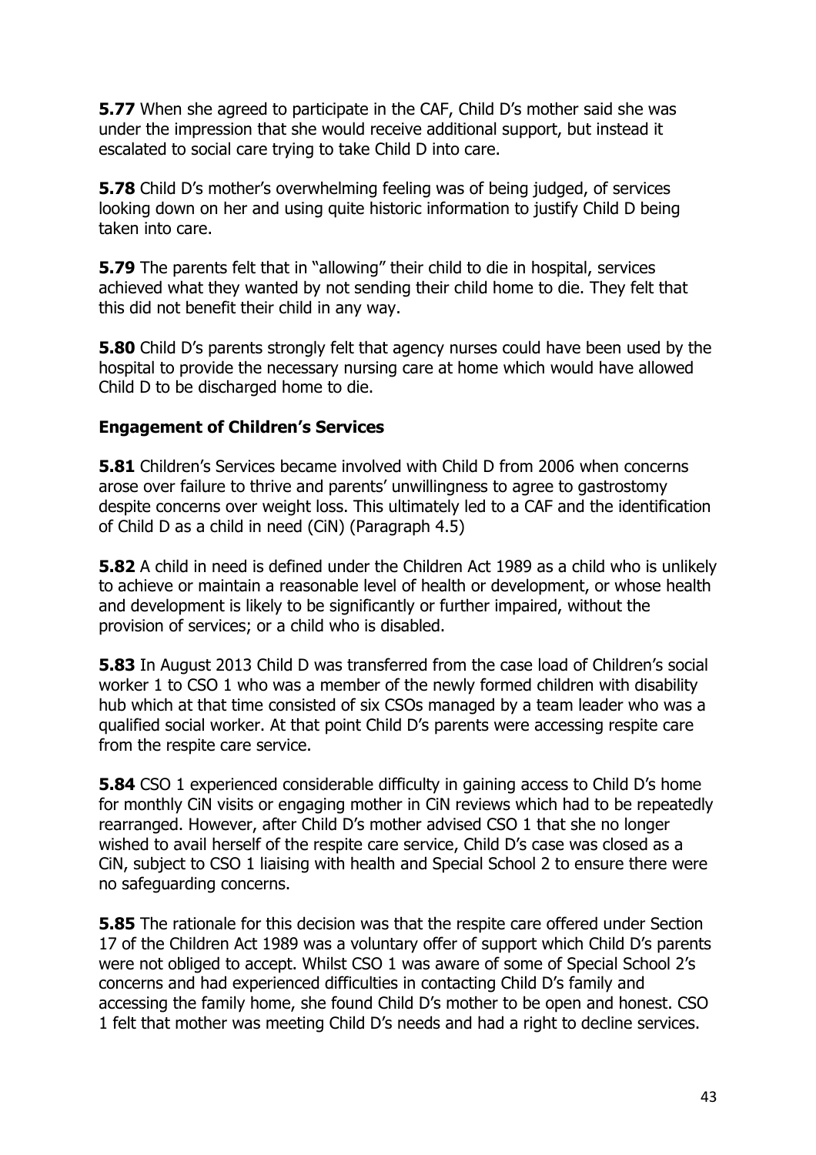**5.77** When she agreed to participate in the CAF, Child D's mother said she was under the impression that she would receive additional support, but instead it escalated to social care trying to take Child D into care.

**5.78** Child D's mother's overwhelming feeling was of being judged, of services looking down on her and using quite historic information to justify Child D being taken into care.

**5.79** The parents felt that in "allowing" their child to die in hospital, services achieved what they wanted by not sending their child home to die. They felt that this did not benefit their child in any way.

**5.80** Child D's parents strongly felt that agency nurses could have been used by the hospital to provide the necessary nursing care at home which would have allowed Child D to be discharged home to die.

#### **Engagement of Children's Services**

**5.81** Children's Services became involved with Child D from 2006 when concerns arose over failure to thrive and parents' unwillingness to agree to gastrostomy despite concerns over weight loss. This ultimately led to a CAF and the identification of Child D as a child in need (CiN) (Paragraph 4.5)

**5.82** A child in need is defined under the Children Act 1989 as a child who is unlikely to achieve or maintain a reasonable level of health or development, or whose health and development is likely to be significantly or further impaired, without the provision of services; or a child who is disabled.

**5.83** In August 2013 Child D was transferred from the case load of Children's social worker 1 to CSO 1 who was a member of the newly formed children with disability hub which at that time consisted of six CSOs managed by a team leader who was a qualified social worker. At that point Child D's parents were accessing respite care from the respite care service.

**5.84** CSO 1 experienced considerable difficulty in gaining access to Child D's home for monthly CiN visits or engaging mother in CiN reviews which had to be repeatedly rearranged. However, after Child D's mother advised CSO 1 that she no longer wished to avail herself of the respite care service, Child D's case was closed as a CiN, subject to CSO 1 liaising with health and Special School 2 to ensure there were no safeguarding concerns.

**5.85** The rationale for this decision was that the respite care offered under Section 17 of the Children Act 1989 was a voluntary offer of support which Child D's parents were not obliged to accept. Whilst CSO 1 was aware of some of Special School 2's concerns and had experienced difficulties in contacting Child D's family and accessing the family home, she found Child D's mother to be open and honest. CSO 1 felt that mother was meeting Child D's needs and had a right to decline services.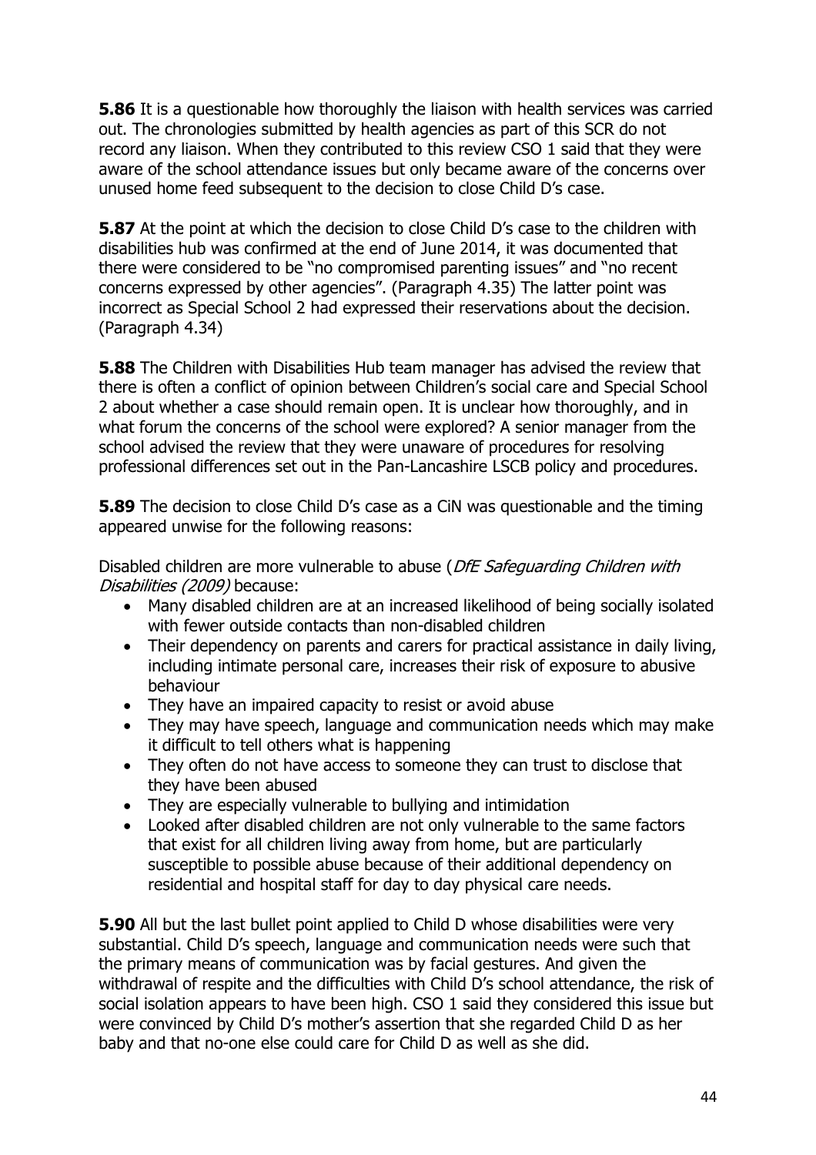**5.86** It is a questionable how thoroughly the liaison with health services was carried out. The chronologies submitted by health agencies as part of this SCR do not record any liaison. When they contributed to this review CSO 1 said that they were aware of the school attendance issues but only became aware of the concerns over unused home feed subsequent to the decision to close Child D's case.

**5.87** At the point at which the decision to close Child D's case to the children with disabilities hub was confirmed at the end of June 2014, it was documented that there were considered to be "no compromised parenting issues" and "no recent concerns expressed by other agencies". (Paragraph 4.35) The latter point was incorrect as Special School 2 had expressed their reservations about the decision. (Paragraph 4.34)

**5.88** The Children with Disabilities Hub team manager has advised the review that there is often a conflict of opinion between Children's social care and Special School 2 about whether a case should remain open. It is unclear how thoroughly, and in what forum the concerns of the school were explored? A senior manager from the school advised the review that they were unaware of procedures for resolving professional differences set out in the Pan-Lancashire LSCB policy and procedures.

**5.89** The decision to close Child D's case as a CiN was questionable and the timing appeared unwise for the following reasons:

Disabled children are more vulnerable to abuse (DfE Safeguarding Children with Disabilities (2009) because:

- Many disabled children are at an increased likelihood of being socially isolated with fewer outside contacts than non-disabled children
- Their dependency on parents and carers for practical assistance in daily living, including intimate personal care, increases their risk of exposure to abusive behaviour
- They have an impaired capacity to resist or avoid abuse
- They may have speech, language and communication needs which may make it difficult to tell others what is happening
- They often do not have access to someone they can trust to disclose that they have been abused
- They are especially vulnerable to bullying and intimidation
- Looked after disabled children are not only vulnerable to the same factors that exist for all children living away from home, but are particularly susceptible to possible abuse because of their additional dependency on residential and hospital staff for day to day physical care needs.

**5.90** All but the last bullet point applied to Child D whose disabilities were very substantial. Child D's speech, language and communication needs were such that the primary means of communication was by facial gestures. And given the withdrawal of respite and the difficulties with Child D's school attendance, the risk of social isolation appears to have been high. CSO 1 said they considered this issue but were convinced by Child D's mother's assertion that she regarded Child D as her baby and that no-one else could care for Child D as well as she did.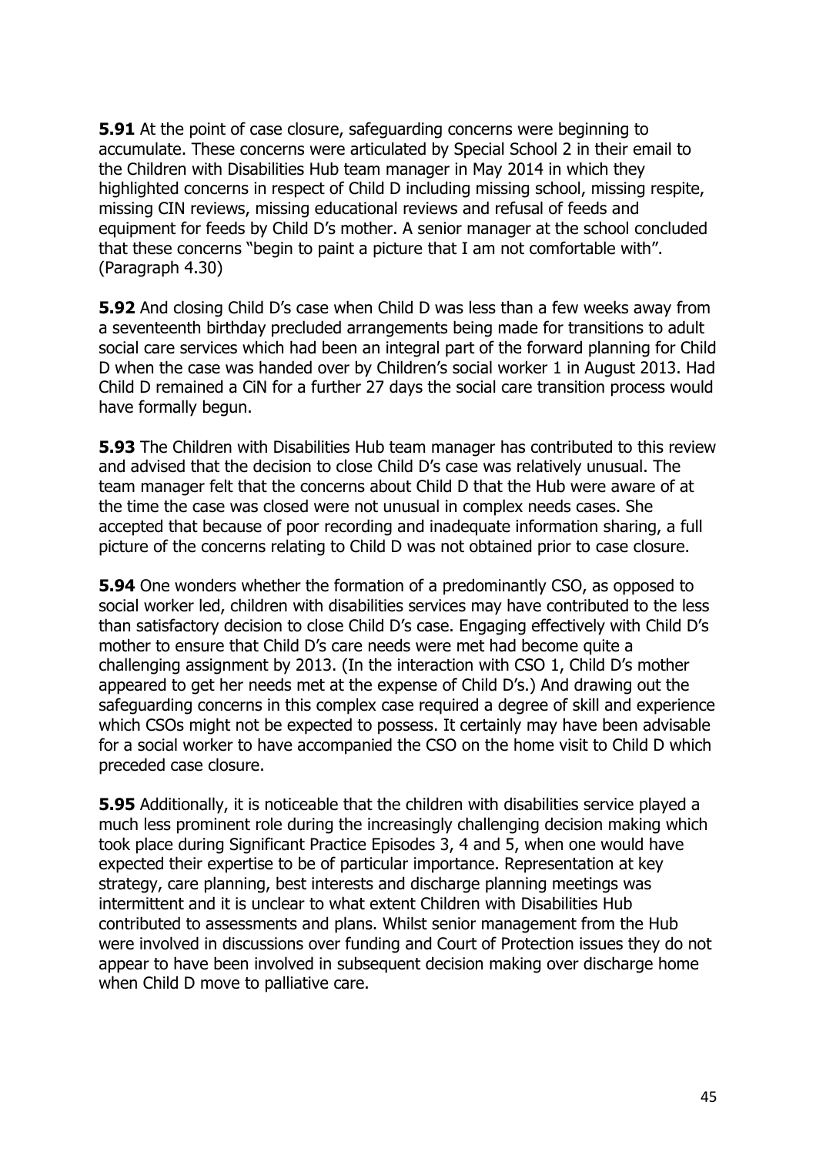**5.91** At the point of case closure, safeguarding concerns were beginning to accumulate. These concerns were articulated by Special School 2 in their email to the Children with Disabilities Hub team manager in May 2014 in which they highlighted concerns in respect of Child D including missing school, missing respite, missing CIN reviews, missing educational reviews and refusal of feeds and equipment for feeds by Child D's mother. A senior manager at the school concluded that these concerns "begin to paint a picture that I am not comfortable with". (Paragraph 4.30)

**5.92** And closing Child D's case when Child D was less than a few weeks away from a seventeenth birthday precluded arrangements being made for transitions to adult social care services which had been an integral part of the forward planning for Child D when the case was handed over by Children's social worker 1 in August 2013. Had Child D remained a CiN for a further 27 days the social care transition process would have formally begun.

**5.93** The Children with Disabilities Hub team manager has contributed to this review and advised that the decision to close Child D's case was relatively unusual. The team manager felt that the concerns about Child D that the Hub were aware of at the time the case was closed were not unusual in complex needs cases. She accepted that because of poor recording and inadequate information sharing, a full picture of the concerns relating to Child D was not obtained prior to case closure.

**5.94** One wonders whether the formation of a predominantly CSO, as opposed to social worker led, children with disabilities services may have contributed to the less than satisfactory decision to close Child D's case. Engaging effectively with Child D's mother to ensure that Child D's care needs were met had become quite a challenging assignment by 2013. (In the interaction with CSO 1, Child D's mother appeared to get her needs met at the expense of Child D's.) And drawing out the safeguarding concerns in this complex case required a degree of skill and experience which CSOs might not be expected to possess. It certainly may have been advisable for a social worker to have accompanied the CSO on the home visit to Child D which preceded case closure.

**5.95** Additionally, it is noticeable that the children with disabilities service played a much less prominent role during the increasingly challenging decision making which took place during Significant Practice Episodes 3, 4 and 5, when one would have expected their expertise to be of particular importance. Representation at key strategy, care planning, best interests and discharge planning meetings was intermittent and it is unclear to what extent Children with Disabilities Hub contributed to assessments and plans. Whilst senior management from the Hub were involved in discussions over funding and Court of Protection issues they do not appear to have been involved in subsequent decision making over discharge home when Child D move to palliative care.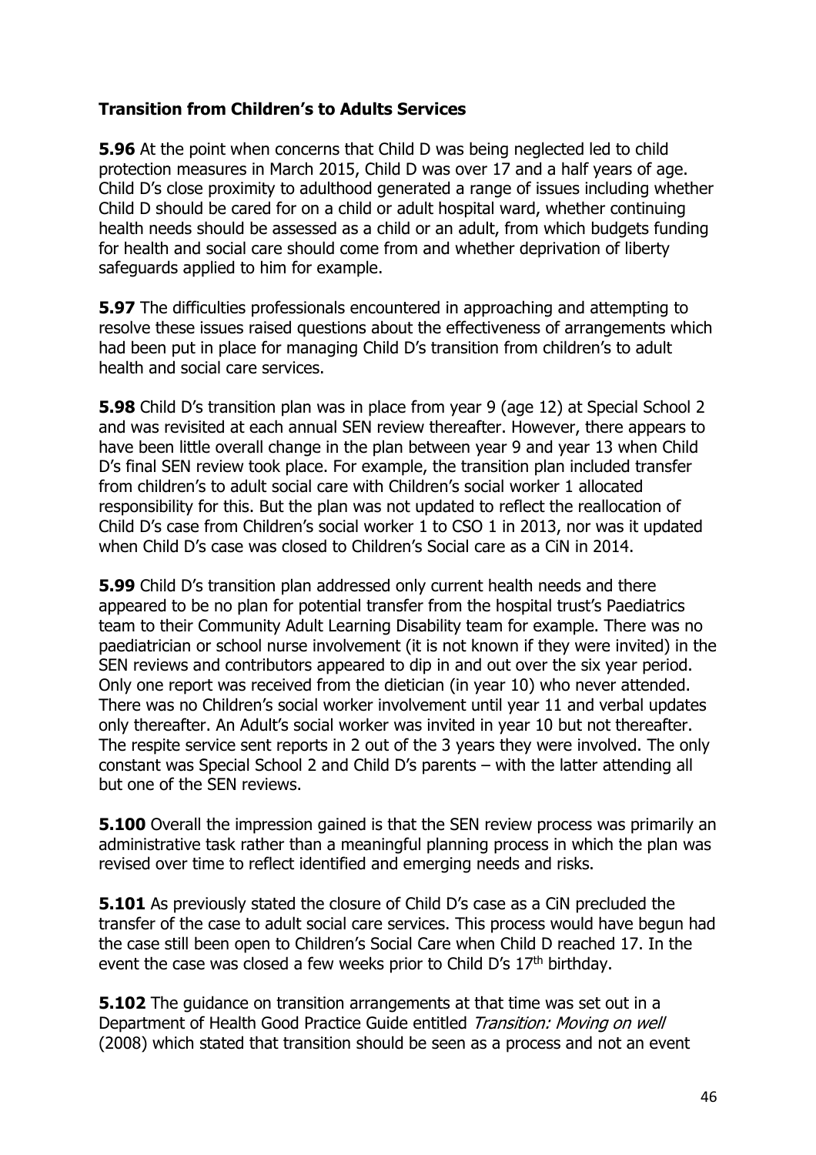## **Transition from Children's to Adults Services**

**5.96** At the point when concerns that Child D was being neglected led to child protection measures in March 2015, Child D was over 17 and a half years of age. Child D's close proximity to adulthood generated a range of issues including whether Child D should be cared for on a child or adult hospital ward, whether continuing health needs should be assessed as a child or an adult, from which budgets funding for health and social care should come from and whether deprivation of liberty safeguards applied to him for example.

**5.97** The difficulties professionals encountered in approaching and attempting to resolve these issues raised questions about the effectiveness of arrangements which had been put in place for managing Child D's transition from children's to adult health and social care services.

**5.98** Child D's transition plan was in place from year 9 (age 12) at Special School 2 and was revisited at each annual SEN review thereafter. However, there appears to have been little overall change in the plan between year 9 and year 13 when Child D's final SEN review took place. For example, the transition plan included transfer from children's to adult social care with Children's social worker 1 allocated responsibility for this. But the plan was not updated to reflect the reallocation of Child D's case from Children's social worker 1 to CSO 1 in 2013, nor was it updated when Child D's case was closed to Children's Social care as a CiN in 2014.

**5.99** Child D's transition plan addressed only current health needs and there appeared to be no plan for potential transfer from the hospital trust's Paediatrics team to their Community Adult Learning Disability team for example. There was no paediatrician or school nurse involvement (it is not known if they were invited) in the SEN reviews and contributors appeared to dip in and out over the six year period. Only one report was received from the dietician (in year 10) who never attended. There was no Children's social worker involvement until year 11 and verbal updates only thereafter. An Adult's social worker was invited in year 10 but not thereafter. The respite service sent reports in 2 out of the 3 years they were involved. The only constant was Special School 2 and Child D's parents – with the latter attending all but one of the SEN reviews.

**5.100** Overall the impression gained is that the SEN review process was primarily an administrative task rather than a meaningful planning process in which the plan was revised over time to reflect identified and emerging needs and risks.

**5.101** As previously stated the closure of Child D's case as a CiN precluded the transfer of the case to adult social care services. This process would have begun had the case still been open to Children's Social Care when Child D reached 17. In the event the case was closed a few weeks prior to Child D's 17<sup>th</sup> birthday.

**5.102** The guidance on transition arrangements at that time was set out in a Department of Health Good Practice Guide entitled Transition: Moving on well (2008) which stated that transition should be seen as a process and not an event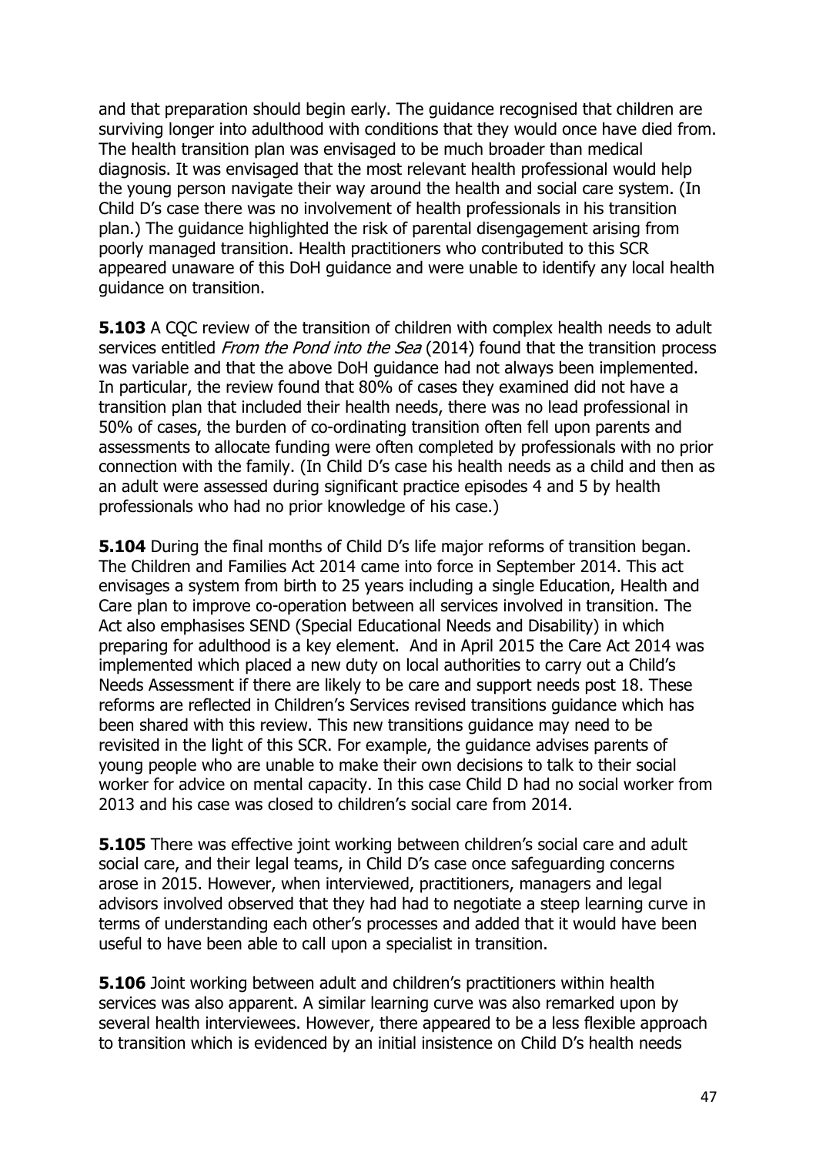and that preparation should begin early. The guidance recognised that children are surviving longer into adulthood with conditions that they would once have died from. The health transition plan was envisaged to be much broader than medical diagnosis. It was envisaged that the most relevant health professional would help the young person navigate their way around the health and social care system. (In Child D's case there was no involvement of health professionals in his transition plan.) The guidance highlighted the risk of parental disengagement arising from poorly managed transition. Health practitioners who contributed to this SCR appeared unaware of this DoH guidance and were unable to identify any local health guidance on transition.

**5.103** A COC review of the transition of children with complex health needs to adult services entitled *From the Pond into the Sea* (2014) found that the transition process was variable and that the above DoH guidance had not always been implemented. In particular, the review found that 80% of cases they examined did not have a transition plan that included their health needs, there was no lead professional in 50% of cases, the burden of co-ordinating transition often fell upon parents and assessments to allocate funding were often completed by professionals with no prior connection with the family. (In Child D's case his health needs as a child and then as an adult were assessed during significant practice episodes 4 and 5 by health professionals who had no prior knowledge of his case.)

**5.104** During the final months of Child D's life major reforms of transition began. The Children and Families Act 2014 came into force in September 2014. This act envisages a system from birth to 25 years including a single Education, Health and Care plan to improve co-operation between all services involved in transition. The Act also emphasises SEND (Special Educational Needs and Disability) in which preparing for adulthood is a key element. And in April 2015 the Care Act 2014 was implemented which placed a new duty on local authorities to carry out a Child's Needs Assessment if there are likely to be care and support needs post 18. These reforms are reflected in Children's Services revised transitions guidance which has been shared with this review. This new transitions guidance may need to be revisited in the light of this SCR. For example, the guidance advises parents of young people who are unable to make their own decisions to talk to their social worker for advice on mental capacity. In this case Child D had no social worker from 2013 and his case was closed to children's social care from 2014.

**5.105** There was effective joint working between children's social care and adult social care, and their legal teams, in Child D's case once safeguarding concerns arose in 2015. However, when interviewed, practitioners, managers and legal advisors involved observed that they had had to negotiate a steep learning curve in terms of understanding each other's processes and added that it would have been useful to have been able to call upon a specialist in transition.

**5.106** Joint working between adult and children's practitioners within health services was also apparent. A similar learning curve was also remarked upon by several health interviewees. However, there appeared to be a less flexible approach to transition which is evidenced by an initial insistence on Child D's health needs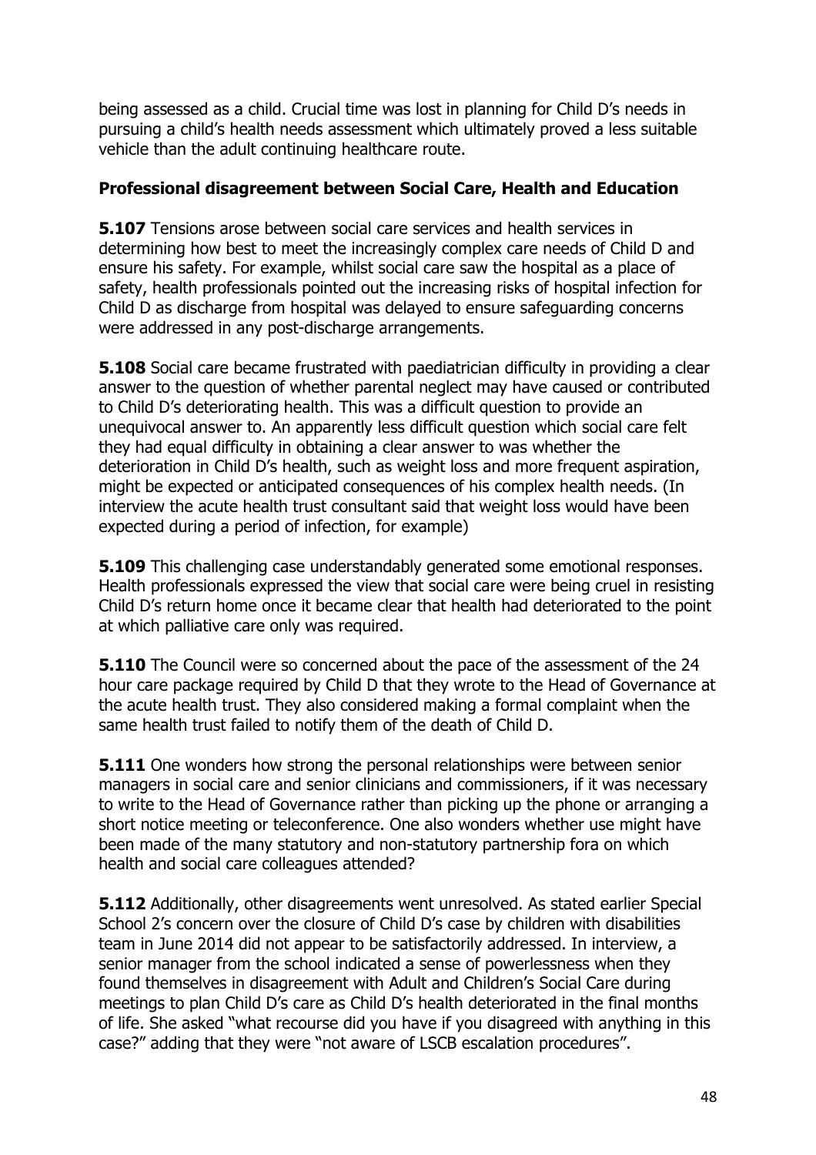being assessed as a child. Crucial time was lost in planning for Child D's needs in pursuing a child's health needs assessment which ultimately proved a less suitable vehicle than the adult continuing healthcare route.

#### **Professional disagreement between Social Care, Health and Education**

**5.107** Tensions arose between social care services and health services in determining how best to meet the increasingly complex care needs of Child D and ensure his safety. For example, whilst social care saw the hospital as a place of safety, health professionals pointed out the increasing risks of hospital infection for Child D as discharge from hospital was delayed to ensure safeguarding concerns were addressed in any post-discharge arrangements.

**5.108** Social care became frustrated with paediatrician difficulty in providing a clear answer to the question of whether parental neglect may have caused or contributed to Child D's deteriorating health. This was a difficult question to provide an unequivocal answer to. An apparently less difficult question which social care felt they had equal difficulty in obtaining a clear answer to was whether the deterioration in Child D's health, such as weight loss and more frequent aspiration, might be expected or anticipated consequences of his complex health needs. (In interview the acute health trust consultant said that weight loss would have been expected during a period of infection, for example)

**5.109** This challenging case understandably generated some emotional responses. Health professionals expressed the view that social care were being cruel in resisting Child D's return home once it became clear that health had deteriorated to the point at which palliative care only was required.

**5.110** The Council were so concerned about the pace of the assessment of the 24 hour care package required by Child D that they wrote to the Head of Governance at the acute health trust. They also considered making a formal complaint when the same health trust failed to notify them of the death of Child D.

**5.111** One wonders how strong the personal relationships were between senior managers in social care and senior clinicians and commissioners, if it was necessary to write to the Head of Governance rather than picking up the phone or arranging a short notice meeting or teleconference. One also wonders whether use might have been made of the many statutory and non-statutory partnership fora on which health and social care colleagues attended?

**5.112** Additionally, other disagreements went unresolved. As stated earlier Special School 2's concern over the closure of Child D's case by children with disabilities team in June 2014 did not appear to be satisfactorily addressed. In interview, a senior manager from the school indicated a sense of powerlessness when they found themselves in disagreement with Adult and Children's Social Care during meetings to plan Child D's care as Child D's health deteriorated in the final months of life. She asked "what recourse did you have if you disagreed with anything in this case?" adding that they were "not aware of LSCB escalation procedures".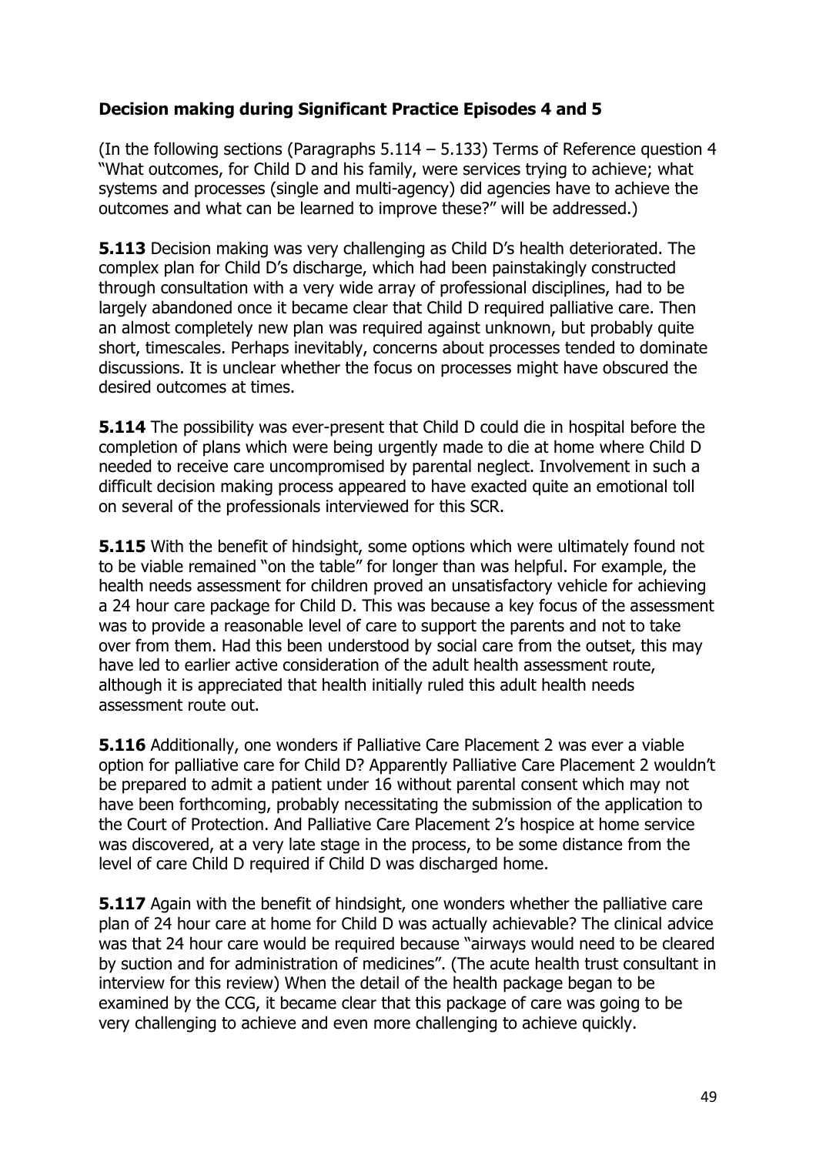## **Decision making during Significant Practice Episodes 4 and 5**

(In the following sections (Paragraphs  $5.114 - 5.133$ ) Terms of Reference question 4 "What outcomes, for Child D and his family, were services trying to achieve; what systems and processes (single and multi-agency) did agencies have to achieve the outcomes and what can be learned to improve these?" will be addressed.)

**5.113** Decision making was very challenging as Child D's health deteriorated. The complex plan for Child D's discharge, which had been painstakingly constructed through consultation with a very wide array of professional disciplines, had to be largely abandoned once it became clear that Child D required palliative care. Then an almost completely new plan was required against unknown, but probably quite short, timescales. Perhaps inevitably, concerns about processes tended to dominate discussions. It is unclear whether the focus on processes might have obscured the desired outcomes at times.

**5.114** The possibility was ever-present that Child D could die in hospital before the completion of plans which were being urgently made to die at home where Child D needed to receive care uncompromised by parental neglect. Involvement in such a difficult decision making process appeared to have exacted quite an emotional toll on several of the professionals interviewed for this SCR.

**5.115** With the benefit of hindsight, some options which were ultimately found not to be viable remained "on the table" for longer than was helpful. For example, the health needs assessment for children proved an unsatisfactory vehicle for achieving a 24 hour care package for Child D. This was because a key focus of the assessment was to provide a reasonable level of care to support the parents and not to take over from them. Had this been understood by social care from the outset, this may have led to earlier active consideration of the adult health assessment route, although it is appreciated that health initially ruled this adult health needs assessment route out.

**5.116** Additionally, one wonders if Palliative Care Placement 2 was ever a viable option for palliative care for Child D? Apparently Palliative Care Placement 2 wouldn't be prepared to admit a patient under 16 without parental consent which may not have been forthcoming, probably necessitating the submission of the application to the Court of Protection. And Palliative Care Placement 2's hospice at home service was discovered, at a very late stage in the process, to be some distance from the level of care Child D required if Child D was discharged home.

**5.117** Again with the benefit of hindsight, one wonders whether the palliative care plan of 24 hour care at home for Child D was actually achievable? The clinical advice was that 24 hour care would be required because "airways would need to be cleared by suction and for administration of medicines". (The acute health trust consultant in interview for this review) When the detail of the health package began to be examined by the CCG, it became clear that this package of care was going to be very challenging to achieve and even more challenging to achieve quickly.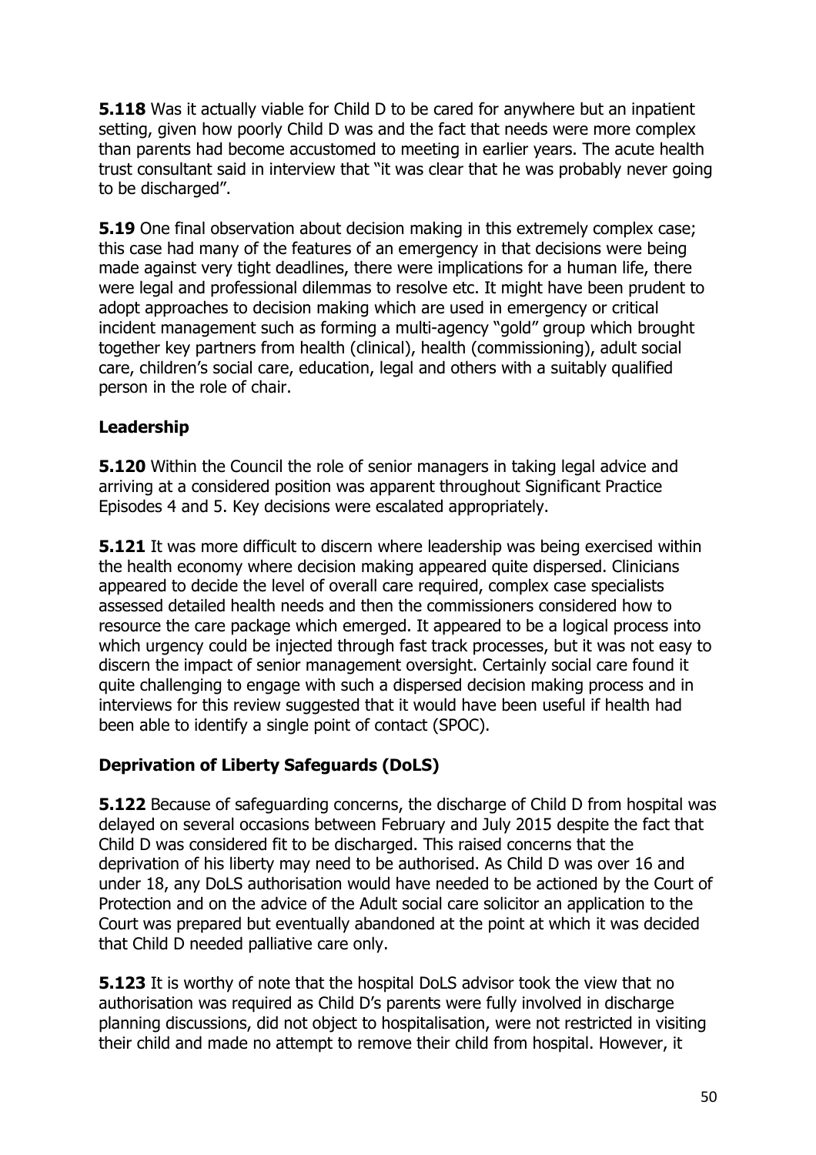**5.118** Was it actually viable for Child D to be cared for anywhere but an inpatient setting, given how poorly Child D was and the fact that needs were more complex than parents had become accustomed to meeting in earlier years. The acute health trust consultant said in interview that "it was clear that he was probably never going to be discharged".

**5.19** One final observation about decision making in this extremely complex case; this case had many of the features of an emergency in that decisions were being made against very tight deadlines, there were implications for a human life, there were legal and professional dilemmas to resolve etc. It might have been prudent to adopt approaches to decision making which are used in emergency or critical incident management such as forming a multi-agency "gold" group which brought together key partners from health (clinical), health (commissioning), adult social care, children's social care, education, legal and others with a suitably qualified person in the role of chair.

## **Leadership**

**5.120** Within the Council the role of senior managers in taking legal advice and arriving at a considered position was apparent throughout Significant Practice Episodes 4 and 5. Key decisions were escalated appropriately.

**5.121** It was more difficult to discern where leadership was being exercised within the health economy where decision making appeared quite dispersed. Clinicians appeared to decide the level of overall care required, complex case specialists assessed detailed health needs and then the commissioners considered how to resource the care package which emerged. It appeared to be a logical process into which urgency could be injected through fast track processes, but it was not easy to discern the impact of senior management oversight. Certainly social care found it quite challenging to engage with such a dispersed decision making process and in interviews for this review suggested that it would have been useful if health had been able to identify a single point of contact (SPOC).

## **Deprivation of Liberty Safeguards (DoLS)**

**5.122** Because of safeguarding concerns, the discharge of Child D from hospital was delayed on several occasions between February and July 2015 despite the fact that Child D was considered fit to be discharged. This raised concerns that the deprivation of his liberty may need to be authorised. As Child D was over 16 and under 18, any DoLS authorisation would have needed to be actioned by the Court of Protection and on the advice of the Adult social care solicitor an application to the Court was prepared but eventually abandoned at the point at which it was decided that Child D needed palliative care only.

**5.123** It is worthy of note that the hospital DoLS advisor took the view that no authorisation was required as Child D's parents were fully involved in discharge planning discussions, did not object to hospitalisation, were not restricted in visiting their child and made no attempt to remove their child from hospital. However, it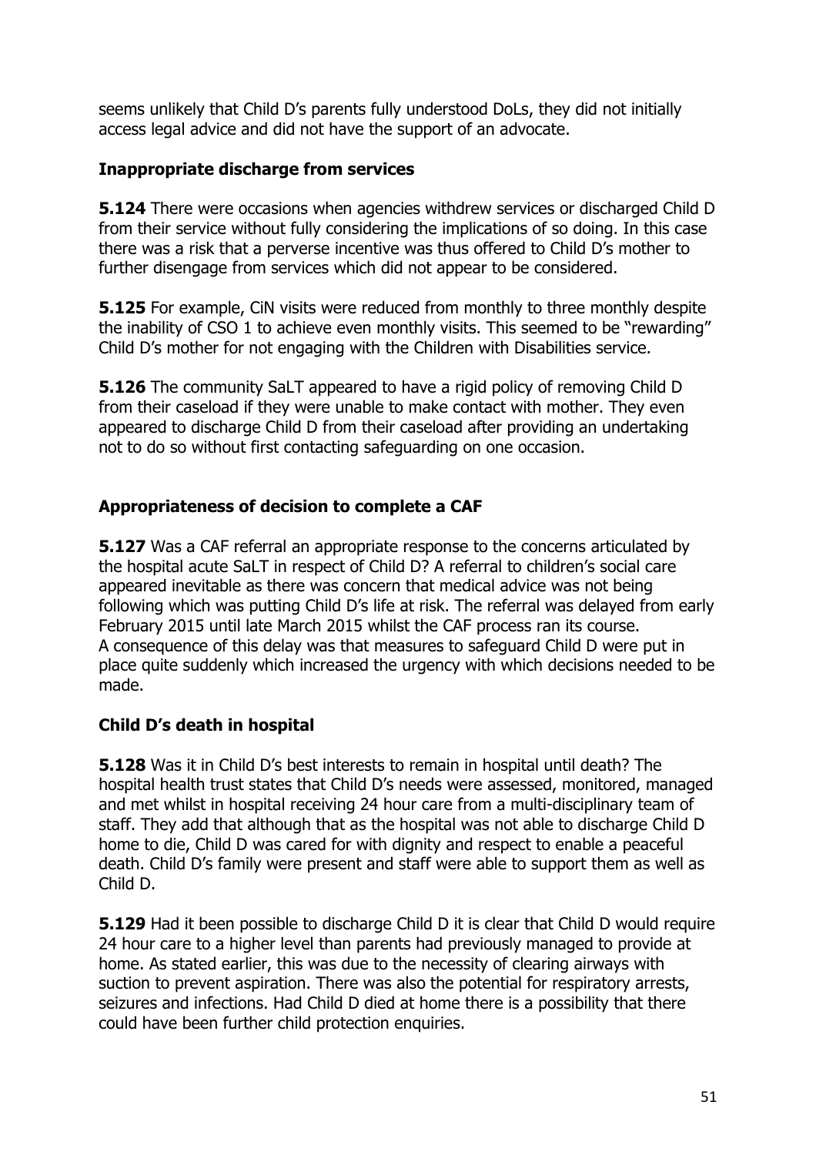seems unlikely that Child D's parents fully understood DoLs, they did not initially access legal advice and did not have the support of an advocate.

## **Inappropriate discharge from services**

**5.124** There were occasions when agencies withdrew services or discharged Child D from their service without fully considering the implications of so doing. In this case there was a risk that a perverse incentive was thus offered to Child D's mother to further disengage from services which did not appear to be considered.

**5.125** For example, CIN visits were reduced from monthly to three monthly despite the inability of CSO 1 to achieve even monthly visits. This seemed to be "rewarding" Child D's mother for not engaging with the Children with Disabilities service.

**5.126** The community SaLT appeared to have a rigid policy of removing Child D from their caseload if they were unable to make contact with mother. They even appeared to discharge Child D from their caseload after providing an undertaking not to do so without first contacting safeguarding on one occasion.

# **Appropriateness of decision to complete a CAF**

**5.127** Was a CAF referral an appropriate response to the concerns articulated by the hospital acute SaLT in respect of Child D? A referral to children's social care appeared inevitable as there was concern that medical advice was not being following which was putting Child D's life at risk. The referral was delayed from early February 2015 until late March 2015 whilst the CAF process ran its course. A consequence of this delay was that measures to safeguard Child D were put in place quite suddenly which increased the urgency with which decisions needed to be made.

# **Child D's death in hospital**

**5.128** Was it in Child D's best interests to remain in hospital until death? The hospital health trust states that Child D's needs were assessed, monitored, managed and met whilst in hospital receiving 24 hour care from a multi-disciplinary team of staff. They add that although that as the hospital was not able to discharge Child D home to die, Child D was cared for with dignity and respect to enable a peaceful death. Child D's family were present and staff were able to support them as well as Child D.

**5.129** Had it been possible to discharge Child D it is clear that Child D would require 24 hour care to a higher level than parents had previously managed to provide at home. As stated earlier, this was due to the necessity of clearing airways with suction to prevent aspiration. There was also the potential for respiratory arrests, seizures and infections. Had Child D died at home there is a possibility that there could have been further child protection enquiries.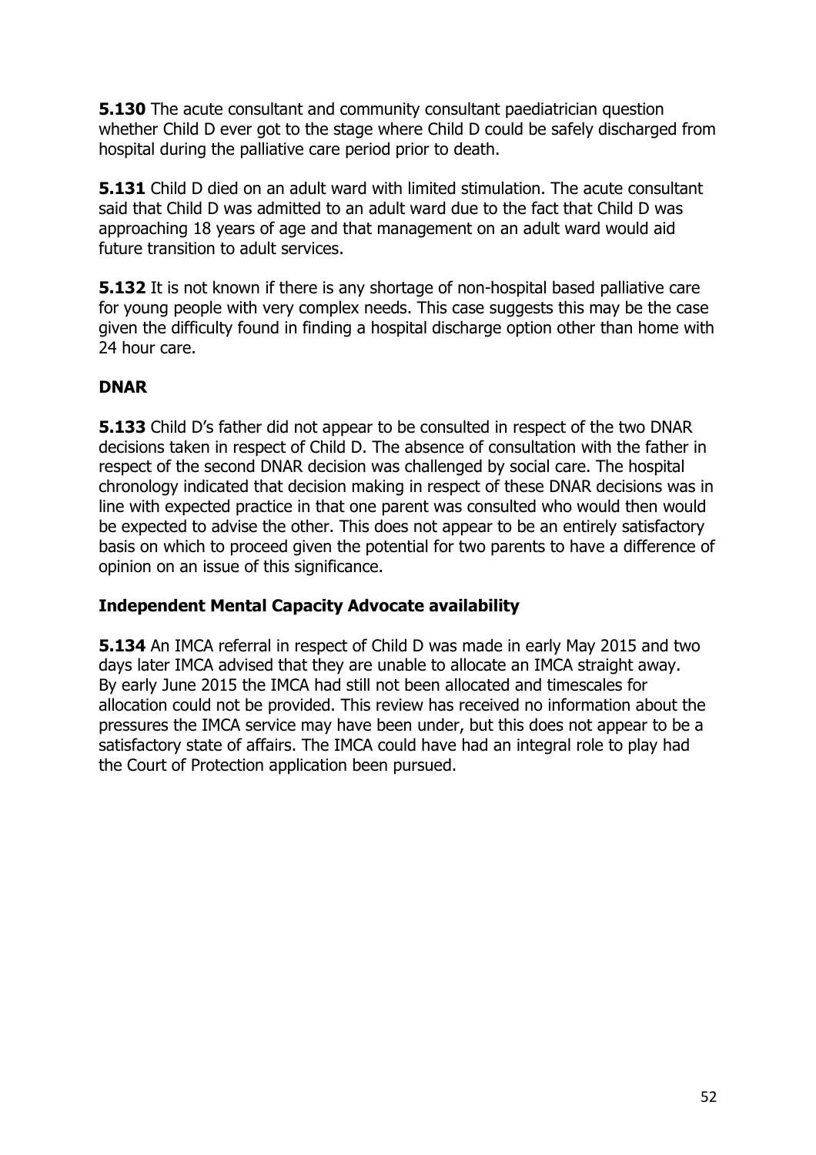**5.130** The acute consultant and community consultant paediatrician question whether Child D ever got to the stage where Child D could be safely discharged from hospital during the palliative care period prior to death.

**5.131** Child D died on an adult ward with limited stimulation. The acute consultant said that Child D was admitted to an adult ward due to the fact that Child D was approaching 18 years of age and that management on an adult ward would aid future transition to adult services.

**5.132** It is not known if there is any shortage of non-hospital based palliative care for young people with very complex needs. This case suggests this may be the case given the difficulty found in finding a hospital discharge option other than home with 24 hour care.

## **DNAR**

**5.133** Child D's father did not appear to be consulted in respect of the two DNAR decisions taken in respect of Child D. The absence of consultation with the father in respect of the second DNAR decision was challenged by social care. The hospital chronology indicated that decision making in respect of these DNAR decisions was in line with expected practice in that one parent was consulted who would then would be expected to advise the other. This does not appear to be an entirely satisfactory basis on which to proceed given the potential for two parents to have a difference of opinion on an issue of this significance.

## **Independent Mental Capacity Advocate availability**

**5.134** An IMCA referral in respect of Child D was made in early May 2015 and two days later IMCA advised that they are unable to allocate an IMCA straight away. By early June 2015 the IMCA had still not been allocated and timescales for allocation could not be provided. This review has received no information about the pressures the IMCA service may have been under, but this does not appear to be a satisfactory state of affairs. The IMCA could have had an integral role to play had the Court of Protection application been pursued.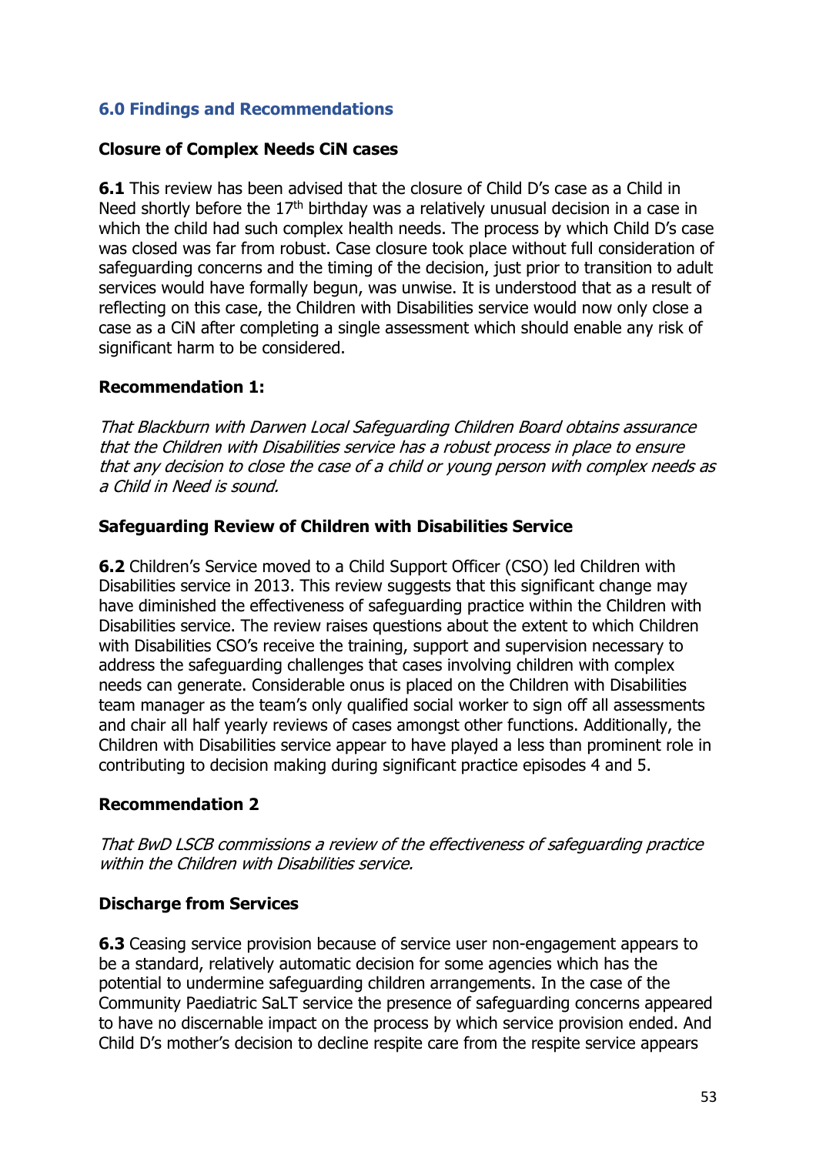## **6.0 Findings and Recommendations**

#### **Closure of Complex Needs CiN cases**

**6.1** This review has been advised that the closure of Child D's case as a Child in Need shortly before the  $17<sup>th</sup>$  birthday was a relatively unusual decision in a case in which the child had such complex health needs. The process by which Child D's case was closed was far from robust. Case closure took place without full consideration of safeguarding concerns and the timing of the decision, just prior to transition to adult services would have formally begun, was unwise. It is understood that as a result of reflecting on this case, the Children with Disabilities service would now only close a case as a CiN after completing a single assessment which should enable any risk of significant harm to be considered.

#### **Recommendation 1:**

That Blackburn with Darwen Local Safeguarding Children Board obtains assurance that the Children with Disabilities service has a robust process in place to ensure that any decision to close the case of a child or young person with complex needs as a Child in Need is sound.

#### **Safeguarding Review of Children with Disabilities Service**

**6.2** Children's Service moved to a Child Support Officer (CSO) led Children with Disabilities service in 2013. This review suggests that this significant change may have diminished the effectiveness of safeguarding practice within the Children with Disabilities service. The review raises questions about the extent to which Children with Disabilities CSO's receive the training, support and supervision necessary to address the safeguarding challenges that cases involving children with complex needs can generate. Considerable onus is placed on the Children with Disabilities team manager as the team's only qualified social worker to sign off all assessments and chair all half yearly reviews of cases amongst other functions. Additionally, the Children with Disabilities service appear to have played a less than prominent role in contributing to decision making during significant practice episodes 4 and 5.

#### **Recommendation 2**

That BwD LSCB commissions a review of the effectiveness of safeguarding practice within the Children with Disabilities service.

#### **Discharge from Services**

**6.3** Ceasing service provision because of service user non-engagement appears to be a standard, relatively automatic decision for some agencies which has the potential to undermine safeguarding children arrangements. In the case of the Community Paediatric SaLT service the presence of safeguarding concerns appeared to have no discernable impact on the process by which service provision ended. And Child D's mother's decision to decline respite care from the respite service appears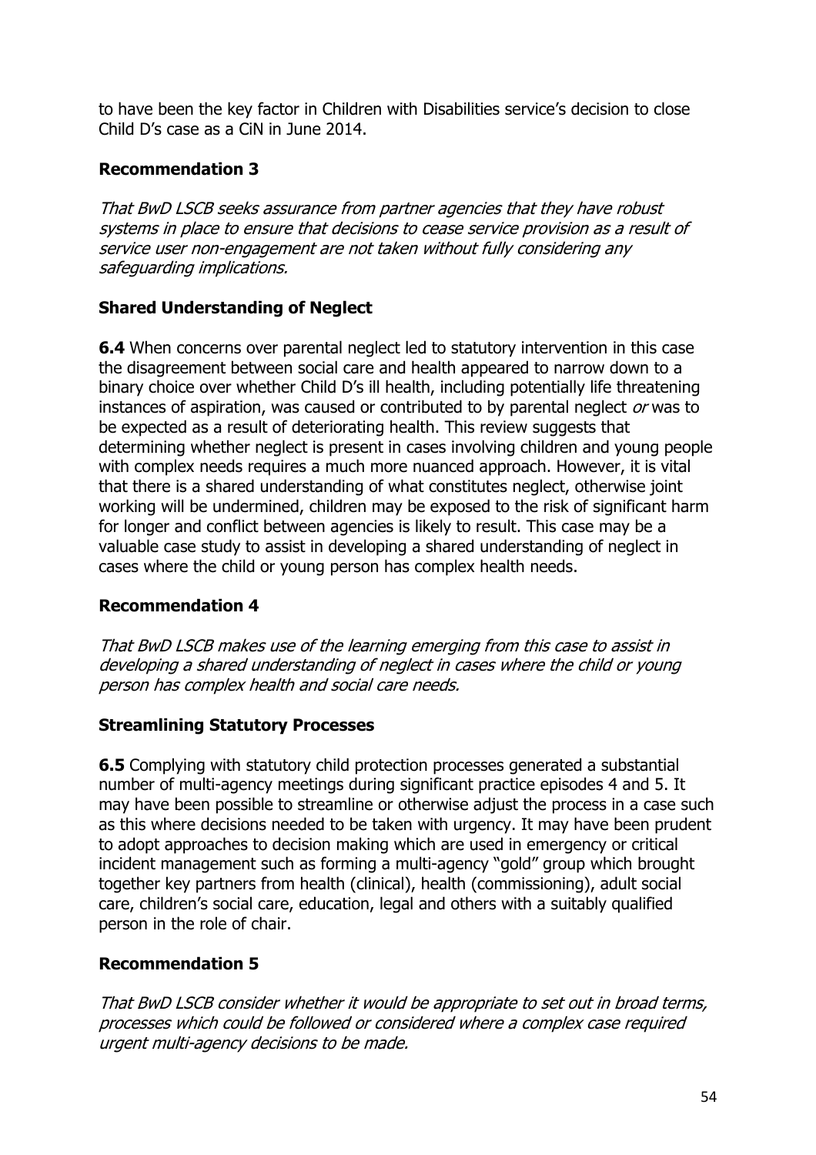to have been the key factor in Children with Disabilities service's decision to close Child D's case as a CiN in June 2014.

## **Recommendation 3**

That BwD LSCB seeks assurance from partner agencies that they have robust systems in place to ensure that decisions to cease service provision as a result of service user non-engagement are not taken without fully considering any safeguarding implications.

# **Shared Understanding of Neglect**

**6.4** When concerns over parental neglect led to statutory intervention in this case the disagreement between social care and health appeared to narrow down to a binary choice over whether Child D's ill health, including potentially life threatening instances of aspiration, was caused or contributed to by parental neglect or was to be expected as a result of deteriorating health. This review suggests that determining whether neglect is present in cases involving children and young people with complex needs requires a much more nuanced approach. However, it is vital that there is a shared understanding of what constitutes neglect, otherwise joint working will be undermined, children may be exposed to the risk of significant harm for longer and conflict between agencies is likely to result. This case may be a valuable case study to assist in developing a shared understanding of neglect in cases where the child or young person has complex health needs.

## **Recommendation 4**

That BwD LSCB makes use of the learning emerging from this case to assist in developing a shared understanding of neglect in cases where the child or young person has complex health and social care needs.

## **Streamlining Statutory Processes**

**6.5** Complying with statutory child protection processes generated a substantial number of multi-agency meetings during significant practice episodes 4 and 5. It may have been possible to streamline or otherwise adjust the process in a case such as this where decisions needed to be taken with urgency. It may have been prudent to adopt approaches to decision making which are used in emergency or critical incident management such as forming a multi-agency "gold" group which brought together key partners from health (clinical), health (commissioning), adult social care, children's social care, education, legal and others with a suitably qualified person in the role of chair.

## **Recommendation 5**

That BwD LSCB consider whether it would be appropriate to set out in broad terms, processes which could be followed or considered where a complex case required urgent multi-agency decisions to be made.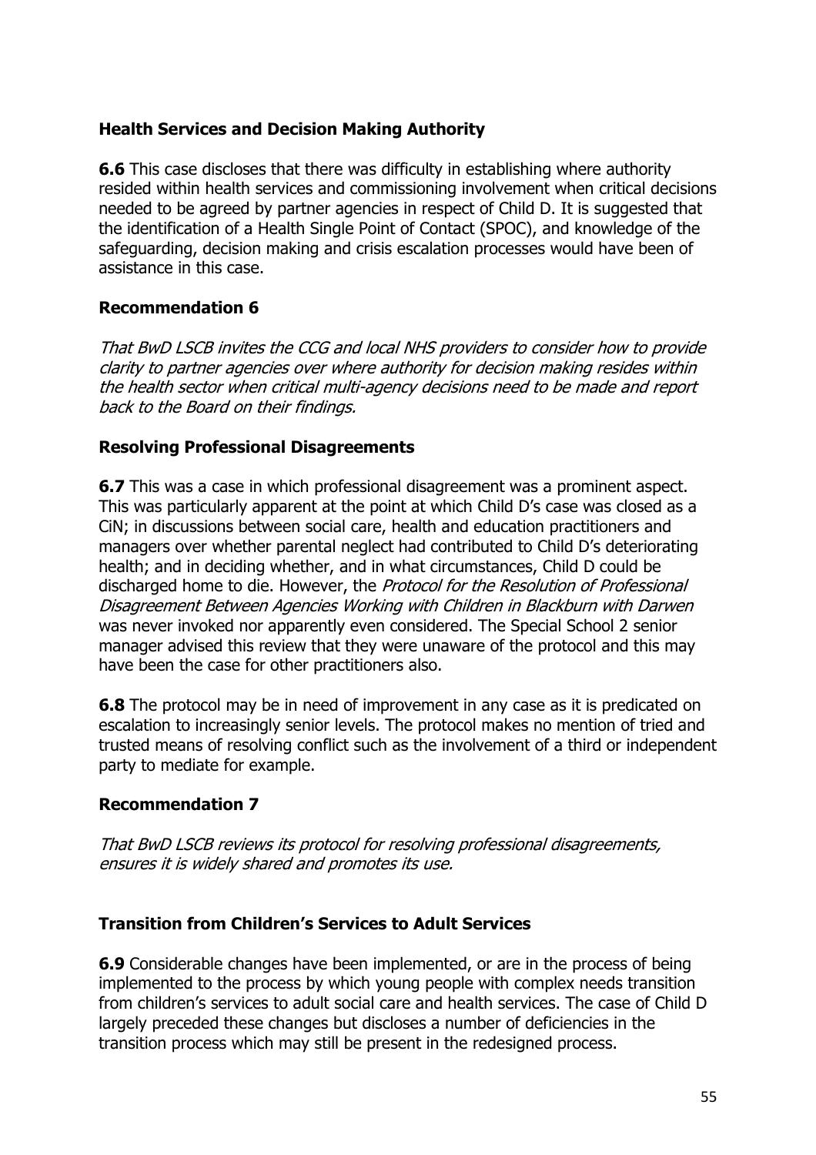## **Health Services and Decision Making Authority**

**6.6** This case discloses that there was difficulty in establishing where authority resided within health services and commissioning involvement when critical decisions needed to be agreed by partner agencies in respect of Child D. It is suggested that the identification of a Health Single Point of Contact (SPOC), and knowledge of the safeguarding, decision making and crisis escalation processes would have been of assistance in this case.

#### **Recommendation 6**

That BwD LSCB invites the CCG and local NHS providers to consider how to provide clarity to partner agencies over where authority for decision making resides within the health sector when critical multi-agency decisions need to be made and report back to the Board on their findings.

#### **Resolving Professional Disagreements**

**6.7** This was a case in which professional disagreement was a prominent aspect. This was particularly apparent at the point at which Child D's case was closed as a CiN; in discussions between social care, health and education practitioners and managers over whether parental neglect had contributed to Child D's deteriorating health; and in deciding whether, and in what circumstances, Child D could be discharged home to die. However, the Protocol for the Resolution of Professional Disagreement Between Agencies Working with Children in Blackburn with Darwen was never invoked nor apparently even considered. The Special School 2 senior manager advised this review that they were unaware of the protocol and this may have been the case for other practitioners also.

**6.8** The protocol may be in need of improvement in any case as it is predicated on escalation to increasingly senior levels. The protocol makes no mention of tried and trusted means of resolving conflict such as the involvement of a third or independent party to mediate for example.

#### **Recommendation 7**

That BwD LSCB reviews its protocol for resolving professional disagreements, ensures it is widely shared and promotes its use.

#### **Transition from Children's Services to Adult Services**

**6.9** Considerable changes have been implemented, or are in the process of being implemented to the process by which young people with complex needs transition from children's services to adult social care and health services. The case of Child D largely preceded these changes but discloses a number of deficiencies in the transition process which may still be present in the redesigned process.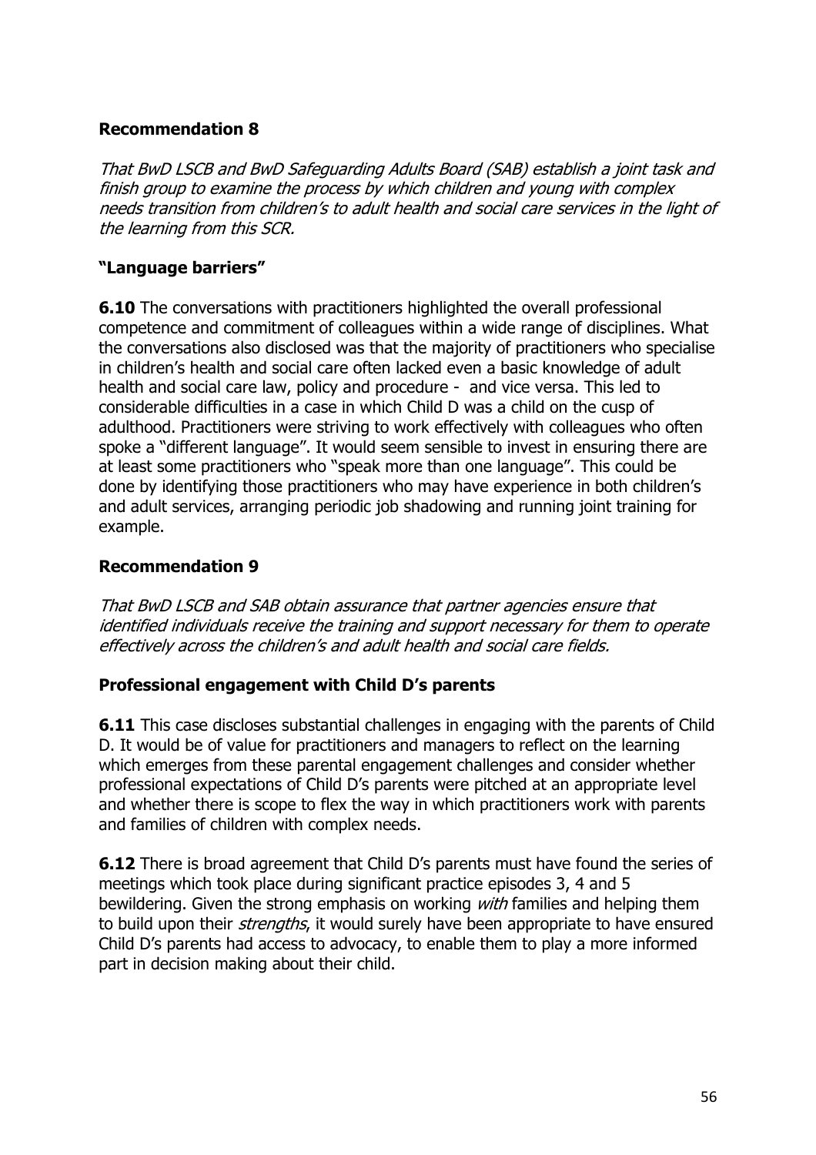## **Recommendation 8**

That BwD LSCB and BwD Safeguarding Adults Board (SAB) establish a joint task and finish group to examine the process by which children and young with complex needs transition from children's to adult health and social care services in the light of the learning from this SCR.

## **"Language barriers"**

**6.10** The conversations with practitioners highlighted the overall professional competence and commitment of colleagues within a wide range of disciplines. What the conversations also disclosed was that the majority of practitioners who specialise in children's health and social care often lacked even a basic knowledge of adult health and social care law, policy and procedure - and vice versa. This led to considerable difficulties in a case in which Child D was a child on the cusp of adulthood. Practitioners were striving to work effectively with colleagues who often spoke a "different language". It would seem sensible to invest in ensuring there are at least some practitioners who "speak more than one language". This could be done by identifying those practitioners who may have experience in both children's and adult services, arranging periodic job shadowing and running joint training for example.

#### **Recommendation 9**

That BwD LSCB and SAB obtain assurance that partner agencies ensure that identified individuals receive the training and support necessary for them to operate effectively across the children's and adult health and social care fields.

#### **Professional engagement with Child D's parents**

**6.11** This case discloses substantial challenges in engaging with the parents of Child D. It would be of value for practitioners and managers to reflect on the learning which emerges from these parental engagement challenges and consider whether professional expectations of Child D's parents were pitched at an appropriate level and whether there is scope to flex the way in which practitioners work with parents and families of children with complex needs.

**6.12** There is broad agreement that Child D's parents must have found the series of meetings which took place during significant practice episodes 3, 4 and 5 bewildering. Given the strong emphasis on working *with* families and helping them to build upon their *strengths*, it would surely have been appropriate to have ensured Child D's parents had access to advocacy, to enable them to play a more informed part in decision making about their child.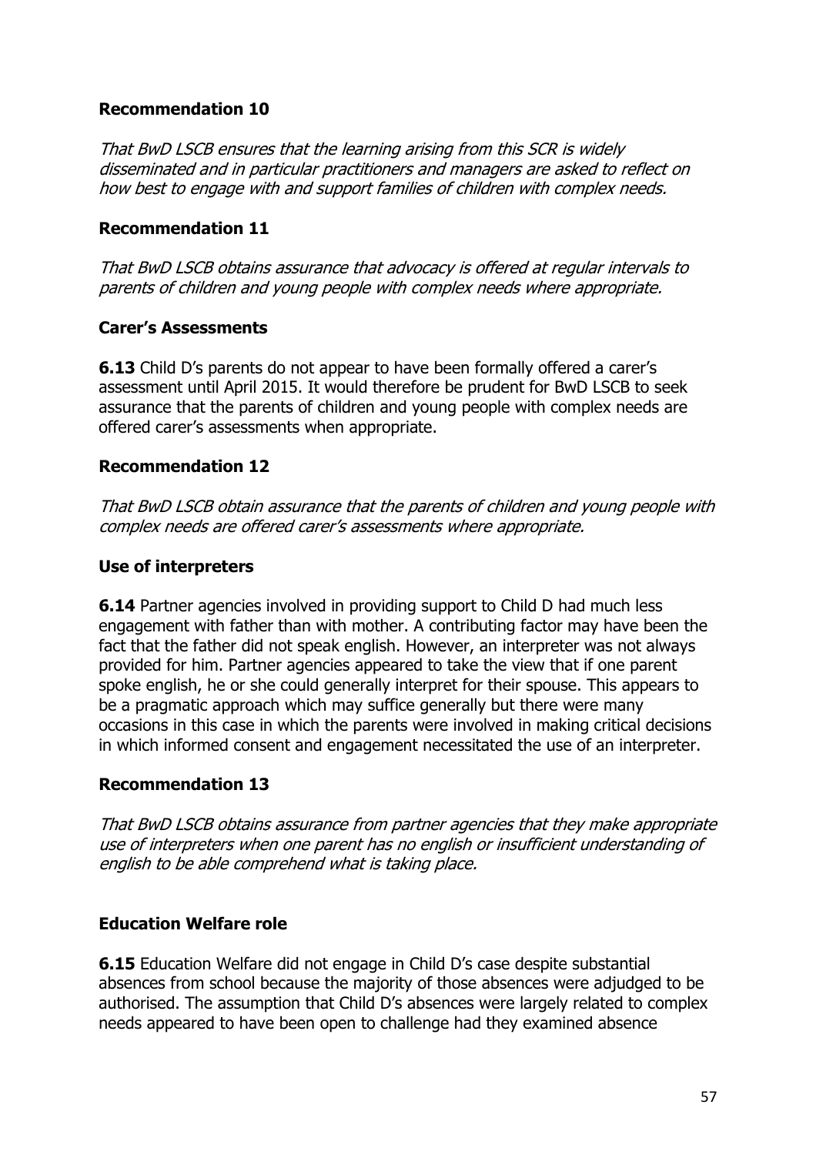## **Recommendation 10**

That BwD LSCB ensures that the learning arising from this SCR is widely disseminated and in particular practitioners and managers are asked to reflect on how best to engage with and support families of children with complex needs.

## **Recommendation 11**

That BwD LSCB obtains assurance that advocacy is offered at regular intervals to parents of children and young people with complex needs where appropriate.

## **Carer's Assessments**

**6.13** Child D's parents do not appear to have been formally offered a carer's assessment until April 2015. It would therefore be prudent for BwD LSCB to seek assurance that the parents of children and young people with complex needs are offered carer's assessments when appropriate.

## **Recommendation 12**

That BwD LSCB obtain assurance that the parents of children and young people with complex needs are offered carer's assessments where appropriate.

#### **Use of interpreters**

**6.14** Partner agencies involved in providing support to Child D had much less engagement with father than with mother. A contributing factor may have been the fact that the father did not speak english. However, an interpreter was not always provided for him. Partner agencies appeared to take the view that if one parent spoke english, he or she could generally interpret for their spouse. This appears to be a pragmatic approach which may suffice generally but there were many occasions in this case in which the parents were involved in making critical decisions in which informed consent and engagement necessitated the use of an interpreter.

## **Recommendation 13**

That BwD LSCB obtains assurance from partner agencies that they make appropriate use of interpreters when one parent has no english or insufficient understanding of english to be able comprehend what is taking place.

#### **Education Welfare role**

**6.15** Education Welfare did not engage in Child D's case despite substantial absences from school because the majority of those absences were adjudged to be authorised. The assumption that Child D's absences were largely related to complex needs appeared to have been open to challenge had they examined absence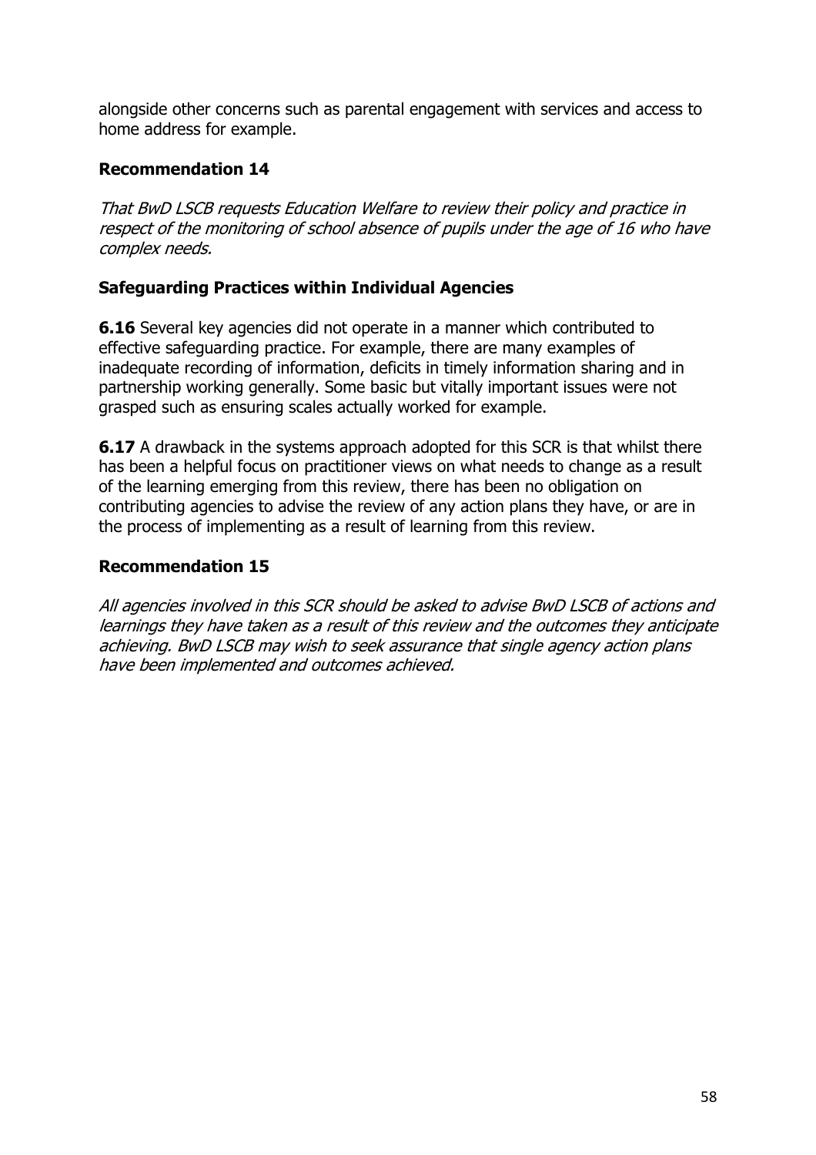alongside other concerns such as parental engagement with services and access to home address for example.

## **Recommendation 14**

That BwD LSCB requests Education Welfare to review their policy and practice in respect of the monitoring of school absence of pupils under the age of 16 who have complex needs.

## **Safeguarding Practices within Individual Agencies**

**6.16** Several key agencies did not operate in a manner which contributed to effective safeguarding practice. For example, there are many examples of inadequate recording of information, deficits in timely information sharing and in partnership working generally. Some basic but vitally important issues were not grasped such as ensuring scales actually worked for example.

**6.17** A drawback in the systems approach adopted for this SCR is that whilst there has been a helpful focus on practitioner views on what needs to change as a result of the learning emerging from this review, there has been no obligation on contributing agencies to advise the review of any action plans they have, or are in the process of implementing as a result of learning from this review.

#### **Recommendation 15**

All agencies involved in this SCR should be asked to advise BwD LSCB of actions and learnings they have taken as a result of this review and the outcomes they anticipate achieving. BwD LSCB may wish to seek assurance that single agency action plans have been implemented and outcomes achieved.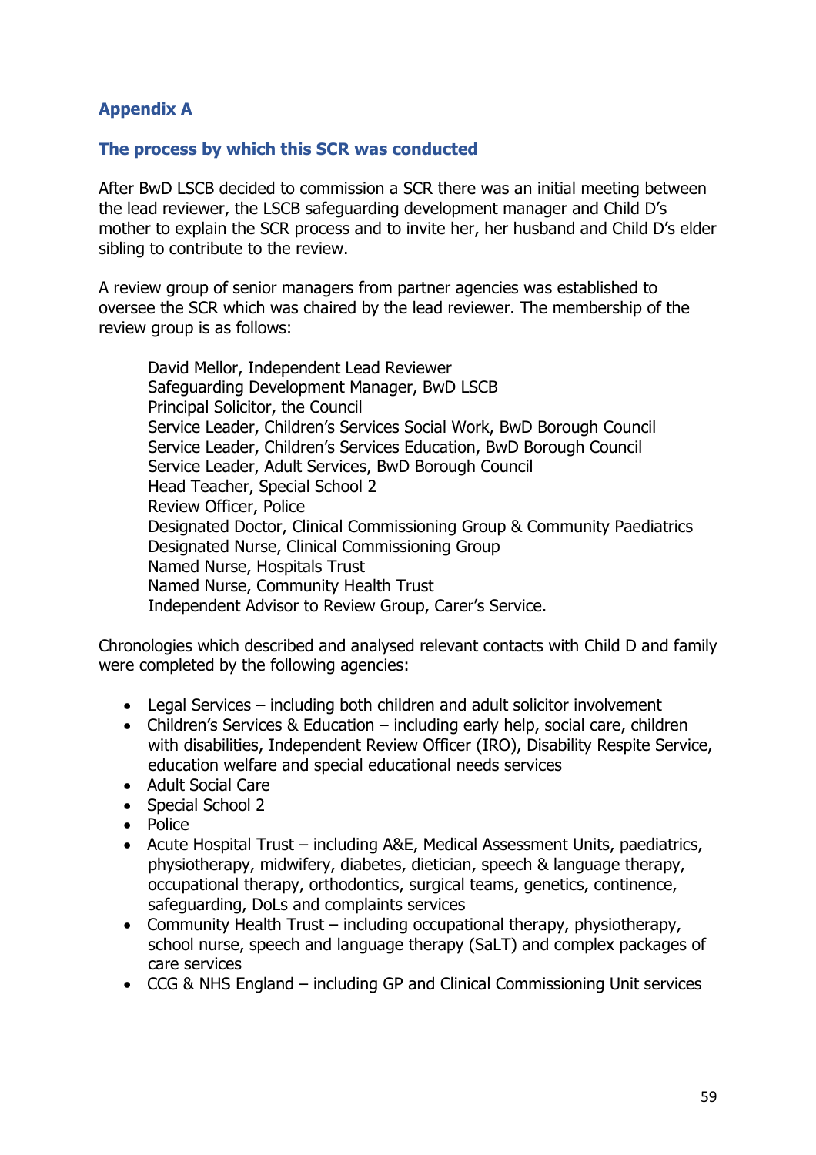## **Appendix A**

#### **The process by which this SCR was conducted**

After BwD LSCB decided to commission a SCR there was an initial meeting between the lead reviewer, the LSCB safeguarding development manager and Child D's mother to explain the SCR process and to invite her, her husband and Child D's elder sibling to contribute to the review.

A review group of senior managers from partner agencies was established to oversee the SCR which was chaired by the lead reviewer. The membership of the review group is as follows:

David Mellor, Independent Lead Reviewer Safeguarding Development Manager, BwD LSCB Principal Solicitor, the Council Service Leader, Children's Services Social Work, BwD Borough Council Service Leader, Children's Services Education, BwD Borough Council Service Leader, Adult Services, BwD Borough Council Head Teacher, Special School 2 Review Officer, Police Designated Doctor, Clinical Commissioning Group & Community Paediatrics Designated Nurse, Clinical Commissioning Group Named Nurse, Hospitals Trust Named Nurse, Community Health Trust Independent Advisor to Review Group, Carer's Service.

Chronologies which described and analysed relevant contacts with Child D and family were completed by the following agencies:

- Legal Services including both children and adult solicitor involvement
- Children's Services & Education including early help, social care, children with disabilities, Independent Review Officer (IRO), Disability Respite Service, education welfare and special educational needs services
- Adult Social Care
- Special School 2
- Police
- Acute Hospital Trust including A&E, Medical Assessment Units, paediatrics, physiotherapy, midwifery, diabetes, dietician, speech & language therapy, occupational therapy, orthodontics, surgical teams, genetics, continence, safeguarding, DoLs and complaints services
- Community Health Trust including occupational therapy, physiotherapy, school nurse, speech and language therapy (SaLT) and complex packages of care services
- CCG & NHS England including GP and Clinical Commissioning Unit services